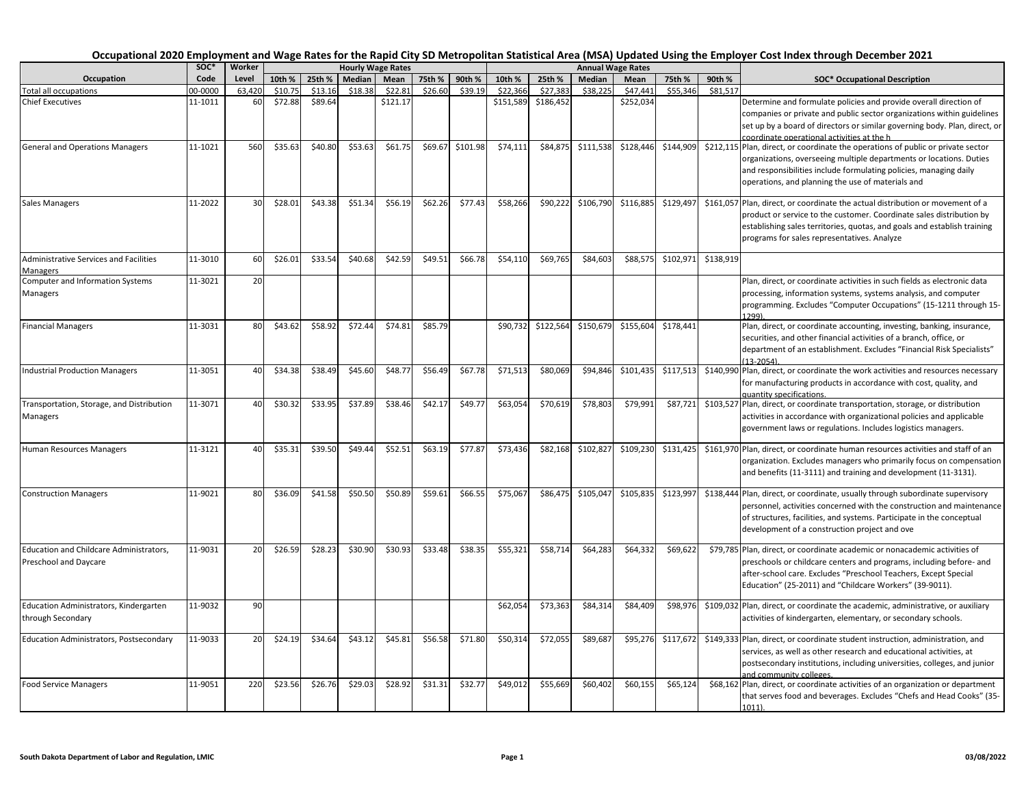|                                                                  | soc*    | Worker |         |         |         | <b>Hourly Wage Rates</b> |         |          |           |           |           | <b>Annual Wage Rates</b> |           |           |                                                                                                                                                                                                                                                                                   |
|------------------------------------------------------------------|---------|--------|---------|---------|---------|--------------------------|---------|----------|-----------|-----------|-----------|--------------------------|-----------|-----------|-----------------------------------------------------------------------------------------------------------------------------------------------------------------------------------------------------------------------------------------------------------------------------------|
| Occupation                                                       | Code    | Level  | 10th %  | 25th %  | Median  | Mean                     | 75th %  | 90th %   | 10th %    | 25th %    | Median    | Mean                     | 75th %    | 90th %    | <b>SOC* Occupational Description</b>                                                                                                                                                                                                                                              |
| <b>Total all occupations</b>                                     | 00-0000 | 63.420 | \$10.75 | \$13.16 | \$18.38 | \$22.81                  | \$26.60 | \$39.19  | \$22,366  | \$27,383  | \$38.225  | \$47,44                  | \$55.346  | \$81.517  |                                                                                                                                                                                                                                                                                   |
| <b>Chief Executives</b>                                          | 11-1011 | 60     | \$72.88 | \$89.64 |         | \$121.17                 |         |          | \$151,589 | \$186,452 |           | \$252,034                |           |           | Determine and formulate policies and provide overall direction of<br>companies or private and public sector organizations within guidelines<br>set up by a board of directors or similar governing body. Plan, direct, or<br>coordinate operational activities at the h           |
| <b>General and Operations Managers</b>                           | 11-1021 | 560    | \$35.63 | \$40.80 | \$53.63 | \$61.75                  | \$69.67 | \$101.98 | \$74,111  | \$84,875  | \$111,538 | \$128,446                | \$144,909 |           | \$212,115 Plan, direct, or coordinate the operations of public or private sector<br>organizations, overseeing multiple departments or locations. Duties<br>and responsibilities include formulating policies, managing daily<br>operations, and planning the use of materials and |
| <b>Sales Managers</b>                                            | 11-2022 | 30     | \$28.01 | \$43.38 | \$51.34 | \$56.19                  | \$62.26 | \$77.43  | \$58,266  | \$90,222  | \$106,790 | \$116,885                | \$129,497 |           | \$161,057 Plan, direct, or coordinate the actual distribution or movement of a<br>product or service to the customer. Coordinate sales distribution by<br>establishing sales territories, quotas, and goals and establish training<br>programs for sales representatives. Analyze |
| Administrative Services and Facilities<br>Managers               | 11-3010 | 60     | \$26.01 | \$33.54 | \$40.68 | \$42.59                  | \$49.51 | \$66.78  | \$54,110  | \$69,765  | \$84,603  | \$88,575                 | \$102,971 | \$138,919 |                                                                                                                                                                                                                                                                                   |
| Computer and Information Systems<br>Managers                     | 11-3021 | 20     |         |         |         |                          |         |          |           |           |           |                          |           |           | Plan, direct, or coordinate activities in such fields as electronic data<br>processing, information systems, systems analysis, and computer<br>programming. Excludes "Computer Occupations" (15-1211 through 15-<br>1299)                                                         |
| <b>Financial Managers</b>                                        | 11-3031 | 80     | \$43.62 | \$58.92 | \$72.44 | \$74.81                  | \$85.79 |          | \$90,732  | \$122,564 | \$150,679 | \$155,604                | \$178,441 |           | Plan, direct, or coordinate accounting, investing, banking, insurance,<br>securities, and other financial activities of a branch, office, or<br>department of an establishment. Excludes "Financial Risk Specialists"<br>$(13 - 2054)$                                            |
| <b>Industrial Production Managers</b>                            | 11-3051 | 40     | \$34.38 | \$38.49 | \$45.60 | \$48.77                  | \$56.49 | \$67.78  | \$71,513  | \$80,069  | \$94,846  | \$101,435                | \$117,513 |           | \$140,990 Plan, direct, or coordinate the work activities and resources necessary<br>for manufacturing products in accordance with cost, quality, and<br>quantity specifications.                                                                                                 |
| Transportation, Storage, and Distribution<br>Managers            | 11-3071 | 40     | \$30.32 | \$33.95 | \$37.89 | \$38.46                  | \$42.17 | \$49.77  | \$63,054  | \$70,619  | \$78,803  | \$79,991                 | \$87,721  |           | \$103,527 Plan, direct, or coordinate transportation, storage, or distribution<br>activities in accordance with organizational policies and applicable<br>government laws or regulations. Includes logistics managers.                                                            |
| Human Resources Managers                                         | 11-3121 | 40     | \$35.31 | \$39.50 | \$49.44 | \$52.51                  | \$63.19 | \$77.87  | \$73,436  | \$82,168  | \$102,827 | \$109,230                | \$131,425 |           | \$161,970 Plan, direct, or coordinate human resources activities and staff of an<br>organization. Excludes managers who primarily focus on compensation<br>and benefits (11-3111) and training and development (11-3131).                                                         |
| <b>Construction Managers</b>                                     | 11-9021 | 80     | \$36.09 | \$41.58 | \$50.50 | \$50.89                  | \$59.61 | \$66.55  | \$75,067  | \$86,475  | \$105,047 | \$105,835                | \$123,997 |           | \$138,444 Plan, direct, or coordinate, usually through subordinate supervisory<br>personnel, activities concerned with the construction and maintenance<br>of structures, facilities, and systems. Participate in the conceptual<br>development of a construction project and ove |
| Education and Childcare Administrators,<br>Preschool and Daycare | 11-9031 | 20     | \$26.59 | \$28.23 | \$30.90 | \$30.93                  | \$33.48 | \$38.35  | \$55,321  | \$58,714  | \$64,283  | \$64,332                 | \$69,622  |           | \$79,785 Plan, direct, or coordinate academic or nonacademic activities of<br>preschools or childcare centers and programs, including before- and<br>after-school care. Excludes "Preschool Teachers, Except Special<br>Education" (25-2011) and "Childcare Workers" (39-9011).   |
| Education Administrators, Kindergarten<br>through Secondary      | 11-9032 | 90     |         |         |         |                          |         |          | \$62,054  | \$73,363  | \$84,314  | \$84,409                 | \$98,976  |           | \$109,032 Plan, direct, or coordinate the academic, administrative, or auxiliary<br>activities of kindergarten, elementary, or secondary schools.                                                                                                                                 |
| Education Administrators, Postsecondary                          | 11-9033 | 20     | \$24.19 | \$34.64 | \$43.12 | \$45.81                  | \$56.58 | \$71.80  | \$50,314  | \$72,055  | \$89,687  | \$95,276                 | \$117,672 |           | \$149,333 Plan, direct, or coordinate student instruction, administration, and<br>services, as well as other research and educational activities, at<br>postsecondary institutions, including universities, colleges, and junior<br>and community colleges.                       |
| <b>Food Service Managers</b>                                     | 11-9051 | 220    | \$23.56 | \$26.76 | \$29.03 | \$28.92                  | \$31.31 | \$32.77  | \$49,012  | \$55,669  | \$60,402  | \$60,155                 | \$65,124  |           | \$68,162 Plan, direct, or coordinate activities of an organization or department<br>that serves food and beverages. Excludes "Chefs and Head Cooks" (35-<br>$1011$ ).                                                                                                             |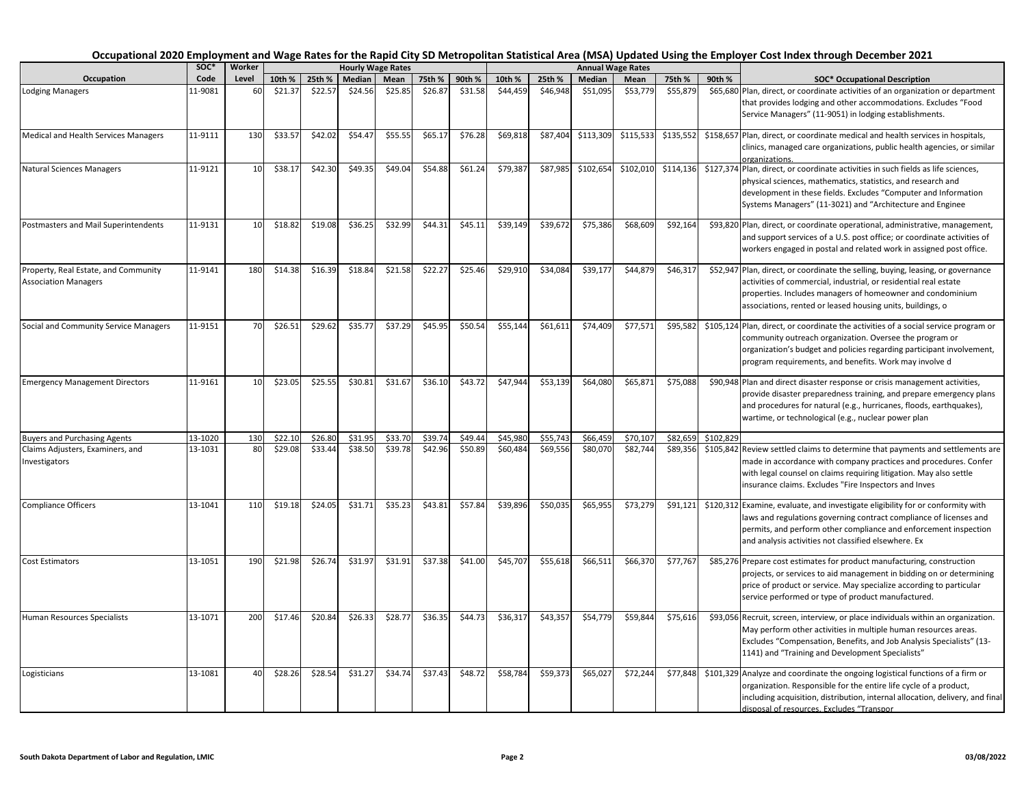|                                                                     | SOC*    | Worker |         |         |         | <b>Hourly Wage Rates</b> |         |         |          |          |           | <b>Annual Wage Rates</b> |           |           |                                                                                                                                                                                                                                                                                   |
|---------------------------------------------------------------------|---------|--------|---------|---------|---------|--------------------------|---------|---------|----------|----------|-----------|--------------------------|-----------|-----------|-----------------------------------------------------------------------------------------------------------------------------------------------------------------------------------------------------------------------------------------------------------------------------------|
| Occupation                                                          | Code    | Level  | 10th %  | 25th %  | Median  | Mean                     | 75th %  | 90th %  | 10th %   | 25th %   | Median    | Mean                     | 75th %    | 90th %    | <b>SOC* Occupational Description</b>                                                                                                                                                                                                                                              |
| <b>Lodging Managers</b>                                             | 11-9081 | 60     | \$21.37 | \$22.57 | \$24.56 | \$25.85                  | \$26.87 | \$31.58 | \$44,459 | \$46,948 | \$51,095  | \$53,779                 | \$55,879  |           | \$65,680 Plan, direct, or coordinate activities of an organization or department<br>that provides lodging and other accommodations. Excludes "Food<br>Service Managers" (11-9051) in lodging establishments.                                                                      |
| Medical and Health Services Managers                                | 11-9111 | 130    | \$33.57 | \$42.02 | \$54.47 | \$55.55                  | \$65.17 | \$76.28 | \$69,818 | \$87,404 | \$113,309 | \$115,533                | \$135,552 |           | \$158,657 Plan, direct, or coordinate medical and health services in hospitals,<br>clinics, managed care organizations, public health agencies, or similar<br>prganizations.                                                                                                      |
| Natural Sciences Managers                                           | 11-9121 | 10     | \$38.17 | \$42.30 | \$49.35 | \$49.04                  | \$54.88 | \$61.24 | \$79,387 | \$87,985 | \$102,654 | \$102,010                | \$114,136 |           | \$127,374 Plan, direct, or coordinate activities in such fields as life sciences,<br>physical sciences, mathematics, statistics, and research and<br>development in these fields. Excludes "Computer and Information<br>Systems Managers" (11-3021) and "Architecture and Enginee |
| Postmasters and Mail Superintendents                                | 11-9131 | 10     | \$18.82 | \$19.08 | \$36.25 | \$32.99                  | \$44.31 | \$45.11 | \$39,149 | \$39,672 | \$75,386  | \$68,609                 | \$92,164  |           | \$93,820 Plan, direct, or coordinate operational, administrative, management,<br>and support services of a U.S. post office; or coordinate activities of<br>workers engaged in postal and related work in assigned post office.                                                   |
| Property, Real Estate, and Community<br><b>Association Managers</b> | 11-9141 | 180    | \$14.38 | \$16.39 | \$18.84 | \$21.58                  | \$22.27 | \$25.46 | \$29,910 | \$34,084 | \$39,177  | \$44,879                 | \$46,317  |           | \$52,947 Plan, direct, or coordinate the selling, buying, leasing, or governance<br>activities of commercial, industrial, or residential real estate<br>properties. Includes managers of homeowner and condominium<br>associations, rented or leased housing units, buildings, o  |
| Social and Community Service Managers                               | 11-9151 | 70     | \$26.51 | \$29.62 | \$35.77 | \$37.29                  | \$45.95 | \$50.54 | \$55,144 | \$61,611 | \$74,409  | \$77,571                 | \$95,582  |           | \$105,124 Plan, direct, or coordinate the activities of a social service program or<br>community outreach organization. Oversee the program or<br>organization's budget and policies regarding participant involvement,<br>program requirements, and benefits. Work may involve d |
| <b>Emergency Management Directors</b>                               | 11-9161 | 10     | \$23.05 | \$25.55 | \$30.81 | \$31.67                  | \$36.10 | \$43.72 | \$47,944 | \$53,139 | \$64,080  | \$65,871                 | \$75,088  |           | \$90,948 Plan and direct disaster response or crisis management activities,<br>provide disaster preparedness training, and prepare emergency plans<br>and procedures for natural (e.g., hurricanes, floods, earthquakes),<br>wartime, or technological (e.g., nuclear power plan  |
| <b>Buyers and Purchasing Agents</b>                                 | 13-1020 | 130    | \$22.10 | \$26.80 | \$31.95 | \$33.70                  | \$39.74 | \$49.44 | \$45,980 | \$55,743 | \$66,459  | \$70,107                 | \$82,659  | \$102,829 |                                                                                                                                                                                                                                                                                   |
| Claims Adjusters, Examiners, and<br>Investigators                   | 13-1031 | 80     | \$29.08 | \$33.44 | \$38.50 | \$39.78                  | \$42.96 | \$50.89 | \$60,484 | \$69,556 | \$80,070  | \$82,744                 | \$89,356  |           | \$105,842 Review settled claims to determine that payments and settlements are<br>made in accordance with company practices and procedures. Confer<br>with legal counsel on claims requiring litigation. May also settle<br>insurance claims. Excludes "Fire Inspectors and Inves |
| <b>Compliance Officers</b>                                          | 13-1041 | 110    | \$19.18 | \$24.05 | \$31.71 | \$35.23                  | \$43.81 | \$57.84 | \$39,896 | \$50,035 | \$65,955  | \$73,279                 | \$91,121  |           | \$120,312 Examine, evaluate, and investigate eligibility for or conformity with<br>laws and regulations governing contract compliance of licenses and<br>permits, and perform other compliance and enforcement inspection<br>and analysis activities not classified elsewhere. Ex |
| Cost Estimators                                                     | 13-1051 | 190    | \$21.98 | \$26.74 | \$31.97 | \$31.91                  | \$37.38 | \$41.00 | \$45,707 | \$55,618 | \$66,511  | \$66,370                 | \$77,767  |           | \$85,276 Prepare cost estimates for product manufacturing, construction<br>projects, or services to aid management in bidding on or determining<br>price of product or service. May specialize according to particular<br>service performed or type of product manufactured.      |
| Human Resources Specialists                                         | 13-1071 | 200    | \$17.46 | \$20.84 | \$26.33 | \$28.77                  | \$36.35 | \$44.73 | \$36,317 | \$43,357 | \$54,779  | \$59,844                 | \$75,616  |           | \$93,056 Recruit, screen, interview, or place individuals within an organization.<br>May perform other activities in multiple human resources areas.<br>Excludes "Compensation, Benefits, and Job Analysis Specialists" (13-<br>1141) and "Training and Development Specialists"  |
| Logisticians                                                        | 13-1081 | 40     | \$28.26 | \$28.54 | \$31.27 | \$34.74                  | \$37.43 | \$48.72 | \$58,784 | \$59,373 | \$65,02   | \$72,244                 | \$77,848  |           | \$101,329 Analyze and coordinate the ongoing logistical functions of a firm or<br>organization. Responsible for the entire life cycle of a product,<br>including acquisition, distribution, internal allocation, delivery, and final<br>disposal of resources. Excludes "Transpor |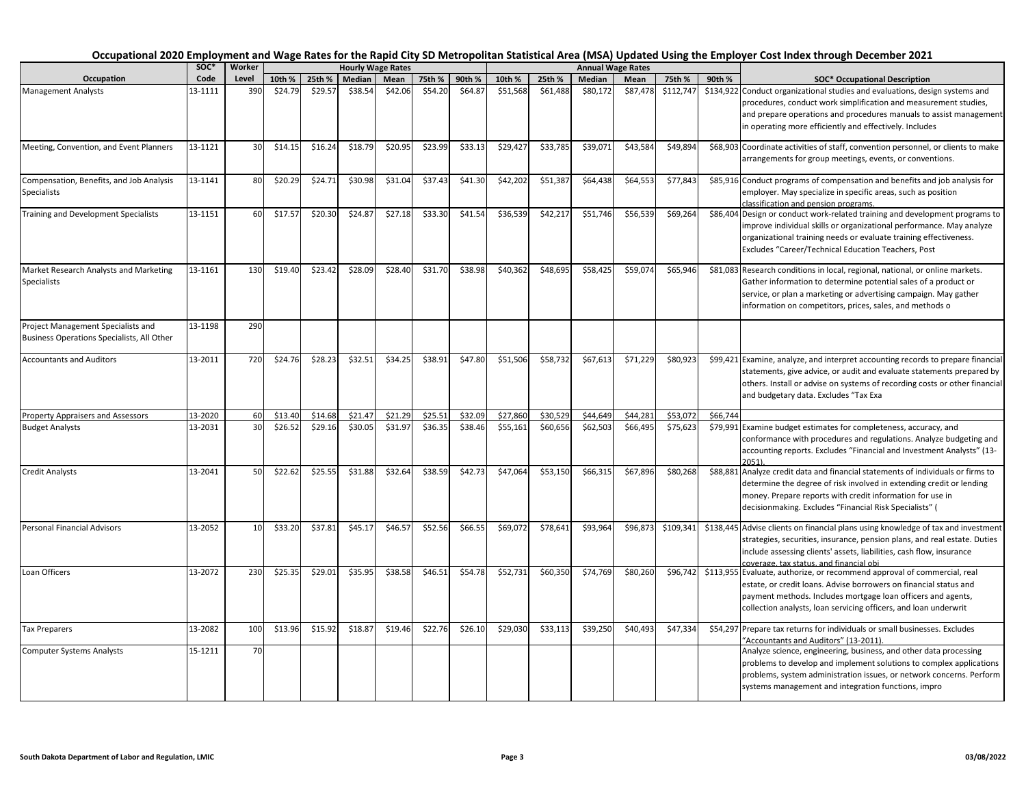|                                                                                  | soc*    | Worker |         |         | <b>Hourly Wage Rates</b> |         |         |         |          |          |          | <b>Annual Wage Rates</b> |           |          |                                                                                                                                                                                                                                                                                    |
|----------------------------------------------------------------------------------|---------|--------|---------|---------|--------------------------|---------|---------|---------|----------|----------|----------|--------------------------|-----------|----------|------------------------------------------------------------------------------------------------------------------------------------------------------------------------------------------------------------------------------------------------------------------------------------|
| Occupation                                                                       | Code    | Level  | 10th %  | 25th %  | Median                   | Mean    | 75th %  | 90th %  | 10th %   | 25th %   | Median   | Mean                     | 75th %    | 90th %   | <b>SOC* Occupational Description</b>                                                                                                                                                                                                                                               |
| <b>Management Analysts</b>                                                       | 13-1111 | 390    | \$24.79 | \$29.57 | \$38.54                  | \$42.06 | \$54.20 | \$64.87 | \$51,568 | \$61,488 | \$80,172 | \$87,478                 | \$112,747 |          | \$134,922 Conduct organizational studies and evaluations, design systems and<br>procedures, conduct work simplification and measurement studies,<br>and prepare operations and procedures manuals to assist management<br>in operating more efficiently and effectively. Includes  |
| Meeting, Convention, and Event Planners                                          | 13-1121 | 30     | \$14.15 | \$16.24 | \$18.79                  | \$20.95 | \$23.99 | \$33.13 | \$29,427 | \$33,785 | \$39,071 | \$43,584                 | \$49,894  |          | \$68,903 Coordinate activities of staff, convention personnel, or clients to make<br>arrangements for group meetings, events, or conventions.                                                                                                                                      |
| Compensation, Benefits, and Job Analysis<br><b>Specialists</b>                   | 13-1141 | 80     | \$20.29 | \$24.71 | \$30.98                  | \$31.04 | \$37.43 | \$41.30 | \$42,202 | \$51,387 | \$64,438 | \$64,553                 | \$77,843  |          | \$85,916 Conduct programs of compensation and benefits and job analysis for<br>employer. May specialize in specific areas, such as position<br>classification and pension programs.                                                                                                |
| Training and Development Specialists                                             | 13-1151 | 60     | \$17.57 | \$20.30 | \$24.87                  | \$27.18 | \$33.30 | \$41.54 | \$36,539 | \$42,217 | \$51,746 | \$56,539                 | \$69,264  |          | \$86,404 Design or conduct work-related training and development programs to<br>improve individual skills or organizational performance. May analyze<br>organizational training needs or evaluate training effectiveness.<br>Excludes "Career/Technical Education Teachers, Post   |
| Market Research Analysts and Marketing<br>Specialists                            | 13-1161 | 130    | \$19.40 | \$23.42 | \$28.09                  | \$28.40 | \$31.70 | \$38.98 | \$40,362 | \$48,695 | \$58,425 | \$59,074                 | \$65,946  |          | \$81,083 Research conditions in local, regional, national, or online markets.<br>Gather information to determine potential sales of a product or<br>service, or plan a marketing or advertising campaign. May gather<br>information on competitors, prices, sales, and methods o   |
| Project Management Specialists and<br>Business Operations Specialists, All Other | 13-1198 | 290    |         |         |                          |         |         |         |          |          |          |                          |           |          |                                                                                                                                                                                                                                                                                    |
| <b>Accountants and Auditors</b>                                                  | 13-2011 | 720    | \$24.76 | \$28.23 | \$32.51                  | \$34.25 | \$38.91 | \$47.80 | \$51,506 | \$58,732 | \$67,613 | \$71,229                 | \$80,923  |          | \$99,421 Examine, analyze, and interpret accounting records to prepare financial<br>statements, give advice, or audit and evaluate statements prepared by<br>others. Install or advise on systems of recording costs or other financial<br>and budgetary data. Excludes "Tax Exa   |
| Property Appraisers and Assessors                                                | 13-2020 | 60     | \$13.40 | \$14.68 | \$21.47                  | \$21.29 | \$25.51 | \$32.09 | \$27,860 | \$30,529 | \$44,649 | \$44,281                 | \$53,072  | \$66,744 |                                                                                                                                                                                                                                                                                    |
| <b>Budget Analysts</b>                                                           | 13-2031 | 30     | \$26.52 | \$29.16 | \$30.05                  | \$31.97 | \$36.35 | \$38.46 | \$55,161 | \$60,656 | \$62,503 | \$66,495                 | \$75,623  |          | \$79,991 Examine budget estimates for completeness, accuracy, and<br>conformance with procedures and regulations. Analyze budgeting and<br>accounting reports. Excludes "Financial and Investment Analysts" (13-<br>2051)                                                          |
| <b>Credit Analysts</b>                                                           | 13-2041 | 50     | \$22.62 | \$25.55 | \$31.88                  | \$32.64 | \$38.59 | \$42.73 | \$47,064 | \$53,150 | \$66,315 | \$67,896                 | \$80,268  |          | \$88,881 Analyze credit data and financial statements of individuals or firms to<br>determine the degree of risk involved in extending credit or lending<br>money. Prepare reports with credit information for use in<br>decisionmaking. Excludes "Financial Risk Specialists" (   |
| <b>Personal Financial Advisors</b>                                               | 13-2052 | 10     | \$33.20 | \$37.81 | \$45.17                  | \$46.57 | \$52.56 | \$66.55 | \$69,072 | \$78,641 | \$93,964 | \$96,873                 | \$109,341 |          | \$138,445 Advise clients on financial plans using knowledge of tax and investment<br>strategies, securities, insurance, pension plans, and real estate. Duties<br>include assessing clients' assets, liabilities, cash flow, insurance<br>coverage, tax status, and financial obi- |
| Loan Officers                                                                    | 13-2072 | 230    | \$25.35 | \$29.01 | \$35.95                  | \$38.58 | \$46.51 | \$54.78 | \$52,731 | \$60,350 | \$74,769 | \$80,260                 | \$96,742  |          | \$113,955 Evaluate, authorize, or recommend approval of commercial, real<br>estate, or credit loans. Advise borrowers on financial status and<br>payment methods. Includes mortgage loan officers and agents,<br>collection analysts, loan servicing officers, and loan underwrit  |
| <b>Tax Preparers</b>                                                             | 13-2082 | 100    | \$13.96 | \$15.92 | \$18.87                  | \$19.46 | \$22.76 | \$26.10 | \$29,030 | \$33,113 | \$39,250 | \$40,493                 | \$47,334  |          | \$54,297 Prepare tax returns for individuals or small businesses. Excludes<br>"Accountants and Auditors" (13-2011)                                                                                                                                                                 |
| <b>Computer Systems Analysts</b>                                                 | 15-1211 | 70     |         |         |                          |         |         |         |          |          |          |                          |           |          | Analyze science, engineering, business, and other data processing<br>problems to develop and implement solutions to complex applications<br>problems, system administration issues, or network concerns. Perform<br>systems management and integration functions, impro            |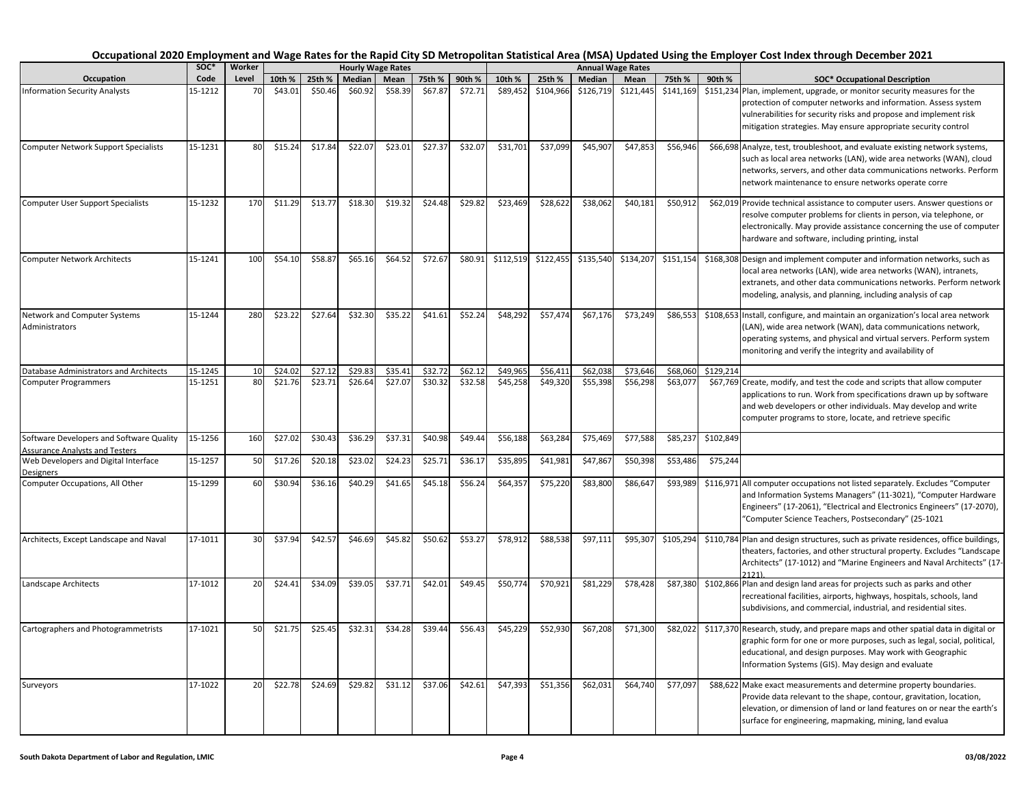|                                                                                   | soc*    | Worker |         |         |         | <b>Hourly Wage Rates</b> |         |         |           |           |           | <b>Annual Wage Rates</b> |           |           |                                                                                                                                                                                                                                                                                   |
|-----------------------------------------------------------------------------------|---------|--------|---------|---------|---------|--------------------------|---------|---------|-----------|-----------|-----------|--------------------------|-----------|-----------|-----------------------------------------------------------------------------------------------------------------------------------------------------------------------------------------------------------------------------------------------------------------------------------|
| Occupation                                                                        | Code    | Level  | 10th %  | 25th %  | Median  | Mean                     | 75th %  | 90th %  | 10th %    | 25th %    | Median    | Mean                     | 75th %    | 90th %    | <b>SOC* Occupational Description</b>                                                                                                                                                                                                                                              |
| <b>Information Security Analysts</b>                                              | 15-1212 | 70     | \$43.01 | \$50.46 | \$60.92 | \$58.39                  | \$67.87 | \$72.71 | \$89,452  | \$104,966 | \$126,719 | \$121,445                | \$141,169 |           | \$151,234 Plan, implement, upgrade, or monitor security measures for the<br>protection of computer networks and information. Assess system<br>vulnerabilities for security risks and propose and implement risk<br>mitigation strategies. May ensure appropriate security control |
| <b>Computer Network Support Specialists</b>                                       | 15-1231 | 80     | \$15.24 | \$17.84 | \$22.07 | \$23.01                  | \$27.37 | \$32.07 | \$31,701  | \$37,099  | \$45,907  | \$47,853                 | \$56,946  |           | \$66,698 Analyze, test, troubleshoot, and evaluate existing network systems,<br>such as local area networks (LAN), wide area networks (WAN), cloud<br>networks, servers, and other data communications networks. Perform<br>network maintenance to ensure networks operate corre  |
| <b>Computer User Support Specialists</b>                                          | 15-1232 | 170    | \$11.29 | \$13.77 | \$18.30 | \$19.32                  | \$24.48 | \$29.82 | \$23,469  | \$28,622  | \$38,062  | \$40,181                 | \$50,912  |           | \$62,019 Provide technical assistance to computer users. Answer questions or<br>resolve computer problems for clients in person, via telephone, or<br>electronically. May provide assistance concerning the use of computer<br>hardware and software, including printing, instal  |
| <b>Computer Network Architects</b>                                                | 15-1241 | 100    | \$54.10 | \$58.87 | \$65.16 | \$64.52                  | \$72.67 | \$80.91 | \$112,519 | \$122,455 | \$135,540 | \$134,207                | \$151,154 |           | \$168,308 Design and implement computer and information networks, such as<br>local area networks (LAN), wide area networks (WAN), intranets,<br>extranets, and other data communications networks. Perform network<br>modeling, analysis, and planning, including analysis of cap |
| Network and Computer Systems<br>Administrators                                    | 15-1244 | 280    | \$23.22 | \$27.64 | \$32.30 | \$35.22                  | \$41.61 | \$52.24 | \$48,292  | \$57,474  | \$67,176  | \$73,249                 | \$86,553  |           | \$108,653 Install, configure, and maintain an organization's local area network<br>(LAN), wide area network (WAN), data communications network,<br>operating systems, and physical and virtual servers. Perform system<br>monitoring and verify the integrity and availability of |
| Database Administrators and Architects                                            | 15-1245 | 10     | \$24.02 | \$27.12 | \$29.83 | \$35.41                  | \$32.72 | \$62.12 | \$49,965  | \$56,411  | \$62,038  | \$73,646                 | \$68,060  | \$129,214 |                                                                                                                                                                                                                                                                                   |
| <b>Computer Programmers</b>                                                       | 15-1251 | 80     | \$21.76 | \$23.71 | \$26.64 | \$27.07                  | \$30.32 | \$32.58 | \$45,258  | \$49,320  | \$55,398  | \$56,298                 | \$63,077  |           | \$67,769 Create, modify, and test the code and scripts that allow computer<br>applications to run. Work from specifications drawn up by software<br>and web developers or other individuals. May develop and write<br>computer programs to store, locate, and retrieve specific   |
| Software Developers and Software Quality<br><b>Assurance Analysts and Testers</b> | 15-1256 | 160    | \$27.02 | \$30.43 | \$36.29 | \$37.31                  | \$40.98 | \$49.44 | \$56,188  | \$63,284  | \$75,469  | \$77,588                 | \$85,237  | \$102,849 |                                                                                                                                                                                                                                                                                   |
| Web Developers and Digital Interface<br>Designers                                 | 15-1257 | 50     | \$17.26 | \$20.18 | \$23.02 | \$24.23                  | \$25.71 | \$36.1  | \$35,895  | \$41,981  | \$47,867  | \$50,398                 | \$53,486  | \$75,244  |                                                                                                                                                                                                                                                                                   |
| Computer Occupations, All Other                                                   | 15-1299 | 60     | \$30.94 | \$36.16 | \$40.29 | \$41.65                  | \$45.18 | \$56.24 | \$64,357  | \$75,220  | \$83,800  | \$86,647                 | \$93,989  |           | \$116,971 All computer occupations not listed separately. Excludes "Computer<br>and Information Systems Managers" (11-3021), "Computer Hardware<br>Engineers" (17-2061), "Electrical and Electronics Engineers" (17-2070),<br>"Computer Science Teachers, Postsecondary" (25-1021 |
| Architects, Except Landscape and Naval                                            | 17-1011 | 30     | \$37.94 | \$42.57 | \$46.69 | \$45.82                  | \$50.62 | \$53.27 | \$78,912  | \$88,538  | \$97,111  | \$95,307                 | \$105,294 |           | \$110,784 Plan and design structures, such as private residences, office buildings,<br>theaters, factories, and other structural property. Excludes "Landscape<br>Architects" (17-1012) and "Marine Engineers and Naval Architects" (17                                           |
| Landscape Architects                                                              | 17-1012 | 20     | \$24.41 | \$34.09 | \$39.05 | \$37.71                  | \$42.01 | \$49.45 | \$50,774  | \$70,921  | \$81,229  | \$78,428                 | \$87,380  |           | \$102,866 Plan and design land areas for projects such as parks and other<br>recreational facilities, airports, highways, hospitals, schools, land<br>subdivisions, and commercial, industrial, and residential sites.                                                            |
| Cartographers and Photogrammetrists                                               | 17-1021 | 50     | \$21.75 | \$25.45 | \$32.31 | \$34.28                  | \$39.44 | \$56.43 | \$45,229  | \$52,930  | \$67,208  | \$71,300                 | \$82,022  |           | \$117,370 Research, study, and prepare maps and other spatial data in digital or<br>graphic form for one or more purposes, such as legal, social, political,<br>educational, and design purposes. May work with Geographic<br>Information Systems (GIS). May design and evaluate  |
| Surveyors                                                                         | 17-1022 | 20     | \$22.78 | \$24.69 | \$29.82 | \$31.12                  | \$37.06 | \$42.61 | \$47,393  | \$51,356  | \$62,031  | \$64,740                 | \$77,097  |           | \$88,622 Make exact measurements and determine property boundaries.<br>Provide data relevant to the shape, contour, gravitation, location,<br>elevation, or dimension of land or land features on or near the earth's<br>surface for engineering, mapmaking, mining, land evalua  |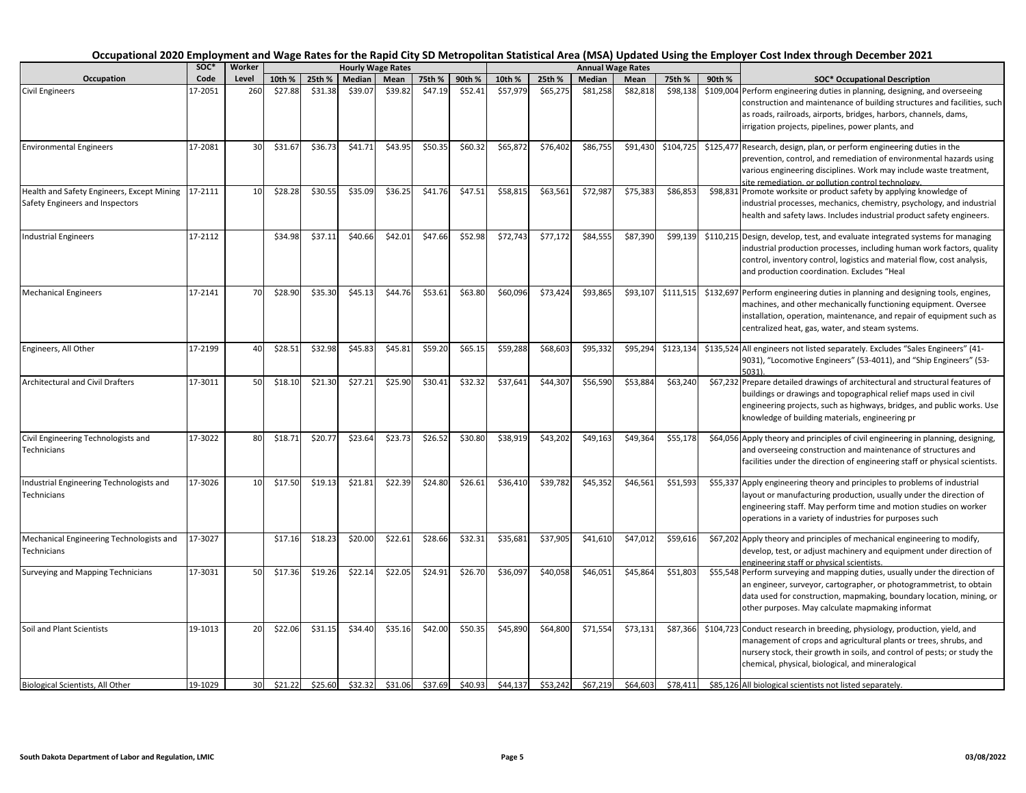| Occupation                                                                    | SOC <sup>*</sup> | Worker          |         |         |         | <b>Hourly Wage Rates</b> |         |         |          |          |          | <b>Annual Wage Rates</b> |           |        |                                                                                                                                                                                                                                                                                   |
|-------------------------------------------------------------------------------|------------------|-----------------|---------|---------|---------|--------------------------|---------|---------|----------|----------|----------|--------------------------|-----------|--------|-----------------------------------------------------------------------------------------------------------------------------------------------------------------------------------------------------------------------------------------------------------------------------------|
|                                                                               | Code             | Level           | 10th %  | 25th %  | Median  | Mean                     | 75th %  | 90th %  | 10th %   | 25th %   | Median   | Mean                     | 75th %    | 90th % | <b>SOC* Occupational Description</b>                                                                                                                                                                                                                                              |
| <b>Civil Engineers</b>                                                        | 17-2051          | 260             | \$27.88 | \$31.38 | \$39.07 | \$39.82                  | \$47.19 | \$52.41 | \$57,979 | \$65,275 | \$81,258 | \$82,818                 | \$98,138  |        | \$109,004 Perform engineering duties in planning, designing, and overseeing<br>construction and maintenance of building structures and facilities, such<br>as roads, railroads, airports, bridges, harbors, channels, dams,<br>irrigation projects, pipelines, power plants, and  |
| <b>Environmental Engineers</b>                                                | 17-2081          | 30              | \$31.67 | \$36.73 | \$41.71 | \$43.95                  | \$50.35 | \$60.32 | \$65,872 | \$76,402 | \$86,755 | \$91,430                 | \$104,725 |        | \$125,477 Research, design, plan, or perform engineering duties in the<br>prevention, control, and remediation of environmental hazards using<br>various engineering disciplines. Work may include waste treatment,<br>ite remediation, or pollution control technology.          |
| Health and Safety Engineers, Except Mining<br>Safety Engineers and Inspectors | 17-2111          | 10              | \$28.28 | \$30.55 | \$35.09 | \$36.25                  | \$41.76 | \$47.51 | \$58,815 | \$63,561 | \$72,987 | \$75,383                 | \$86,853  |        | \$98,831 Promote worksite or product safety by applying knowledge of<br>industrial processes, mechanics, chemistry, psychology, and industrial<br>health and safety laws. Includes industrial product safety engineers.                                                           |
| <b>Industrial Engineers</b>                                                   | 17-2112          |                 | \$34.98 | \$37.11 | \$40.66 | \$42.01                  | \$47.66 | \$52.98 | \$72,743 | \$77,172 | \$84,555 | \$87,390                 | \$99,139  |        | \$110,215 Design, develop, test, and evaluate integrated systems for managing<br>industrial production processes, including human work factors, quality<br>control, inventory control, logistics and material flow, cost analysis,<br>and production coordination. Excludes "Heal |
| <b>Mechanical Engineers</b>                                                   | 17-2141          | 70              | \$28.90 | \$35.30 | \$45.13 | \$44.76                  | \$53.61 | \$63.80 | \$60,096 | \$73,424 | \$93,865 | \$93,107                 | \$111,515 |        | \$132,697 Perform engineering duties in planning and designing tools, engines,<br>machines, and other mechanically functioning equipment. Oversee<br>installation, operation, maintenance, and repair of equipment such as<br>centralized heat, gas, water, and steam systems.    |
| Engineers, All Other                                                          | 17-2199          | 40              | \$28.51 | \$32.98 | \$45.83 | \$45.81                  | \$59.20 | \$65.15 | \$59,288 | \$68,603 | \$95,332 | \$95,294                 | \$123,134 |        | \$135,524 All engineers not listed separately. Excludes "Sales Engineers" (41-<br>9031), "Locomotive Engineers" (53-4011), and "Ship Engineers" (53-<br>5031)                                                                                                                     |
| Architectural and Civil Drafters                                              | 17-3011          | 50              | \$18.10 | \$21.30 | \$27.21 | \$25.90                  | \$30.41 | \$32.32 | \$37,641 | \$44,307 | \$56,590 | \$53,884                 | \$63,240  |        | \$67,232 Prepare detailed drawings of architectural and structural features of<br>buildings or drawings and topographical relief maps used in civil<br>engineering projects, such as highways, bridges, and public works. Use<br>knowledge of building materials, engineering pr  |
| Civil Engineering Technologists and<br>Technicians                            | 17-3022          | 80              | \$18.71 | \$20.77 | \$23.64 | \$23.73                  | \$26.52 | \$30.80 | \$38,919 | \$43,202 | \$49,163 | \$49,364                 | \$55,178  |        | \$64,056 Apply theory and principles of civil engineering in planning, designing,<br>and overseeing construction and maintenance of structures and<br>facilities under the direction of engineering staff or physical scientists.                                                 |
| Industrial Engineering Technologists and<br>Technicians                       | 17-3026          | 10              | \$17.50 | \$19.13 | \$21.81 | \$22.39                  | \$24.80 | \$26.61 | \$36,410 | \$39,782 | \$45,352 | \$46,561                 | \$51,593  |        | \$55,337 Apply engineering theory and principles to problems of industrial<br>layout or manufacturing production, usually under the direction of<br>engineering staff. May perform time and motion studies on worker<br>operations in a variety of industries for purposes such   |
| Mechanical Engineering Technologists and<br>Technicians                       | 17-3027          |                 | \$17.16 | \$18.23 | \$20.00 | \$22.61                  | \$28.66 | \$32.31 | \$35,681 | \$37,905 | \$41,610 | \$47,012                 | \$59,616  |        | \$67,202 Apply theory and principles of mechanical engineering to modify,<br>develop, test, or adjust machinery and equipment under direction of<br>engineering staff or physical scientists.                                                                                     |
| Surveying and Mapping Technicians                                             | 17-3031          | 50              | \$17.36 | \$19.26 | \$22.14 | \$22.05                  | \$24.91 | \$26.70 | \$36,097 | \$40,058 | \$46,051 | \$45,864                 | \$51,803  |        | \$55,548 Perform surveying and mapping duties, usually under the direction of<br>an engineer, surveyor, cartographer, or photogrammetrist, to obtain<br>data used for construction, mapmaking, boundary location, mining, or<br>other purposes. May calculate mapmaking informat  |
| Soil and Plant Scientists                                                     | 19-1013          | 20              | \$22.06 | \$31.15 | \$34.40 | \$35.16                  | \$42.00 | \$50.35 | \$45,890 | \$64,800 | \$71,554 | \$73,131                 | \$87,366  |        | \$104,723 Conduct research in breeding, physiology, production, yield, and<br>management of crops and agricultural plants or trees, shrubs, and<br>nursery stock, their growth in soils, and control of pests; or study the<br>chemical, physical, biological, and mineralogical  |
| Biological Scientists, All Other                                              | 19-1029          | 30 <sup>°</sup> | \$21.22 | \$25.60 | \$32.32 | \$31.06                  | \$37.69 | \$40.93 | \$44.137 | \$53.242 | \$67.219 | \$64,603                 | \$78,411  |        | \$85,126 All biological scientists not listed separately.                                                                                                                                                                                                                         |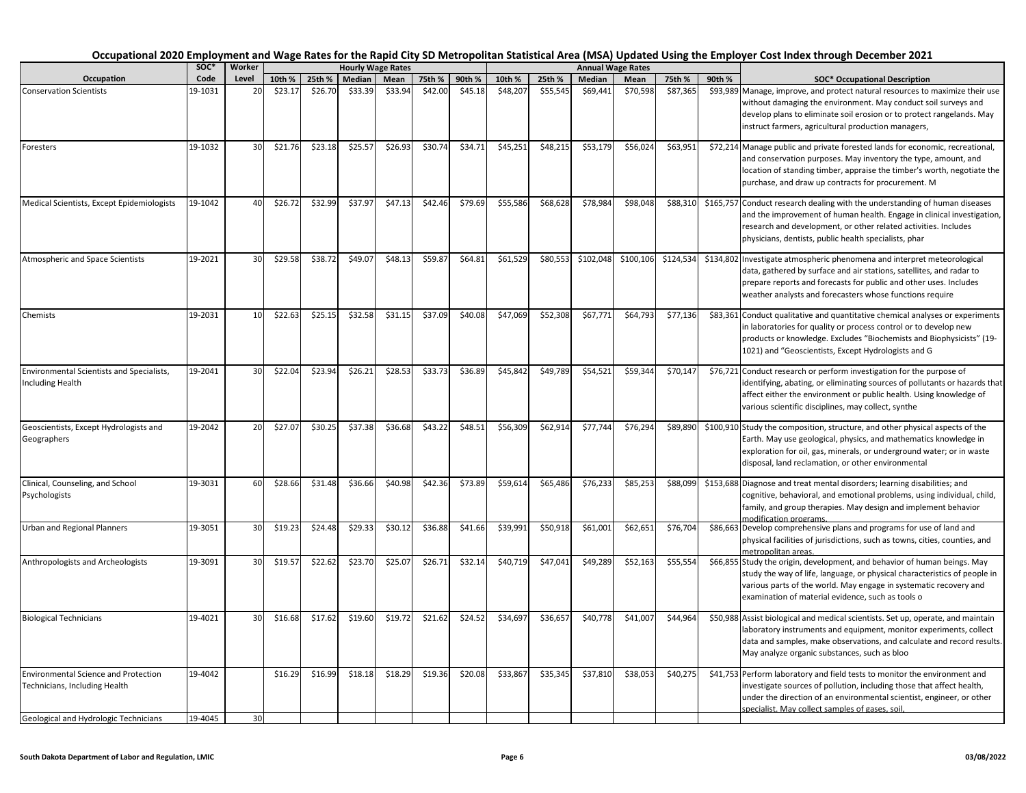|                                                                              | SOC <sup>*</sup> | Worker |         |         |         | <b>Hourly Wage Rates</b> |         |         |          |          |           | <b>Annual Wage Rates</b> |           |        |                                                                                                                                                                                                                                                                                   |
|------------------------------------------------------------------------------|------------------|--------|---------|---------|---------|--------------------------|---------|---------|----------|----------|-----------|--------------------------|-----------|--------|-----------------------------------------------------------------------------------------------------------------------------------------------------------------------------------------------------------------------------------------------------------------------------------|
| Occupation                                                                   | Code             | Level  | 10th %  | 25th %  | Median  | Mean                     | 75th %  | 90th %  | 10th %   | 25th %   | Median    | Mean                     | 75th %    | 90th % | <b>SOC* Occupational Description</b>                                                                                                                                                                                                                                              |
| <b>Conservation Scientists</b>                                               | 19-1031          | 20     | \$23.17 | \$26.70 | \$33.39 | \$33.94                  | \$42.00 | \$45.18 | \$48,207 | \$55,545 | \$69,441  | \$70,598                 | \$87,365  |        | \$93,989 Manage, improve, and protect natural resources to maximize their use<br>without damaging the environment. May conduct soil surveys and<br>develop plans to eliminate soil erosion or to protect rangelands. May<br>instruct farmers, agricultural production managers,   |
| Foresters                                                                    | 19-1032          | 30     | \$21.76 | \$23.18 | \$25.57 | \$26.93                  | \$30.74 | \$34.71 | \$45,251 | \$48,215 | \$53,179  | \$56,024                 | \$63,951  |        | \$72,214 Manage public and private forested lands for economic, recreational,<br>and conservation purposes. May inventory the type, amount, and<br>location of standing timber, appraise the timber's worth, negotiate the<br>purchase, and draw up contracts for procurement. M  |
| Medical Scientists, Except Epidemiologists                                   | 19-1042          | 40     | \$26.72 | \$32.99 | \$37.97 | \$47.13                  | \$42.46 | \$79.69 | \$55,586 | \$68,628 | \$78,984  | \$98,048                 | \$88,310  |        | \$165,757 Conduct research dealing with the understanding of human diseases<br>and the improvement of human health. Engage in clinical investigation,<br>research and development, or other related activities. Includes<br>physicians, dentists, public health specialists, phar |
| Atmospheric and Space Scientists                                             | 19-2021          | 30     | \$29.58 | \$38.72 | \$49.07 | \$48.13                  | \$59.87 | \$64.81 | \$61,529 | \$80,553 | \$102,048 | \$100,106                | \$124,534 |        | \$134,802 Investigate atmospheric phenomena and interpret meteorological<br>data, gathered by surface and air stations, satellites, and radar to<br>prepare reports and forecasts for public and other uses. Includes<br>weather analysts and forecasters whose functions require |
| Chemists                                                                     | 19-2031          | 10     | \$22.63 | \$25.15 | \$32.58 | \$31.15                  | \$37.09 | \$40.08 | \$47,069 | \$52,308 | \$67,771  | \$64,793                 | \$77,136  |        | \$83,361 Conduct qualitative and quantitative chemical analyses or experiments<br>in laboratories for quality or process control or to develop new<br>products or knowledge. Excludes "Biochemists and Biophysicists" (19-<br>1021) and "Geoscientists, Except Hydrologists and G |
| <b>Environmental Scientists and Specialists,</b><br><b>Including Health</b>  | 19-2041          | 30     | \$22.04 | \$23.94 | \$26.21 | \$28.53                  | \$33.73 | \$36.89 | \$45,842 | \$49,789 | \$54,521  | \$59,344                 | \$70,147  |        | \$76,721 Conduct research or perform investigation for the purpose of<br>identifying, abating, or eliminating sources of pollutants or hazards that<br>affect either the environment or public health. Using knowledge of<br>various scientific disciplines, may collect, synthe  |
| Geoscientists, Except Hydrologists and<br>Geographers                        | 19-2042          | 20     | \$27.07 | \$30.25 | \$37.38 | \$36.68                  | \$43.22 | \$48.51 | \$56,309 | \$62,914 | \$77,744  | \$76,294                 | \$89,890  |        | \$100,910 Study the composition, structure, and other physical aspects of the<br>Earth. May use geological, physics, and mathematics knowledge in<br>exploration for oil, gas, minerals, or underground water; or in waste<br>disposal, land reclamation, or other environmental  |
| Clinical, Counseling, and School<br>Psychologists                            | 19-3031          | 60     | \$28.66 | \$31.48 | \$36.66 | \$40.98                  | \$42.36 | \$73.89 | \$59,614 | \$65,486 | \$76,233  | \$85,253                 | \$88,099  |        | \$153,688 Diagnose and treat mental disorders; learning disabilities; and<br>cognitive, behavioral, and emotional problems, using individual, child,<br>family, and group therapies. May design and implement behavior<br>modification programs.                                  |
| <b>Urban and Regional Planners</b>                                           | 19-3051          | 30     | \$19.23 | \$24.48 | \$29.33 | \$30.12                  | \$36.88 | \$41.66 | \$39,991 | \$50,918 | \$61,001  | \$62,651                 | \$76,704  |        | \$86,663 Develop comprehensive plans and programs for use of land and<br>physical facilities of jurisdictions, such as towns, cities, counties, and<br>metropolitan areas.                                                                                                        |
| Anthropologists and Archeologists                                            | 19-3091          | 30     | \$19.57 | \$22.62 | \$23.70 | \$25.07                  | \$26.71 | \$32.14 | \$40,719 | \$47,041 | \$49,289  | \$52,163                 | \$55,554  |        | \$66,855 Study the origin, development, and behavior of human beings. May<br>study the way of life, language, or physical characteristics of people in<br>various parts of the world. May engage in systematic recovery and<br>examination of material evidence, such as tools o  |
| <b>Biological Technicians</b>                                                | 19-4021          | 30     | \$16.68 | \$17.62 | \$19.60 | \$19.72                  | \$21.62 | \$24.52 | \$34,697 | \$36,657 | \$40,778  | \$41,007                 | \$44,964  |        | \$50,988 Assist biological and medical scientists. Set up, operate, and maintain<br>laboratory instruments and equipment, monitor experiments, collect<br>data and samples, make observations, and calculate and record results.<br>May analyze organic substances, such as bloo  |
| <b>Environmental Science and Protection</b><br>Technicians, Including Health | 19-4042          |        | \$16.29 | \$16.99 | \$18.18 | \$18.29                  | \$19.36 | \$20.08 | \$33,867 | \$35,345 | \$37,810  | \$38,053                 | \$40,275  |        | \$41,753 Perform laboratory and field tests to monitor the environment and<br>investigate sources of pollution, including those that affect health,<br>under the direction of an environmental scientist, engineer, or other<br>specialist. May collect samples of gases, soil.   |
| Geological and Hydrologic Technicians                                        | 19-4045          | 30     |         |         |         |                          |         |         |          |          |           |                          |           |        |                                                                                                                                                                                                                                                                                   |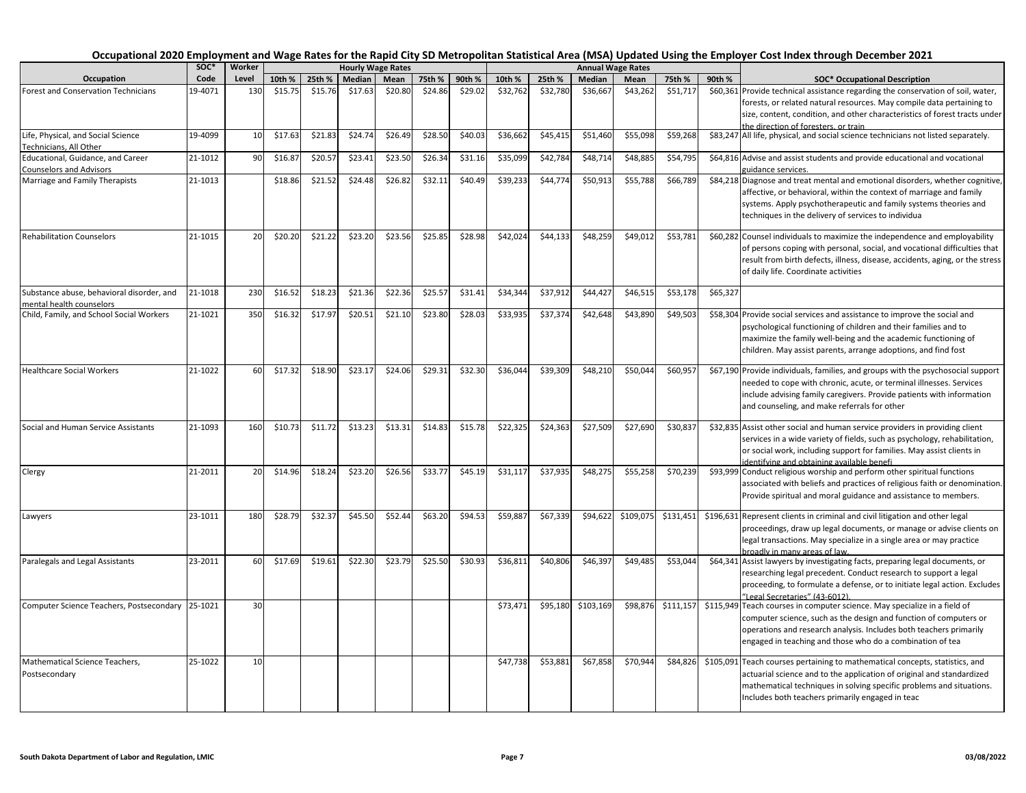|                                                                       | SOC*    | Worker |         |         |         | <b>Hourly Wage Rates</b> |         |         |          |          |           | <b>Annual Wage Rates</b> |           |          |                                                                                                                                                                                                                                                                                                        |
|-----------------------------------------------------------------------|---------|--------|---------|---------|---------|--------------------------|---------|---------|----------|----------|-----------|--------------------------|-----------|----------|--------------------------------------------------------------------------------------------------------------------------------------------------------------------------------------------------------------------------------------------------------------------------------------------------------|
| Occupation                                                            | Code    | Level  | 10th %  | 25th %  | Median  | Mean                     | 75th %  | 90th %  | 10th %   | 25th %   | Median    | Mean                     | 75th %    | 90th %   | <b>SOC* Occupational Description</b>                                                                                                                                                                                                                                                                   |
| <b>Forest and Conservation Technicians</b>                            | 19-4071 | 130    | \$15.75 | \$15.76 | \$17.63 | \$20.80                  | \$24.86 | \$29.02 | \$32,762 | \$32,780 | \$36,667  | \$43,262                 | \$51,717  |          | \$60,361 Provide technical assistance regarding the conservation of soil, water,<br>forests, or related natural resources. May compile data pertaining to<br>size, content, condition, and other characteristics of forest tracts under<br>the direction of foresters, or train                        |
| Life, Physical, and Social Science<br>Technicians. All Other          | 19-4099 | 10     | \$17.63 | \$21.83 | \$24.74 | \$26.49                  | \$28.50 | \$40.03 | \$36,662 | \$45,415 | \$51,460  | \$55,098                 | \$59,268  |          | \$83,247 All life, physical, and social science technicians not listed separately.                                                                                                                                                                                                                     |
| Educational, Guidance, and Career                                     | 21-1012 | 90     | \$16.87 | \$20.57 | \$23.41 | \$23.50                  | \$26.34 | \$31.16 | \$35,099 | \$42,784 | \$48,714  | \$48,885                 | \$54,795  |          | \$64,816 Advise and assist students and provide educational and vocational                                                                                                                                                                                                                             |
| <b>Counselors and Advisors</b><br>Marriage and Family Therapists      | 21-1013 |        | \$18.86 | \$21.52 | \$24.48 | \$26.82                  | \$32.11 | \$40.49 | \$39,233 | \$44,774 | \$50,913  | \$55,788                 | \$66,789  |          | guidance services.<br>\$84,218 Diagnose and treat mental and emotional disorders, whether cognitive,<br>affective, or behavioral, within the context of marriage and family<br>systems. Apply psychotherapeutic and family systems theories and<br>techniques in the delivery of services to individua |
| <b>Rehabilitation Counselors</b>                                      | 21-1015 | 20     | \$20.20 | \$21.22 | \$23.20 | \$23.56                  | \$25.85 | \$28.98 | \$42,024 | \$44,133 | \$48,259  | \$49,012                 | \$53,781  |          | \$60,282 Counsel individuals to maximize the independence and employability<br>of persons coping with personal, social, and vocational difficulties that<br>result from birth defects, illness, disease, accidents, aging, or the stress<br>of daily life. Coordinate activities                       |
| Substance abuse, behavioral disorder, and<br>mental health counselors | 21-1018 | 230    | \$16.52 | \$18.23 | \$21.36 | \$22.36                  | \$25.57 | \$31.41 | \$34,344 | \$37,912 | \$44,427  | \$46,515                 | \$53,178  | \$65,327 |                                                                                                                                                                                                                                                                                                        |
| Child, Family, and School Social Workers                              | 21-1021 | 350    | \$16.32 | \$17.97 | \$20.51 | \$21.10                  | \$23.80 | \$28.03 | \$33,935 | \$37,374 | \$42,648  | \$43,890                 | \$49,503  |          | \$58,304 Provide social services and assistance to improve the social and<br>psychological functioning of children and their families and to<br>maximize the family well-being and the academic functioning of<br>children. May assist parents, arrange adoptions, and find fost                       |
| <b>Healthcare Social Workers</b>                                      | 21-1022 | 60     | \$17.32 | \$18.90 | \$23.17 | \$24.06                  | \$29.31 | \$32.30 | \$36,044 | \$39,309 | \$48,210  | \$50,044                 | \$60,957  |          | \$67,190 Provide individuals, families, and groups with the psychosocial support<br>needed to cope with chronic, acute, or terminal illnesses. Services<br>include advising family caregivers. Provide patients with information<br>and counseling, and make referrals for other                       |
| Social and Human Service Assistants                                   | 21-1093 | 160    | \$10.73 | \$11.72 | \$13.23 | \$13.31                  | \$14.83 | \$15.78 | \$22,325 | \$24,363 | \$27,509  | \$27,690                 | \$30,837  |          | \$32,835 Assist other social and human service providers in providing client<br>services in a wide variety of fields, such as psychology, rehabilitation,<br>or social work, including support for families. May assist clients in<br>identifying and obtaining available benefi                       |
| Clergy                                                                | 21-2011 | 20     | \$14.96 | \$18.24 | \$23.20 | \$26.56                  | \$33.77 | \$45.19 | \$31,117 | \$37,935 | \$48,275  | \$55,258                 | \$70,239  |          | \$93,999 Conduct religious worship and perform other spiritual functions<br>associated with beliefs and practices of religious faith or denomination.<br>Provide spiritual and moral guidance and assistance to members.                                                                               |
| Lawyers                                                               | 23-1011 | 180    | \$28.79 | \$32.37 | \$45.50 | \$52.44                  | \$63.20 | \$94.53 | \$59,887 | \$67,339 | \$94,622  | \$109,075                | \$131,451 |          | \$196,631 Represent clients in criminal and civil litigation and other legal<br>proceedings, draw up legal documents, or manage or advise clients on<br>legal transactions. May specialize in a single area or may practice<br>broadly in many areas of law.                                           |
| Paralegals and Legal Assistants                                       | 23-2011 | 60     | \$17.69 | \$19.61 | \$22.30 | \$23.79                  | \$25.50 | \$30.93 | \$36,811 | \$40,806 | \$46,397  | \$49,485                 | \$53,044  |          | \$64,341 Assist lawyers by investigating facts, preparing legal documents, or<br>researching legal precedent. Conduct research to support a legal<br>proceeding, to formulate a defense, or to initiate legal action. Excludes<br>"Legal Secretaries" (43-6012).                                       |
| Computer Science Teachers, Postsecondary 25-1021                      |         | 30     |         |         |         |                          |         |         | \$73,471 | \$95,180 | \$103,169 | \$98,876                 | \$111,157 |          | \$115,949 Teach courses in computer science. May specialize in a field of<br>computer science, such as the design and function of computers or<br>operations and research analysis. Includes both teachers primarily<br>engaged in teaching and those who do a combination of tea                      |
| Mathematical Science Teachers,<br>Postsecondary                       | 25-1022 | 10     |         |         |         |                          |         |         | \$47,738 | \$53,881 | \$67,858  | \$70,944                 | \$84,826  |          | \$105,091 Teach courses pertaining to mathematical concepts, statistics, and<br>actuarial science and to the application of original and standardized<br>mathematical techniques in solving specific problems and situations.<br>Includes both teachers primarily engaged in teac                      |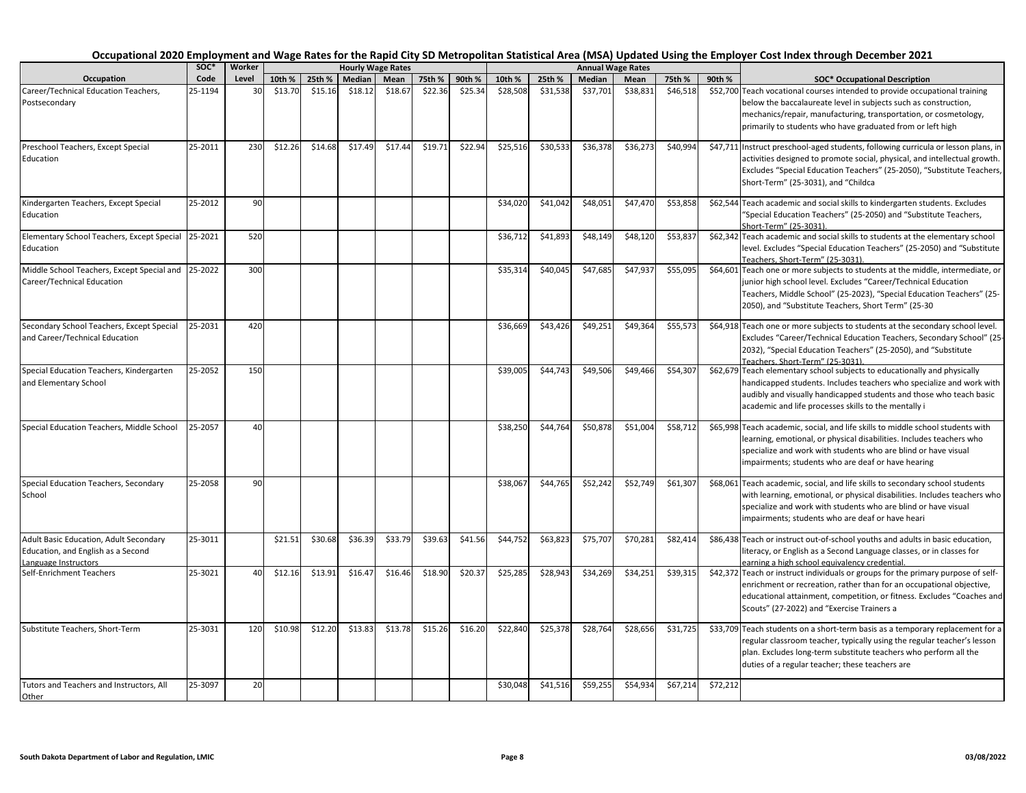|                                                                                                      | soc*    | Worker |         |         |         | <b>Hourly Wage Rates</b> |         |         |          |          |          | <b>Annual Wage Rates</b> |          |          |                                                                                                                                                                                                                                                                                                                                                                        |
|------------------------------------------------------------------------------------------------------|---------|--------|---------|---------|---------|--------------------------|---------|---------|----------|----------|----------|--------------------------|----------|----------|------------------------------------------------------------------------------------------------------------------------------------------------------------------------------------------------------------------------------------------------------------------------------------------------------------------------------------------------------------------------|
| Occupation                                                                                           | Code    | Level  | 10th %  | 25th %  | Median  | Mean                     | 75th %  | 90th %  | 10th %   | 25th %   | Median   | Mean                     | 75th %   | 90th %   | <b>SOC* Occupational Description</b>                                                                                                                                                                                                                                                                                                                                   |
| Career/Technical Education Teachers,<br>Postsecondary                                                | 25-1194 | 30     | \$13.70 | \$15.16 | \$18.12 | \$18.67                  | \$22.36 | \$25.34 | \$28,508 | \$31,538 | \$37,701 | \$38,831                 | \$46,518 |          | \$52,700 Teach vocational courses intended to provide occupational training<br>below the baccalaureate level in subjects such as construction,<br>mechanics/repair, manufacturing, transportation, or cosmetology,<br>primarily to students who have graduated from or left high<br>\$47,711 Instruct preschool-aged students, following curricula or lesson plans, in |
| Preschool Teachers, Except Special<br>Education                                                      | 25-2011 | 230    | \$12.26 | \$14.68 | \$17.49 | \$17.44                  | \$19.71 | \$22.94 | \$25,516 | \$30,533 | \$36,378 | \$36,273                 | \$40,994 |          | activities designed to promote social, physical, and intellectual growth.<br>Excludes "Special Education Teachers" (25-2050), "Substitute Teachers,<br>Short-Term" (25-3031), and "Childca                                                                                                                                                                             |
| Kindergarten Teachers, Except Special<br>Education                                                   | 25-2012 | 90     |         |         |         |                          |         |         | \$34,020 | \$41,042 | \$48,051 | \$47,470                 | \$53,858 |          | \$62,544 Teach academic and social skills to kindergarten students. Excludes<br>"Special Education Teachers" (25-2050) and "Substitute Teachers,<br>Short-Term" (25-3031).                                                                                                                                                                                             |
| Elementary School Teachers, Except Special<br>Education                                              | 25-2021 | 520    |         |         |         |                          |         |         | \$36,712 | \$41,893 | \$48,149 | \$48,120                 | \$53,837 |          | \$62,342 Teach academic and social skills to students at the elementary school<br>level. Excludes "Special Education Teachers" (25-2050) and "Substitute<br>Teachers, Short-Term" (25-3031).                                                                                                                                                                           |
| Middle School Teachers, Except Special and 25-2022<br>Career/Technical Education                     |         | 300    |         |         |         |                          |         |         | \$35,314 | \$40,045 | \$47,685 | \$47,937                 | \$55,095 |          | \$64,601 Teach one or more subjects to students at the middle, intermediate, or<br>junior high school level. Excludes "Career/Technical Education<br>Teachers, Middle School" (25-2023), "Special Education Teachers" (25-<br>2050), and "Substitute Teachers, Short Term" (25-30                                                                                      |
| Secondary School Teachers, Except Special<br>and Career/Technical Education                          | 25-2031 | 420    |         |         |         |                          |         |         | \$36,669 | \$43,426 | \$49,251 | \$49,364                 | \$55,573 |          | \$64,918 Teach one or more subjects to students at the secondary school level.<br>Excludes "Career/Technical Education Teachers, Secondary School" (25-<br>2032), "Special Education Teachers" (25-2050), and "Substitute<br>Teachers. Short-Term" (25-3031).                                                                                                          |
| Special Education Teachers, Kindergarten<br>and Elementary School                                    | 25-2052 | 150    |         |         |         |                          |         |         | \$39,005 | \$44,743 | \$49,506 | \$49,466                 | \$54,307 |          | \$62,679 Teach elementary school subjects to educationally and physically<br>handicapped students. Includes teachers who specialize and work with<br>audibly and visually handicapped students and those who teach basic<br>academic and life processes skills to the mentally i                                                                                       |
| Special Education Teachers, Middle School                                                            | 25-2057 | 40     |         |         |         |                          |         |         | \$38,250 | \$44,764 | \$50,878 | \$51,004                 | \$58,712 |          | \$65,998 Teach academic, social, and life skills to middle school students with<br>learning, emotional, or physical disabilities. Includes teachers who<br>specialize and work with students who are blind or have visual<br>impairments; students who are deaf or have hearing                                                                                        |
| Special Education Teachers, Secondary<br>School                                                      | 25-2058 | 90     |         |         |         |                          |         |         | \$38,067 | \$44,765 | \$52,242 | \$52,749                 | \$61,307 |          | \$68,061 Teach academic, social, and life skills to secondary school students<br>with learning, emotional, or physical disabilities. Includes teachers who<br>specialize and work with students who are blind or have visual<br>impairments; students who are deaf or have heari                                                                                       |
| Adult Basic Education, Adult Secondary<br>Education, and English as a Second<br>Language Instructors | 25-3011 |        | \$21.51 | \$30.68 | \$36.39 | \$33.79                  | \$39.63 | \$41.56 | \$44,752 | \$63,823 | \$75,707 | \$70,281                 | \$82,414 |          | \$86,438 Teach or instruct out-of-school youths and adults in basic education,<br>literacy, or English as a Second Language classes, or in classes for<br>earning a high school equivalency credential.                                                                                                                                                                |
| Self-Enrichment Teachers                                                                             | 25-3021 | 40     | \$12.16 | \$13.91 | \$16.47 | \$16.46                  | \$18.90 | \$20.37 | \$25,285 | \$28,943 | \$34,269 | \$34,251                 | \$39,315 |          | \$42,372 Teach or instruct individuals or groups for the primary purpose of self-<br>enrichment or recreation, rather than for an occupational objective,<br>educational attainment, competition, or fitness. Excludes "Coaches and<br>Scouts" (27-2022) and "Exercise Trainers a                                                                                      |
| Substitute Teachers, Short-Term                                                                      | 25-3031 | 120    | \$10.98 | \$12.20 | \$13.83 | \$13.78                  | \$15.26 | \$16.20 | \$22,840 | \$25,378 | \$28,764 | \$28,656                 | \$31,725 |          | \$33,709 Teach students on a short-term basis as a temporary replacement for a<br>regular classroom teacher, typically using the regular teacher's lesson<br>plan. Excludes long-term substitute teachers who perform all the<br>duties of a regular teacher; these teachers are                                                                                       |
| Tutors and Teachers and Instructors, All<br>Other                                                    | 25-3097 | 20     |         |         |         |                          |         |         | \$30,048 | \$41,516 | \$59,255 | \$54,934                 | \$67,214 | \$72,212 |                                                                                                                                                                                                                                                                                                                                                                        |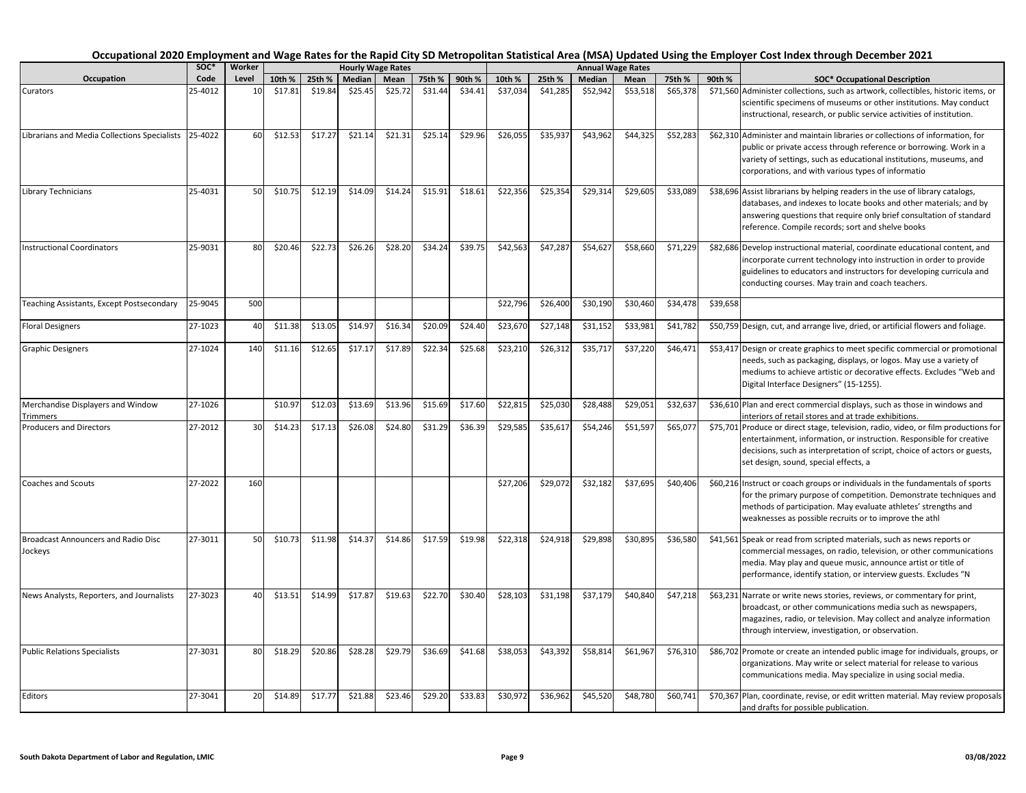|                                                       | soc*    | Worker |         |         | <b>Hourly Wage Rates</b> |         |         |         |          |          | <b>Annual Wage Rates</b> |          |          |          |                                                                                                                                                                                                                                                                                  |
|-------------------------------------------------------|---------|--------|---------|---------|--------------------------|---------|---------|---------|----------|----------|--------------------------|----------|----------|----------|----------------------------------------------------------------------------------------------------------------------------------------------------------------------------------------------------------------------------------------------------------------------------------|
| Occupation                                            | Code    | Level  | 10th %  | 25th %  | Median                   | Mean    | 75th %  | 90th %  | 10th %   | 25th %   | Median                   | Mean     | 75th %   | 90th %   | <b>SOC* Occupational Description</b>                                                                                                                                                                                                                                             |
| Curators                                              | 25-4012 | 10     | \$17.81 | \$19.84 | \$25.45                  | \$25.72 | \$31.44 | \$34.41 | \$37,034 | \$41,285 | \$52,942                 | \$53,518 | \$65,378 |          | \$71,560 Administer collections, such as artwork, collectibles, historic items, or<br>scientific specimens of museums or other institutions. May conduct<br>instructional, research, or public service activities of institution.                                                |
| Librarians and Media Collections Specialists          | 25-4022 | 60     | \$12.53 | \$17.27 | \$21.14                  | \$21.31 | \$25.14 | \$29.96 | \$26,055 | \$35,937 | \$43,962                 | \$44,325 | \$52,283 |          | \$62,310 Administer and maintain libraries or collections of information, for<br>public or private access through reference or borrowing. Work in a<br>variety of settings, such as educational institutions, museums, and<br>corporations, and with various types of informatio |
| Library Technicians                                   | 25-4031 | 50     | \$10.75 | \$12.19 | \$14.09                  | \$14.24 | \$15.91 | \$18.61 | \$22,356 | \$25,354 | \$29,314                 | \$29,605 | \$33,089 |          | \$38,696 Assist librarians by helping readers in the use of library catalogs,<br>databases, and indexes to locate books and other materials; and by<br>answering questions that require only brief consultation of standard<br>reference. Compile records; sort and shelve books |
| <b>Instructional Coordinators</b>                     | 25-9031 | 80     | \$20.46 | \$22.73 | \$26.26                  | \$28.20 | \$34.24 | \$39.75 | \$42,563 | \$47,287 | \$54,627                 | \$58,660 | \$71,229 |          | \$82,686 Develop instructional material, coordinate educational content, and<br>incorporate current technology into instruction in order to provide<br>guidelines to educators and instructors for developing curricula and<br>conducting courses. May train and coach teachers. |
| Teaching Assistants, Except Postsecondary             | 25-9045 | 500    |         |         |                          |         |         |         | \$22,796 | \$26,400 | \$30,190                 | \$30,460 | \$34,478 | \$39,658 |                                                                                                                                                                                                                                                                                  |
| <b>Floral Designers</b>                               | 27-1023 | 40     | \$11.38 | \$13.05 | \$14.97                  | \$16.34 | \$20.09 | \$24.40 | \$23,670 | \$27,148 | \$31,152                 | \$33,981 | \$41,782 |          | \$50,759 Design, cut, and arrange live, dried, or artificial flowers and foliage.                                                                                                                                                                                                |
| <b>Graphic Designers</b>                              | 27-1024 | 140    | \$11.16 | \$12.65 | \$17.17                  | \$17.89 | \$22.34 | \$25.68 | \$23,210 | \$26,312 | \$35,717                 | \$37,220 | \$46,471 |          | \$53,417 Design or create graphics to meet specific commercial or promotional<br>needs, such as packaging, displays, or logos. May use a variety of<br>mediums to achieve artistic or decorative effects. Excludes "Web and<br>Digital Interface Designers" (15-1255).           |
| Merchandise Displayers and Window<br>Trimmers         | 27-1026 |        | \$10.97 | \$12.03 | \$13.69                  | \$13.96 | \$15.69 | \$17.60 | \$22,815 | \$25,030 | \$28,488                 | \$29,051 | \$32,637 |          | \$36,610 Plan and erect commercial displays, such as those in windows and<br>interiors of retail stores and at trade exhibitions.                                                                                                                                                |
| <b>Producers and Directors</b>                        | 27-2012 | 30     | \$14.23 | \$17.13 | \$26.08                  | \$24.80 | \$31.29 | \$36.39 | \$29,585 | \$35,617 | \$54,246                 | \$51,597 | \$65,077 |          | \$75,701 Produce or direct stage, television, radio, video, or film productions for<br>entertainment, information, or instruction. Responsible for creative<br>decisions, such as interpretation of script, choice of actors or guests,<br>set design, sound, special effects, a |
| <b>Coaches and Scouts</b>                             | 27-2022 | 160    |         |         |                          |         |         |         | \$27,206 | \$29,072 | \$32,182                 | \$37,695 | \$40,406 |          | \$60,216 Instruct or coach groups or individuals in the fundamentals of sports<br>for the primary purpose of competition. Demonstrate techniques and<br>methods of participation. May evaluate athletes' strengths and<br>weaknesses as possible recruits or to improve the athl |
| <b>Broadcast Announcers and Radio Disc</b><br>Jockeys | 27-3011 | 50     | \$10.73 | \$11.98 | \$14.37                  | \$14.86 | \$17.59 | \$19.98 | \$22,318 | \$24,918 | \$29,898                 | \$30,895 | \$36,580 |          | \$41,561 Speak or read from scripted materials, such as news reports or<br>commercial messages, on radio, television, or other communications<br>media. May play and queue music, announce artist or title of<br>performance, identify station, or interview guests. Excludes "N |
| News Analysts, Reporters, and Journalists             | 27-3023 | 40     | \$13.51 | \$14.99 | \$17.87                  | \$19.63 | \$22.70 | \$30.40 | \$28,103 | \$31,198 | \$37,179                 | \$40,840 | \$47,218 |          | \$63,231 Narrate or write news stories, reviews, or commentary for print,<br>broadcast, or other communications media such as newspapers,<br>magazines, radio, or television. May collect and analyze information<br>through interview, investigation, or observation.           |
| <b>Public Relations Specialists</b>                   | 27-3031 | 80     | \$18.29 | \$20.86 | \$28.28                  | \$29.79 | \$36.69 | \$41.68 | \$38,053 | \$43,392 | \$58,814                 | \$61,967 | \$76,310 |          | \$86,702 Promote or create an intended public image for individuals, groups, or<br>organizations. May write or select material for release to various<br>communications media. May specialize in using social media.                                                             |
| Editors                                               | 27-3041 | 20     | \$14.89 | \$17.77 | \$21.88                  | \$23.46 | \$29.20 | \$33.83 | \$30.972 | \$36.962 | \$45.520                 | \$48.780 | \$60.741 |          | \$70,367 Plan, coordinate, revise, or edit written material. May review proposals                                                                                                                                                                                                |

and drafts for possible publication.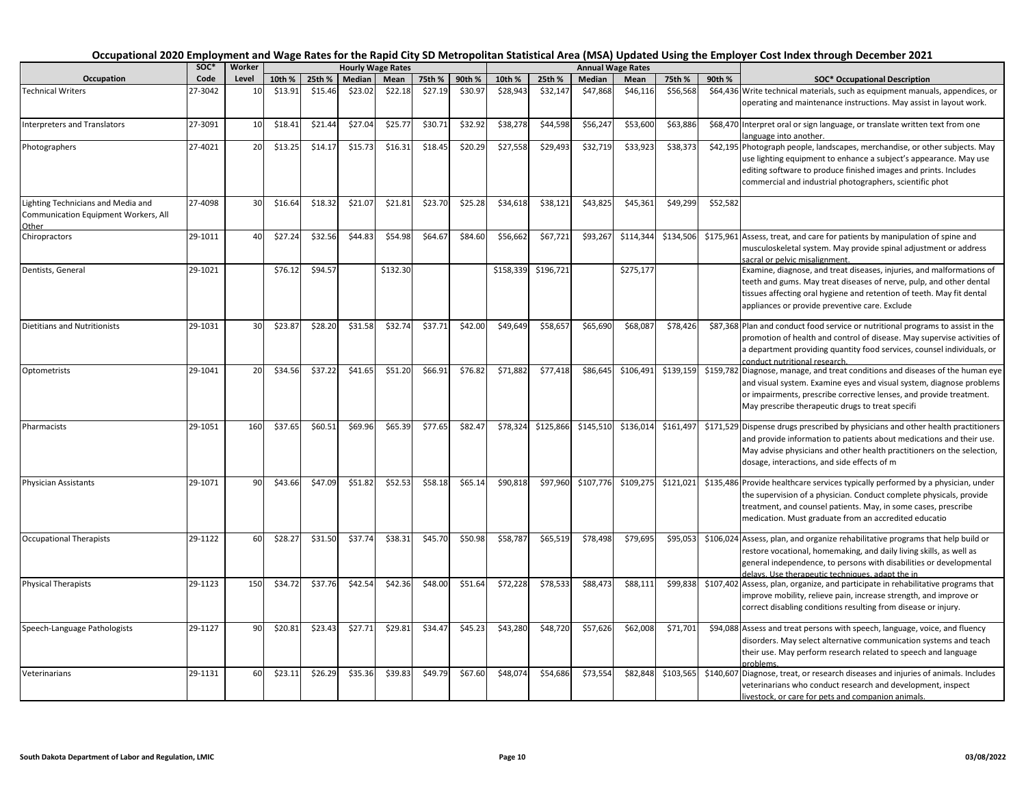|                                      | SOC*    | Worker |         |         |         | <b>Hourly Wage Rates</b> |         |         |           |           |           | <b>Annual Wage Rates</b> |           |          |                                                                                   |
|--------------------------------------|---------|--------|---------|---------|---------|--------------------------|---------|---------|-----------|-----------|-----------|--------------------------|-----------|----------|-----------------------------------------------------------------------------------|
| Occupation                           | Code    | Level  | 10th %  | 25th %  | Median  | Mean                     | 75th %  | 90th %  | 10th %    | 25th %    | Median    | Mean                     | 75th %    | 90th %   | <b>SOC* Occupational Description</b>                                              |
| <b>Technical Writers</b>             | 27-3042 | 10     | \$13.91 | \$15.46 | \$23.02 | \$22.18                  | \$27.19 | \$30.97 | \$28,943  | \$32,147  | \$47,868  | \$46,116                 | \$56,568  |          | \$64,436 Write technical materials, such as equipment manuals, appendices, or     |
|                                      |         |        |         |         |         |                          |         |         |           |           |           |                          |           |          | operating and maintenance instructions. May assist in layout work.                |
| <b>Interpreters and Translators</b>  | 27-3091 | 10     | \$18.41 | \$21.44 | \$27.04 | \$25.77                  | \$30.71 | \$32.92 | \$38,278  | \$44,598  | \$56,247  | \$53,600                 | \$63,886  |          | \$68,470 Interpret oral or sign language, or translate written text from one      |
|                                      |         |        |         |         |         |                          |         |         |           |           |           |                          |           |          | language into another.                                                            |
| Photographers                        | 27-4021 | 20     | \$13.25 | \$14.17 | \$15.73 | \$16.31                  | \$18.45 | \$20.29 | \$27,558  | \$29,493  | \$32,719  | \$33,923                 | \$38,373  |          | \$42,195 Photograph people, landscapes, merchandise, or other subjects. May       |
|                                      |         |        |         |         |         |                          |         |         |           |           |           |                          |           |          | use lighting equipment to enhance a subject's appearance. May use                 |
|                                      |         |        |         |         |         |                          |         |         |           |           |           |                          |           |          | editing software to produce finished images and prints. Includes                  |
|                                      |         |        |         |         |         |                          |         |         |           |           |           |                          |           |          | commercial and industrial photographers, scientific phot                          |
| Lighting Technicians and Media and   | 27-4098 | 30     | \$16.64 | \$18.32 | \$21.07 | \$21.81                  | \$23.70 | \$25.28 | \$34,618  | \$38,121  | \$43,825  | \$45,361                 | \$49,299  | \$52,582 |                                                                                   |
| Communication Equipment Workers, All |         |        |         |         |         |                          |         |         |           |           |           |                          |           |          |                                                                                   |
| Other                                |         |        |         |         |         |                          |         |         |           |           |           |                          |           |          |                                                                                   |
| Chiropractors                        | 29-1011 | 40     | \$27.24 | \$32.56 | \$44.83 | \$54.98                  | \$64.67 | \$84.60 | \$56,662  | \$67,721  | \$93,267  | \$114,344                | \$134,506 |          | \$175,961 Assess, treat, and care for patients by manipulation of spine and       |
|                                      |         |        |         |         |         |                          |         |         |           |           |           |                          |           |          | musculoskeletal system. May provide spinal adjustment or address                  |
|                                      |         |        |         |         |         |                          |         |         |           |           |           |                          |           |          | sacral or pelvic misalignment.                                                    |
| Dentists, General                    | 29-1021 |        | \$76.12 | \$94.57 |         | \$132.30                 |         |         | \$158,339 | \$196,721 |           | \$275,177                |           |          | Examine, diagnose, and treat diseases, injuries, and malformations of             |
|                                      |         |        |         |         |         |                          |         |         |           |           |           |                          |           |          | teeth and gums. May treat diseases of nerve, pulp, and other dental               |
|                                      |         |        |         |         |         |                          |         |         |           |           |           |                          |           |          | tissues affecting oral hygiene and retention of teeth. May fit dental             |
|                                      |         |        |         |         |         |                          |         |         |           |           |           |                          |           |          | appliances or provide preventive care. Exclude                                    |
| <b>Dietitians and Nutritionists</b>  | 29-1031 | 30     | \$23.87 | \$28.20 | \$31.58 | \$32.74                  | \$37.71 | \$42.00 | \$49,649  | \$58,657  | \$65,690  | \$68,087                 | \$78,426  |          | \$87,368 Plan and conduct food service or nutritional programs to assist in the   |
|                                      |         |        |         |         |         |                          |         |         |           |           |           |                          |           |          | promotion of health and control of disease. May supervise activities of           |
|                                      |         |        |         |         |         |                          |         |         |           |           |           |                          |           |          | a department providing quantity food services, counsel individuals, or            |
|                                      |         |        |         |         |         |                          |         |         |           |           |           |                          |           |          | conduct nutritional research.                                                     |
| Optometrists                         | 29-1041 | 20     | \$34.56 | \$37.22 | \$41.65 | \$51.20                  | \$66.91 | \$76.82 | \$71,882  | \$77,418  | \$86,645  | \$106,491                | \$139,159 |          | \$159,782 Diagnose, manage, and treat conditions and diseases of the human eye    |
|                                      |         |        |         |         |         |                          |         |         |           |           |           |                          |           |          | and visual system. Examine eyes and visual system, diagnose problems              |
|                                      |         |        |         |         |         |                          |         |         |           |           |           |                          |           |          | or impairments, prescribe corrective lenses, and provide treatment.               |
|                                      |         |        |         |         |         |                          |         |         |           |           |           |                          |           |          | May prescribe therapeutic drugs to treat specifi                                  |
| Pharmacists                          | 29-1051 | 160    | \$37.65 | \$60.51 | \$69.96 | \$65.39                  | \$77.65 | \$82.47 | \$78,324  | \$125,866 | \$145,510 | \$136,014                | \$161,497 |          | \$171,529 Dispense drugs prescribed by physicians and other health practitioners  |
|                                      |         |        |         |         |         |                          |         |         |           |           |           |                          |           |          | and provide information to patients about medications and their use.              |
|                                      |         |        |         |         |         |                          |         |         |           |           |           |                          |           |          | May advise physicians and other health practitioners on the selection,            |
|                                      |         |        |         |         |         |                          |         |         |           |           |           |                          |           |          | dosage, interactions, and side effects of m                                       |
| <b>Physician Assistants</b>          | 29-1071 | 90     | \$43.66 | \$47.09 | \$51.82 | \$52.53                  | \$58.18 | \$65.14 | \$90,818  | \$97,960  | \$107,776 | \$109,275                | \$121,021 |          | \$135,486 Provide healthcare services typically performed by a physician, under   |
|                                      |         |        |         |         |         |                          |         |         |           |           |           |                          |           |          | the supervision of a physician. Conduct complete physicals, provide               |
|                                      |         |        |         |         |         |                          |         |         |           |           |           |                          |           |          | treatment, and counsel patients. May, in some cases, prescribe                    |
|                                      |         |        |         |         |         |                          |         |         |           |           |           |                          |           |          | medication. Must graduate from an accredited educatio                             |
| <b>Occupational Therapists</b>       | 29-1122 | 60     | \$28.27 | \$31.50 | \$37.74 | \$38.31                  | \$45.70 | \$50.98 | \$58,787  | \$65,519  | \$78,498  | \$79,695                 | \$95,053  |          | \$106,024 Assess, plan, and organize rehabilitative programs that help build or   |
|                                      |         |        |         |         |         |                          |         |         |           |           |           |                          |           |          | restore vocational, homemaking, and daily living skills, as well as               |
|                                      |         |        |         |         |         |                          |         |         |           |           |           |                          |           |          | general independence, to persons with disabilities or developmental               |
|                                      |         |        |         |         |         |                          |         |         |           |           |           |                          |           |          | delays. Use therapeutic techniques, adapt the in                                  |
| <b>Physical Therapists</b>           | 29-1123 | 150    | \$34.72 | \$37.76 | \$42.54 | \$42.36                  | \$48.00 | \$51.64 | \$72,228  | \$78,533  | \$88,473  | \$88,111                 | \$99,838  |          | \$107,402 Assess, plan, organize, and participate in rehabilitative programs that |
|                                      |         |        |         |         |         |                          |         |         |           |           |           |                          |           |          | improve mobility, relieve pain, increase strength, and improve or                 |
|                                      |         |        |         |         |         |                          |         |         |           |           |           |                          |           |          | correct disabling conditions resulting from disease or injury.                    |
| Speech-Language Pathologists         | 29-1127 | 90     | \$20.81 | \$23.43 | \$27.71 | \$29.81                  | \$34.47 | \$45.23 | \$43,280  | \$48,720  | \$57,626  | \$62,008                 | \$71,701  |          | \$94,088 Assess and treat persons with speech, language, voice, and fluency       |
|                                      |         |        |         |         |         |                          |         |         |           |           |           |                          |           |          | disorders. May select alternative communication systems and teach                 |
|                                      |         |        |         |         |         |                          |         |         |           |           |           |                          |           |          | their use. May perform research related to speech and language                    |
|                                      |         |        |         |         |         |                          |         |         |           |           |           |                          |           |          | problems.                                                                         |
| Veterinarians                        | 29-1131 | 60     | \$23.11 | \$26.29 | \$35.36 | \$39.83                  | \$49.79 | \$67.60 | \$48,074  | \$54,686  | \$73,554  | \$82,848                 | \$103,565 |          | \$140,607 Diagnose, treat, or research diseases and injuries of animals. Includes |
|                                      |         |        |         |         |         |                          |         |         |           |           |           |                          |           |          | veterinarians who conduct research and development, inspect                       |
|                                      |         |        |         |         |         |                          |         |         |           |           |           |                          |           |          | livestock, or care for pets and companion animals.                                |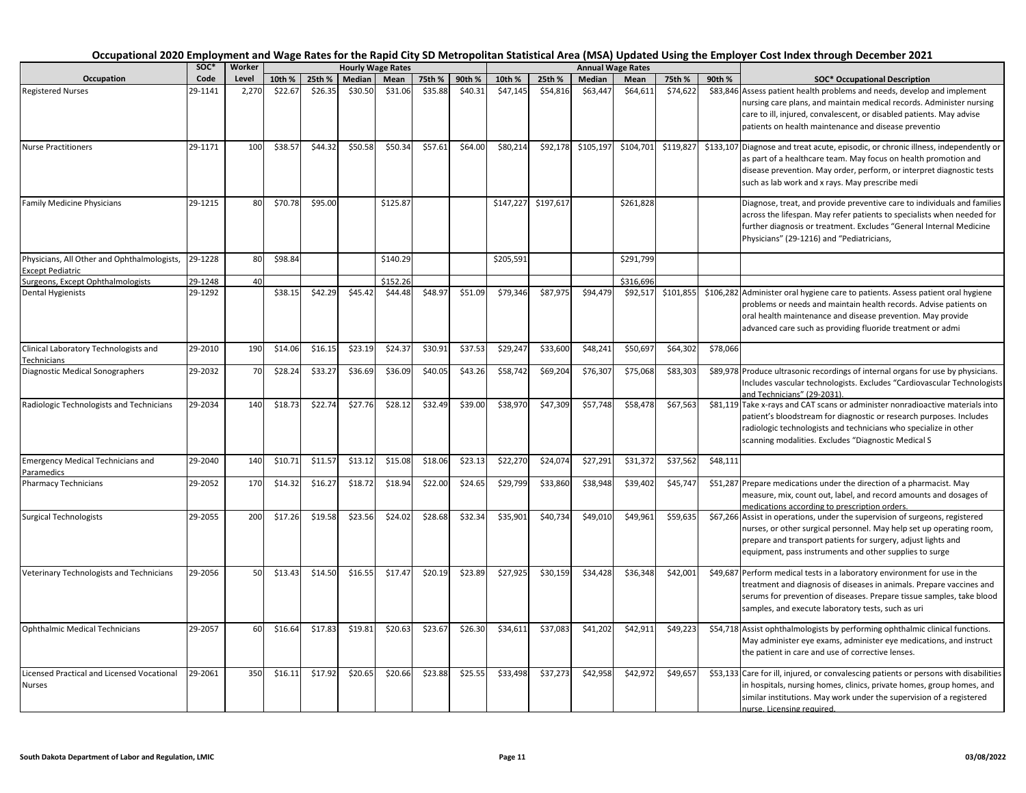|                                                                        | SOC*    | Worker |         |         |         | <b>Hourly Wage Rates</b> |         |         |           |                     |           | <b>Annual Wage Rates</b> |           |          |                                                                                                                                                                                                                                                                                   |
|------------------------------------------------------------------------|---------|--------|---------|---------|---------|--------------------------|---------|---------|-----------|---------------------|-----------|--------------------------|-----------|----------|-----------------------------------------------------------------------------------------------------------------------------------------------------------------------------------------------------------------------------------------------------------------------------------|
| Occupation                                                             | Code    | Level  | 10th %  | 25th %  | Median  | Mean                     | 75th %  | 90th %  | 10th %    | 25th %              | Median    | Mean                     | 75th %    | 90th %   | <b>SOC* Occupational Description</b>                                                                                                                                                                                                                                              |
| <b>Registered Nurses</b>                                               | 29-1141 | 2,270  | \$22.67 | \$26.35 | \$30.50 | \$31.06                  | \$35.88 | \$40.31 | \$47,145  | \$54,816            | \$63,447  | \$64,611                 | \$74,622  |          | \$83,846 Assess patient health problems and needs, develop and implement<br>nursing care plans, and maintain medical records. Administer nursing<br>care to ill, injured, convalescent, or disabled patients. May advise<br>patients on health maintenance and disease preventio  |
| <b>Nurse Practitioners</b>                                             | 29-1171 | 100    | \$38.57 | \$44.32 | \$50.58 | \$50.34                  | \$57.61 | \$64.00 | \$80,214  | \$92,178            | \$105,197 | \$104,701                | \$119,827 |          | \$133,107 Diagnose and treat acute, episodic, or chronic illness, independently or<br>as part of a healthcare team. May focus on health promotion and<br>disease prevention. May order, perform, or interpret diagnostic tests<br>such as lab work and x rays. May prescribe medi |
| Family Medicine Physicians                                             | 29-1215 | 80     | \$70.78 | \$95.00 |         | \$125.87                 |         |         |           | \$147,227 \$197,617 |           | \$261,828                |           |          | Diagnose, treat, and provide preventive care to individuals and families<br>across the lifespan. May refer patients to specialists when needed for<br>further diagnosis or treatment. Excludes "General Internal Medicine<br>Physicians" (29-1216) and "Pediatricians,            |
| Physicians, All Other and Ophthalmologists,<br><b>Except Pediatric</b> | 29-1228 | 80     | \$98.84 |         |         | \$140.29                 |         |         | \$205,591 |                     |           | \$291,799                |           |          |                                                                                                                                                                                                                                                                                   |
| Surgeons, Except Ophthalmologists                                      | 29-1248 | 40     |         |         |         | \$152.26                 |         |         |           |                     |           | \$316,696                |           |          |                                                                                                                                                                                                                                                                                   |
| Dental Hygienists                                                      | 29-1292 |        | \$38.15 | \$42.29 | \$45.42 | \$44.48                  | \$48.97 | \$51.09 | \$79,346  | \$87,975            | \$94,479  | \$92,517                 | \$101,855 |          | \$106,282 Administer oral hygiene care to patients. Assess patient oral hygiene<br>problems or needs and maintain health records. Advise patients on<br>oral health maintenance and disease prevention. May provide<br>advanced care such as providing fluoride treatment or admi |
| Clinical Laboratory Technologists and<br>Technicians                   | 29-2010 | 190    | \$14.06 | \$16.15 | \$23.19 | \$24.37                  | \$30.91 | \$37.53 | \$29,247  | \$33,600            | \$48,241  | \$50,697                 | \$64,302  | \$78,066 |                                                                                                                                                                                                                                                                                   |
| Diagnostic Medical Sonographers                                        | 29-2032 | 70     | \$28.24 | \$33.2  | \$36.69 | \$36.09                  | \$40.05 | \$43.26 | \$58,742  | \$69,204            | \$76,307  | \$75,068                 | \$83,303  |          | \$89,978 Produce ultrasonic recordings of internal organs for use by physicians.<br>Includes vascular technologists. Excludes "Cardiovascular Technologists<br>and Technicians" (29-2031).                                                                                        |
| Radiologic Technologists and Technicians                               | 29-2034 | 140    | \$18.73 | \$22.74 | \$27.76 | \$28.12                  | \$32.49 | \$39.00 | \$38,970  | \$47,309            | \$57,748  | \$58,478                 | \$67,563  |          | \$81,119 Take x-rays and CAT scans or administer nonradioactive materials into<br>patient's bloodstream for diagnostic or research purposes. Includes<br>radiologic technologists and technicians who specialize in other<br>scanning modalities. Excludes "Diagnostic Medical S  |
| <b>Emergency Medical Technicians and</b><br>Paramedics                 | 29-2040 | 140    | \$10.71 | \$11.57 | \$13.12 | \$15.08                  | \$18.06 | \$23.13 | \$22,270  | \$24,074            | \$27,291  | \$31,372                 | \$37,562  | \$48,111 |                                                                                                                                                                                                                                                                                   |
| <b>Pharmacy Technicians</b>                                            | 29-2052 | 170    | \$14.32 | \$16.27 | \$18.72 | \$18.94                  | \$22.00 | \$24.65 | \$29,799  | \$33,860            | \$38,948  | \$39,402                 | \$45,747  |          | \$51,287 Prepare medications under the direction of a pharmacist. May<br>measure, mix, count out, label, and record amounts and dosages of<br>medications according to prescription orders.                                                                                       |
| <b>Surgical Technologists</b>                                          | 29-2055 | 200    | \$17.26 | \$19.58 | \$23.56 | \$24.02                  | \$28.68 | \$32.34 | \$35,901  | \$40,734            | \$49,010  | \$49,961                 | \$59,635  |          | \$67,266 Assist in operations, under the supervision of surgeons, registered<br>nurses, or other surgical personnel. May help set up operating room,<br>prepare and transport patients for surgery, adjust lights and<br>equipment, pass instruments and other supplies to surge  |
| Veterinary Technologists and Technicians                               | 29-2056 | 50     | \$13.43 | \$14.50 | \$16.55 | \$17.47                  | \$20.19 | \$23.89 | \$27,925  | \$30,159            | \$34,428  | \$36,348                 | \$42,001  |          | \$49,687 Perform medical tests in a laboratory environment for use in the<br>treatment and diagnosis of diseases in animals. Prepare vaccines and<br>serums for prevention of diseases. Prepare tissue samples, take blood<br>samples, and execute laboratory tests, such as uri  |
| Ophthalmic Medical Technicians                                         | 29-2057 | 60     | \$16.64 | \$17.83 | \$19.81 | \$20.63                  | \$23.67 | \$26.30 | \$34,611  | \$37,083            | \$41,202  | \$42,911                 | \$49,223  |          | \$54,718 Assist ophthalmologists by performing ophthalmic clinical functions.<br>May administer eye exams, administer eye medications, and instruct<br>the patient in care and use of corrective lenses.                                                                          |
| Licensed Practical and Licensed Vocational<br>Nurses                   | 29-2061 | 350    | \$16.11 | \$17.92 | \$20.65 | \$20.66                  | \$23.88 | \$25.55 | \$33,498  | \$37,273            | \$42,958  | \$42,972                 | \$49,657  |          | \$53,133 Care for ill, injured, or convalescing patients or persons with disabilities<br>in hospitals, nursing homes, clinics, private homes, group homes, and<br>similar institutions. May work under the supervision of a registered<br>nurse. Licensing required.              |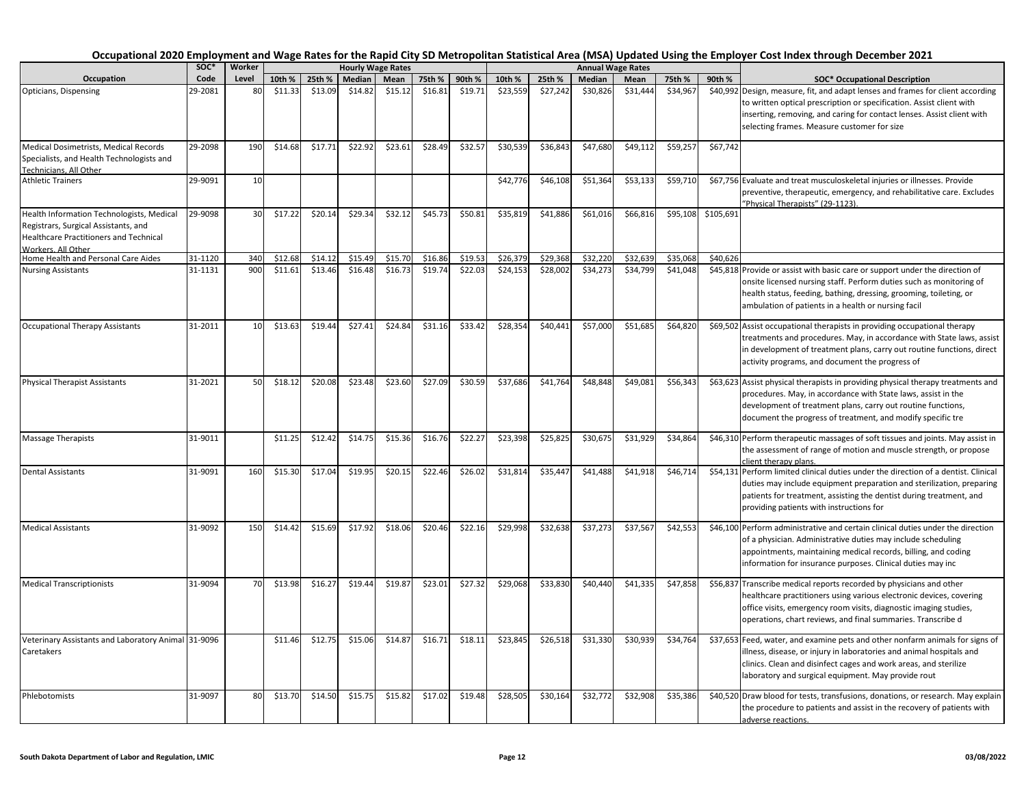|                                                                                                                                                          | soc*    | Worker |         |         |         | <b>Hourly Wage Rates</b> |         |         |          |          |          | <b>Annual Wage Rates</b> |          |           |                                                                                                                                                                                                                                                                                  |
|----------------------------------------------------------------------------------------------------------------------------------------------------------|---------|--------|---------|---------|---------|--------------------------|---------|---------|----------|----------|----------|--------------------------|----------|-----------|----------------------------------------------------------------------------------------------------------------------------------------------------------------------------------------------------------------------------------------------------------------------------------|
| Occupation                                                                                                                                               | Code    | Level  | 10th %  | 25th %  | Median  | Mean                     | 75th %  | 90th %  | 10th %   | 25th %   | Median   | Mean                     | 75th %   | 90th %    | <b>SOC* Occupational Description</b>                                                                                                                                                                                                                                             |
| Opticians, Dispensing                                                                                                                                    | 29-2081 | 80     | \$11.33 | \$13.09 | \$14.82 | \$15.12                  | \$16.81 | \$19.71 | \$23,559 | \$27,242 | \$30,826 | \$31,444                 | \$34,967 |           | \$40,992 Design, measure, fit, and adapt lenses and frames for client according<br>to written optical prescription or specification. Assist client with<br>inserting, removing, and caring for contact lenses. Assist client with<br>selecting frames. Measure customer for size |
| Medical Dosimetrists, Medical Records<br>Specialists, and Health Technologists and<br>Technicians. All Other                                             | 29-2098 | 190    | \$14.68 | \$17.71 | \$22.92 | \$23.61                  | \$28.49 | \$32.57 | \$30,539 | \$36,843 | \$47,680 | \$49,112                 | \$59,257 | \$67,742  |                                                                                                                                                                                                                                                                                  |
| <b>Athletic Trainers</b>                                                                                                                                 | 29-9091 | 10     |         |         |         |                          |         |         | \$42,776 | \$46,108 | \$51,364 | \$53,133                 | \$59,710 |           | \$67,756 Evaluate and treat musculoskeletal injuries or illnesses. Provide<br>preventive, therapeutic, emergency, and rehabilitative care. Excludes<br>"Physical Therapists" (29-1123).                                                                                          |
| Health Information Technologists, Medical<br>Registrars, Surgical Assistants, and<br>Healthcare Practitioners and Technical<br><b>Norkers, All Other</b> | 29-9098 | 30     | \$17.22 | \$20.14 | \$29.34 | \$32.12                  | \$45.73 | \$50.81 | \$35,819 | \$41,886 | \$61,016 | \$66,816                 | \$95,108 | \$105,691 |                                                                                                                                                                                                                                                                                  |
| Home Health and Personal Care Aides                                                                                                                      | 31-1120 | 340    | \$12.68 | \$14.12 | \$15.49 | \$15.70                  | \$16.86 | \$19.53 | \$26,379 | \$29,368 | \$32,220 | \$32,639                 | \$35,068 | \$40,626  |                                                                                                                                                                                                                                                                                  |
| <b>Nursing Assistants</b>                                                                                                                                | 31-1131 | 90C    | \$11.61 | \$13.46 | \$16.48 | \$16.73                  | \$19.74 | \$22.03 | \$24,153 | \$28,002 | \$34,273 | \$34,799                 | \$41,048 |           | \$45,818 Provide or assist with basic care or support under the direction of<br>onsite licensed nursing staff. Perform duties such as monitoring of<br>health status, feeding, bathing, dressing, grooming, toileting, or<br>ambulation of patients in a health or nursing facil |
| <b>Occupational Therapy Assistants</b>                                                                                                                   | 31-2011 | 10     | \$13.63 | \$19.44 | \$27.41 | \$24.84                  | \$31.16 | \$33.42 | \$28,354 | \$40,441 | \$57,000 | \$51,685                 | \$64,820 |           | \$69,502 Assist occupational therapists in providing occupational therapy<br>treatments and procedures. May, in accordance with State laws, assist<br>in development of treatment plans, carry out routine functions, direct<br>activity programs, and document the progress of  |
| <b>Physical Therapist Assistants</b>                                                                                                                     | 31-2021 | 50     | \$18.12 | \$20.08 | \$23.48 | \$23.60                  | \$27.09 | \$30.59 | \$37,686 | \$41,764 | \$48,848 | \$49,081                 | \$56,343 |           | \$63,623 Assist physical therapists in providing physical therapy treatments and<br>procedures. May, in accordance with State laws, assist in the<br>development of treatment plans, carry out routine functions,<br>document the progress of treatment, and modify specific tre |
| <b>Massage Therapists</b>                                                                                                                                | 31-9011 |        | \$11.25 | \$12.42 | \$14.75 | \$15.36                  | \$16.76 | \$22.27 | \$23,398 | \$25,825 | \$30,675 | \$31,929                 | \$34,864 |           | \$46,310 Perform therapeutic massages of soft tissues and joints. May assist in<br>the assessment of range of motion and muscle strength, or propose<br>client therapy plans.                                                                                                    |
| <b>Dental Assistants</b>                                                                                                                                 | 31-9091 | 160    | \$15.30 | \$17.04 | \$19.95 | \$20.15                  | \$22.46 | \$26.02 | \$31,814 | \$35,447 | \$41,488 | \$41,918                 | \$46,714 |           | \$54,131 Perform limited clinical duties under the direction of a dentist. Clinical<br>duties may include equipment preparation and sterilization, preparing<br>patients for treatment, assisting the dentist during treatment, and<br>providing patients with instructions for  |
| <b>Medical Assistants</b>                                                                                                                                | 31-9092 | 150    | \$14.42 | \$15.69 | \$17.92 | \$18.06                  | \$20.46 | \$22.16 | \$29,998 | \$32,638 | \$37,273 | \$37,567                 | \$42,553 |           | \$46,100 Perform administrative and certain clinical duties under the direction<br>of a physician. Administrative duties may include scheduling<br>appointments, maintaining medical records, billing, and coding<br>information for insurance purposes. Clinical duties may inc |
| <b>Medical Transcriptionists</b>                                                                                                                         | 31-9094 | 70     | \$13.98 | \$16.27 | \$19.44 | \$19.87                  | \$23.01 | \$27.32 | \$29,068 | \$33,830 | \$40,440 | \$41,335                 | \$47,858 |           | \$56,837 Transcribe medical reports recorded by physicians and other<br>healthcare practitioners using various electronic devices, covering<br>office visits, emergency room visits, diagnostic imaging studies,<br>operations, chart reviews, and final summaries. Transcribe d |
| Veterinary Assistants and Laboratory Animal 31-9096<br>Caretakers                                                                                        |         |        | \$11.46 | \$12.75 | \$15.06 | \$14.87                  | \$16.71 | \$18.11 | \$23,845 | \$26,518 | \$31,330 | \$30,939                 | \$34,764 |           | \$37,653 Feed, water, and examine pets and other nonfarm animals for signs of<br>illness, disease, or injury in laboratories and animal hospitals and<br>clinics. Clean and disinfect cages and work areas, and sterilize<br>laboratory and surgical equipment. May provide rout |
| Phlebotomists                                                                                                                                            | 31-9097 | 80     | \$13.70 | \$14.50 | \$15.75 | \$15.82                  | \$17.02 | \$19.48 | \$28,505 | \$30,164 | \$32,772 | \$32,908                 | \$35,386 |           | \$40,520 Draw blood for tests, transfusions, donations, or research. May explain<br>the procedure to patients and assist in the recovery of patients with<br>adverse reactions.                                                                                                  |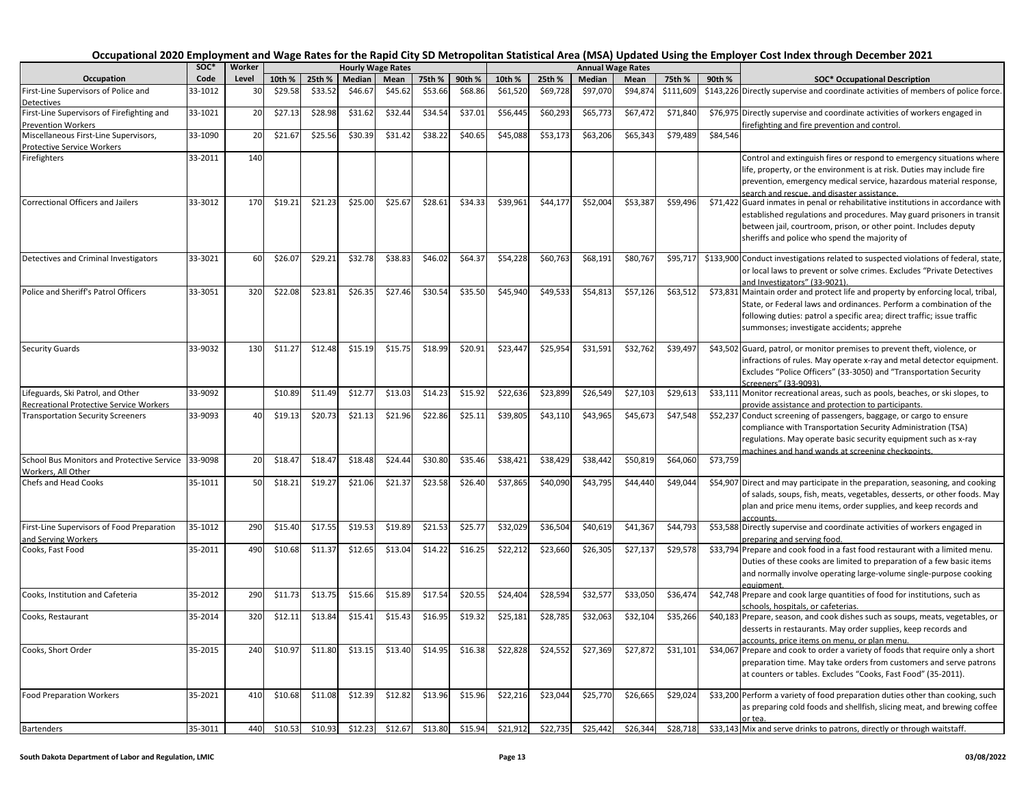|                                                | SOC*    | Worker |         |         |         | <b>Hourly Wage Rates</b> |         |         |          |          |          | <b>Annual Wage Rates</b> |           |          |                                                                                                            |
|------------------------------------------------|---------|--------|---------|---------|---------|--------------------------|---------|---------|----------|----------|----------|--------------------------|-----------|----------|------------------------------------------------------------------------------------------------------------|
| Occupation                                     | Code    | Level  | 10th %  | 25th %  | Median  | Mean                     | 75th %  | 90th %  | 10th %   | 25th %   | Median   | Mean                     | 75th %    | 90th %   | <b>SOC* Occupational Description</b>                                                                       |
| First-Line Supervisors of Police and           | 33-1012 | 30     | \$29.58 | \$33.52 | \$46.67 | \$45.62                  | \$53.66 | \$68.86 | \$61,520 | \$69,728 | \$97,070 | \$94,874                 | \$111,609 |          | \$143,226 Directly supervise and coordinate activities of members of police force.                         |
| <b>Detectives</b>                              |         |        |         |         |         |                          |         |         |          |          |          |                          |           |          |                                                                                                            |
| First-Line Supervisors of Firefighting and     | 33-1021 | 20     | \$27.13 | \$28.98 | \$31.62 | \$32.44                  | \$34.54 | \$37.01 | \$56,445 | \$60,293 | \$65,773 | \$67,472                 | \$71,840  |          | \$76,975 Directly supervise and coordinate activities of workers engaged in                                |
| <b>Prevention Workers</b>                      |         |        |         |         |         |                          |         |         |          |          |          |                          |           |          | irefighting and fire prevention and control.                                                               |
| Miscellaneous First-Line Supervisors,          | 33-1090 | 20     | \$21.67 | \$25.56 | \$30.39 | \$31.42                  | \$38.22 | \$40.65 | \$45,088 | \$53,173 | \$63,206 | \$65,343                 | \$79,489  | \$84,546 |                                                                                                            |
| Protective Service Workers                     |         |        |         |         |         |                          |         |         |          |          |          |                          |           |          |                                                                                                            |
| Firefighters                                   | 33-2011 | 140    |         |         |         |                          |         |         |          |          |          |                          |           |          | Control and extinguish fires or respond to emergency situations where                                      |
|                                                |         |        |         |         |         |                          |         |         |          |          |          |                          |           |          | life, property, or the environment is at risk. Duties may include fire                                     |
|                                                |         |        |         |         |         |                          |         |         |          |          |          |                          |           |          | prevention, emergency medical service, hazardous material response,                                        |
|                                                |         |        |         |         |         |                          |         |         |          |          |          |                          |           |          | search and rescue, and disaster assistance.                                                                |
| Correctional Officers and Jailers              | 33-3012 | 170    | \$19.21 | \$21.23 | \$25.00 | \$25.67                  | \$28.61 | \$34.33 | \$39,961 | \$44,177 | \$52,004 | \$53,387                 | \$59,496  |          | \$71,422 Guard inmates in penal or rehabilitative institutions in accordance with                          |
|                                                |         |        |         |         |         |                          |         |         |          |          |          |                          |           |          | established regulations and procedures. May guard prisoners in transit                                     |
|                                                |         |        |         |         |         |                          |         |         |          |          |          |                          |           |          | between jail, courtroom, prison, or other point. Includes deputy                                           |
|                                                |         |        |         |         |         |                          |         |         |          |          |          |                          |           |          | sheriffs and police who spend the majority of                                                              |
|                                                |         |        |         |         |         |                          |         |         |          |          |          |                          |           |          |                                                                                                            |
| Detectives and Criminal Investigators          | 33-3021 | 60     | \$26.07 | \$29.21 | \$32.78 | \$38.83                  | \$46.02 | \$64.37 | \$54,228 | \$60,763 | \$68,191 | \$80,767                 | \$95,717  |          | \$133,900 Conduct investigations related to suspected violations of federal, state,                        |
|                                                |         |        |         |         |         |                          |         |         |          |          |          |                          |           |          | or local laws to prevent or solve crimes. Excludes "Private Detectives                                     |
|                                                |         |        |         |         |         |                          |         |         |          |          |          |                          |           |          | and Investigators" (33-9021)                                                                               |
| Police and Sheriff's Patrol Officers           | 33-3051 | 320    | \$22.08 | \$23.81 | \$26.35 | \$27.46                  | \$30.54 | \$35.50 | \$45,940 | \$49,533 | \$54,813 | \$57,126                 | \$63,512  |          | \$73,831 Maintain order and protect life and property by enforcing local, tribal,                          |
|                                                |         |        |         |         |         |                          |         |         |          |          |          |                          |           |          | State, or Federal laws and ordinances. Perform a combination of the                                        |
|                                                |         |        |         |         |         |                          |         |         |          |          |          |                          |           |          | following duties: patrol a specific area; direct traffic; issue traffic                                    |
|                                                |         |        |         |         |         |                          |         |         |          |          |          |                          |           |          | summonses; investigate accidents; apprehe                                                                  |
|                                                |         |        |         |         |         |                          |         |         |          |          |          |                          |           |          |                                                                                                            |
| <b>Security Guards</b>                         | 33-9032 | 130    | \$11.27 | \$12.48 | \$15.19 | \$15.75                  | \$18.99 | \$20.91 | \$23,447 | \$25,954 | \$31,591 | \$32,762                 | \$39,497  |          | \$43,502 Guard, patrol, or monitor premises to prevent theft, violence, or                                 |
|                                                |         |        |         |         |         |                          |         |         |          |          |          |                          |           |          | infractions of rules. May operate x-ray and metal detector equipment.                                      |
|                                                |         |        |         |         |         |                          |         |         |          |          |          |                          |           |          | Excludes "Police Officers" (33-3050) and "Transportation Security                                          |
|                                                |         |        |         |         |         |                          |         |         |          |          |          |                          |           |          | Screeners" (33-9093)                                                                                       |
| Lifeguards, Ski Patrol, and Other              | 33-9092 |        | \$10.89 | \$11.49 | \$12.77 | \$13.03                  | \$14.23 | \$15.92 | \$22,636 | \$23,899 | \$26,549 | \$27,103                 | \$29,613  |          | \$33,111 Monitor recreational areas, such as pools, beaches, or ski slopes, to                             |
| <b>Recreational Protective Service Workers</b> |         |        |         |         |         |                          |         |         |          |          |          |                          |           |          | provide assistance and protection to participants.                                                         |
| <b>Transportation Security Screeners</b>       | 33-9093 | 40     | \$19.13 | \$20.73 | \$21.13 | \$21.96                  | \$22.86 | \$25.11 | \$39,805 | \$43,110 | \$43,965 | \$45,673                 | \$47,548  |          | \$52,237 Conduct screening of passengers, baggage, or cargo to ensure                                      |
|                                                |         |        |         |         |         |                          |         |         |          |          |          |                          |           |          | compliance with Transportation Security Administration (TSA)                                               |
|                                                |         |        |         |         |         |                          |         |         |          |          |          |                          |           |          | regulations. May operate basic security equipment such as x-ray                                            |
|                                                |         |        |         |         |         |                          |         |         |          |          |          |                          |           |          | machines and hand wands at screening checkpoints                                                           |
| School Bus Monitors and Protective Service     | 33-9098 | 20     | \$18.4  | \$18.4  | \$18.48 | \$24.44                  | \$30.80 | \$35.46 | \$38,421 | \$38,429 | \$38,442 | \$50,819                 | \$64,060  | \$73,759 |                                                                                                            |
| Workers, All Other                             |         |        |         |         |         |                          |         |         |          |          |          |                          |           |          |                                                                                                            |
| Chefs and Head Cooks                           | 35-1011 | 50     | \$18.21 | \$19.2  | \$21.06 | \$21.37                  | \$23.58 | \$26.40 | \$37,865 | \$40,090 | \$43,795 | \$44,440                 | \$49,044  |          | \$54,907 Direct and may participate in the preparation, seasoning, and cooking                             |
|                                                |         |        |         |         |         |                          |         |         |          |          |          |                          |           |          | of salads, soups, fish, meats, vegetables, desserts, or other foods. May                                   |
|                                                |         |        |         |         |         |                          |         |         |          |          |          |                          |           |          | plan and price menu items, order supplies, and keep records and                                            |
| First-Line Supervisors of Food Preparation     | 35-1012 | 290    | \$15.40 | \$17.55 | \$19.53 | \$19.89                  | \$21.53 | \$25.77 | \$32,029 | \$36,504 | \$40,619 | \$41,367                 | \$44,793  |          | accounts                                                                                                   |
| and Serving Workers                            |         |        |         |         |         |                          |         |         |          |          |          |                          |           |          | \$53,588 Directly supervise and coordinate activities of workers engaged in<br>preparing and serving food. |
| Cooks, Fast Food                               | 35-2011 | 490    | \$10.68 | \$11.3  | \$12.65 | \$13.04                  | \$14.22 | \$16.25 | \$22,212 | \$23,660 | \$26,305 | \$27,137                 | \$29,578  |          | \$33,794 Prepare and cook food in a fast food restaurant with a limited menu.                              |
|                                                |         |        |         |         |         |                          |         |         |          |          |          |                          |           |          |                                                                                                            |
|                                                |         |        |         |         |         |                          |         |         |          |          |          |                          |           |          | Duties of these cooks are limited to preparation of a few basic items                                      |
|                                                |         |        |         |         |         |                          |         |         |          |          |          |                          |           |          | and normally involve operating large-volume single-purpose cooking                                         |
| Cooks, Institution and Cafeteria               | 35-2012 | 290    | \$11.73 | \$13.75 | \$15.66 | \$15.89                  | \$17.54 | \$20.55 | \$24,404 | \$28,594 | \$32,57  | \$33,050                 | \$36,474  |          | equipment<br>\$42,748 Prepare and cook large quantities of food for institutions, such as                  |
|                                                |         |        |         |         |         |                          |         |         |          |          |          |                          |           |          | schools, hospitals, or cafeterias.                                                                         |
| Cooks, Restaurant                              | 35-2014 | 320    | \$12.11 | \$13.84 | \$15.41 | \$15.43                  | \$16.95 | \$19.32 | \$25,181 | \$28,785 | \$32,063 | \$32,104                 | \$35,266  |          | \$40,183 Prepare, season, and cook dishes such as soups, meats, vegetables, or                             |
|                                                |         |        |         |         |         |                          |         |         |          |          |          |                          |           |          | desserts in restaurants. May order supplies, keep records and                                              |
|                                                |         |        |         |         |         |                          |         |         |          |          |          |                          |           |          | accounts, price items on menu, or plan menu.                                                               |
| Cooks, Short Order                             | 35-2015 | 240    | \$10.97 | \$11.80 | \$13.15 | \$13.40                  | \$14.95 | \$16.38 | \$22,828 | \$24,552 | \$27,369 | \$27,872                 | \$31,101  |          | \$34,067 Prepare and cook to order a variety of foods that require only a short                            |
|                                                |         |        |         |         |         |                          |         |         |          |          |          |                          |           |          | preparation time. May take orders from customers and serve patrons                                         |
|                                                |         |        |         |         |         |                          |         |         |          |          |          |                          |           |          | at counters or tables. Excludes "Cooks, Fast Food" (35-2011).                                              |
|                                                |         |        |         |         |         |                          |         |         |          |          |          |                          |           |          |                                                                                                            |
| <b>Food Preparation Workers</b>                | 35-2021 | 410    | \$10.68 | \$11.08 | \$12.39 | \$12.82                  | \$13.96 | \$15.96 | \$22,216 | \$23,044 | \$25,770 | \$26,665                 | \$29,024  |          | \$33,200 Perform a variety of food preparation duties other than cooking, such                             |
|                                                |         |        |         |         |         |                          |         |         |          |          |          |                          |           |          | as preparing cold foods and shellfish, slicing meat, and brewing coffee                                    |
|                                                |         |        |         |         |         |                          |         |         |          |          |          |                          |           |          | or tea                                                                                                     |
| <b>Bartenders</b>                              | 35-3011 | 440    | \$10.53 | \$10.93 | \$12.23 | \$12.67                  | \$13.80 | \$15.94 | \$21.912 | \$22,735 | \$25,442 | \$26.344                 | \$28,718  |          | \$33,143 Mix and serve drinks to patrons, directly or through waitstaff.                                   |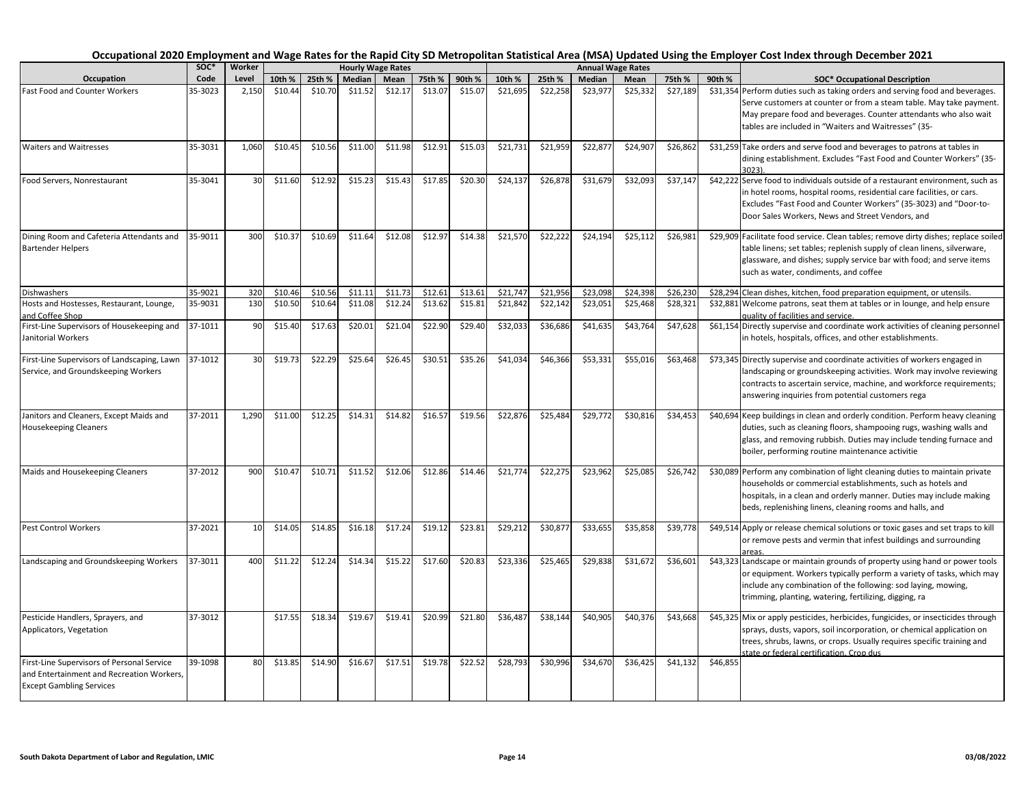|                                                                                                                            | soc*    | Worker |         |         |         | <b>Hourly Wage Rates</b> |         |         |          |          |          | <b>Annual Wage Rates</b> |          |          |                                                                                                                                                                                                                                                                                  |
|----------------------------------------------------------------------------------------------------------------------------|---------|--------|---------|---------|---------|--------------------------|---------|---------|----------|----------|----------|--------------------------|----------|----------|----------------------------------------------------------------------------------------------------------------------------------------------------------------------------------------------------------------------------------------------------------------------------------|
| Occupation                                                                                                                 | Code    | Level  | 10th %  | 25th %  | Median  | Mean                     | 75th %  | 90th %  | 10th %   | 25th %   | Median   | Mean                     | 75th %   | 90th %   | <b>SOC* Occupational Description</b>                                                                                                                                                                                                                                             |
| <b>Fast Food and Counter Workers</b>                                                                                       | 35-3023 | 2,150  | \$10.44 | \$10.70 | \$11.52 | \$12.17                  | \$13.07 | \$15.07 | \$21,695 | \$22,258 | \$23,977 | \$25,332                 | \$27,189 |          | \$31,354 Perform duties such as taking orders and serving food and beverages.<br>Serve customers at counter or from a steam table. May take payment.<br>May prepare food and beverages. Counter attendants who also wait<br>tables are included in "Waiters and Waitresses" (35- |
| <b>Waiters and Waitresses</b>                                                                                              | 35-3031 | 1,060  | \$10.45 | \$10.56 | \$11.00 | \$11.98                  | \$12.91 | \$15.03 | \$21,731 | \$21,959 | \$22,877 | \$24,907                 | \$26,862 |          | \$31,259 Take orders and serve food and beverages to patrons at tables in<br>dining establishment. Excludes "Fast Food and Counter Workers" (35-<br>3023).                                                                                                                       |
| Food Servers, Nonrestaurant                                                                                                | 35-3041 | 30     | \$11.60 | \$12.92 | \$15.23 | \$15.43                  | \$17.85 | \$20.30 | \$24,137 | \$26,878 | \$31,679 | \$32,093                 | \$37,147 |          | \$42,222 Serve food to individuals outside of a restaurant environment, such as<br>in hotel rooms, hospital rooms, residential care facilities, or cars.<br>Excludes "Fast Food and Counter Workers" (35-3023) and "Door-to-<br>Door Sales Workers, News and Street Vendors, and |
| Dining Room and Cafeteria Attendants and<br><b>Bartender Helpers</b>                                                       | 35-9011 | 300    | \$10.37 | \$10.69 | \$11.64 | \$12.08                  | \$12.97 | \$14.38 | \$21,570 | \$22,222 | \$24,194 | \$25,11                  | \$26,981 |          | \$29,909 Facilitate food service. Clean tables; remove dirty dishes; replace soiled<br>table linens; set tables; replenish supply of clean linens, silverware,<br>glassware, and dishes; supply service bar with food; and serve items<br>such as water, condiments, and coffee  |
| <b>Dishwashers</b>                                                                                                         | 35-9021 | 320    | \$10.46 | \$10.56 | \$11.11 | \$11.73                  | \$12.61 | \$13.61 | \$21,747 | \$21,956 | \$23,098 | \$24,398                 | \$26,230 |          | \$28,294 Clean dishes, kitchen, food preparation equipment, or utensils.                                                                                                                                                                                                         |
| Hosts and Hostesses, Restaurant, Lounge,<br>and Coffee Shop                                                                | 35-9031 | 130    | \$10.50 | \$10.64 | \$11.08 | \$12.24                  | \$13.62 | \$15.81 | \$21,842 | \$22,142 | \$23,051 | \$25,468                 | \$28,321 |          | \$32,881 Welcome patrons, seat them at tables or in lounge, and help ensure<br>quality of facilities and service.                                                                                                                                                                |
| First-Line Supervisors of Housekeeping and<br>Janitorial Workers                                                           | 37-1011 | 90     | \$15.40 | \$17.63 | \$20.01 | \$21.04                  | \$22.90 | \$29.40 | \$32,033 | \$36,686 | \$41,635 | \$43,764                 | \$47,628 |          | \$61,154 Directly supervise and coordinate work activities of cleaning personnel<br>in hotels, hospitals, offices, and other establishments.                                                                                                                                     |
| First-Line Supervisors of Landscaping, Lawn<br>Service, and Groundskeeping Workers                                         | 37-1012 | 30     | \$19.73 | \$22.29 | \$25.64 | \$26.45                  | \$30.51 | \$35.26 | \$41,034 | \$46,366 | \$53,331 | \$55,016                 | \$63,468 |          | \$73,345 Directly supervise and coordinate activities of workers engaged in<br>landscaping or groundskeeping activities. Work may involve reviewing<br>contracts to ascertain service, machine, and workforce requirements;<br>answering inquiries from potential customers rega |
| Janitors and Cleaners, Except Maids and<br>Housekeeping Cleaners                                                           | 37-2011 | 1,290  | \$11.00 | \$12.25 | \$14.31 | \$14.82                  | \$16.57 | \$19.56 | \$22,876 | \$25,484 | \$29,772 | \$30,816                 | \$34,453 |          | \$40,694 Keep buildings in clean and orderly condition. Perform heavy cleaning<br>duties, such as cleaning floors, shampooing rugs, washing walls and<br>glass, and removing rubbish. Duties may include tending furnace and<br>boiler, performing routine maintenance activitie |
| Maids and Housekeeping Cleaners                                                                                            | 37-2012 | 900    | \$10.4  | \$10.71 | \$11.52 | \$12.06                  | \$12.86 | \$14.46 | \$21,774 | \$22,275 | \$23,962 | \$25,085                 | \$26,742 |          | \$30,089 Perform any combination of light cleaning duties to maintain private<br>households or commercial establishments, such as hotels and<br>hospitals, in a clean and orderly manner. Duties may include making<br>beds, replenishing linens, cleaning rooms and halls, and  |
| Pest Control Workers                                                                                                       | 37-2021 | 10     | \$14.05 | \$14.85 | \$16.18 | \$17.24                  | \$19.12 | \$23.81 | \$29,212 | \$30,877 | \$33,655 | \$35,858                 | \$39,778 |          | \$49,514 Apply or release chemical solutions or toxic gases and set traps to kill<br>or remove pests and vermin that infest buildings and surrounding<br>areas.                                                                                                                  |
| Landscaping and Groundskeeping Workers                                                                                     | 37-3011 | 400    | \$11.22 | \$12.24 | \$14.34 | \$15.22                  | \$17.60 | \$20.83 | \$23,336 | \$25,465 | \$29,838 | \$31,672                 | \$36,601 |          | \$43,323 Landscape or maintain grounds of property using hand or power tools<br>or equipment. Workers typically perform a variety of tasks, which may<br>include any combination of the following: sod laying, mowing,<br>trimming, planting, watering, fertilizing, digging, ra |
| Pesticide Handlers, Sprayers, and<br>Applicators, Vegetation                                                               | 37-3012 |        | \$17.55 | \$18.34 | \$19.67 | \$19.41                  | \$20.99 | \$21.80 | \$36,487 | \$38,144 | \$40,905 | \$40,376                 | \$43,668 |          | \$45,325 Mix or apply pesticides, herbicides, fungicides, or insecticides through<br>sprays, dusts, vapors, soil incorporation, or chemical application on<br>trees, shrubs, lawns, or crops. Usually requires specific training and<br>state or federal certification. Crop dus |
| First-Line Supervisors of Personal Service<br>and Entertainment and Recreation Workers,<br><b>Except Gambling Services</b> | 39-1098 | 80     | \$13.85 | \$14.90 | \$16.67 | \$17.51                  | \$19.78 | \$22.52 | \$28,793 | \$30,996 | \$34,670 | \$36,425                 | \$41,132 | \$46,855 |                                                                                                                                                                                                                                                                                  |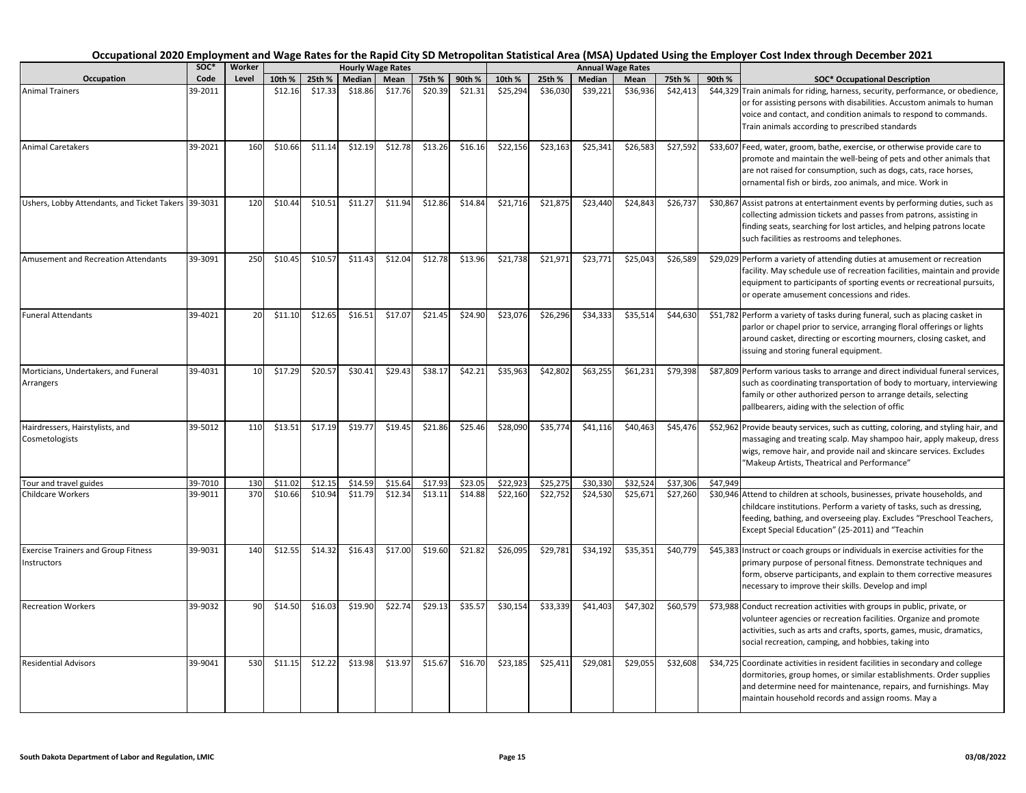|                                                           | SOC <sup>*</sup> | Worker          |         |         |         | <b>Hourly Wage Rates</b> |         |         |                      |          |          | <b>Annual Wage Rates</b> |          |          |                                                                                                                                                                                                                                                                                  |
|-----------------------------------------------------------|------------------|-----------------|---------|---------|---------|--------------------------|---------|---------|----------------------|----------|----------|--------------------------|----------|----------|----------------------------------------------------------------------------------------------------------------------------------------------------------------------------------------------------------------------------------------------------------------------------------|
| Occupation                                                | Code             | Level           | 10th %  | 25th %  | Median  | Mean                     | 75th %  | 90th %  | 10th %               | 25th %   | Median   | Mean                     | 75th %   | 90th %   | <b>SOC* Occupational Description</b>                                                                                                                                                                                                                                             |
| <b>Animal Trainers</b>                                    | 39-2011          |                 | \$12.16 | \$17.33 | \$18.86 | \$17.76                  | \$20.39 | \$21.31 | \$25,294             | \$36,030 | \$39,221 | \$36,936                 | \$42,413 |          | \$44,329 Train animals for riding, harness, security, performance, or obedience,<br>or for assisting persons with disabilities. Accustom animals to human<br>voice and contact, and condition animals to respond to commands.<br>Train animals according to prescribed standards |
| <b>Animal Caretakers</b>                                  | 39-2021          | 160             | \$10.66 | \$11.14 | \$12.19 | \$12.78                  | \$13.26 | \$16.16 | \$22,156             | \$23,163 | \$25,341 | \$26,583                 | \$27,592 |          | \$33,607 Feed, water, groom, bathe, exercise, or otherwise provide care to<br>promote and maintain the well-being of pets and other animals that<br>are not raised for consumption, such as dogs, cats, race horses,<br>ornamental fish or birds, zoo animals, and mice. Work in |
| Ushers, Lobby Attendants, and Ticket Takers 39-3031       |                  | 120             | \$10.44 | \$10.51 | \$11.27 | \$11.94                  | \$12.86 | \$14.84 | \$21,716             | \$21,875 | \$23,440 | \$24,843                 | \$26,737 |          | \$30,867 Assist patrons at entertainment events by performing duties, such as<br>collecting admission tickets and passes from patrons, assisting in<br>finding seats, searching for lost articles, and helping patrons locate<br>such facilities as restrooms and telephones.    |
| Amusement and Recreation Attendants                       | 39-3091          | 250             | \$10.45 | \$10.57 | \$11.43 | \$12.04                  | \$12.78 | \$13.96 | \$21,738             | \$21,971 | \$23,771 | \$25,043                 | \$26,589 |          | \$29,029 Perform a variety of attending duties at amusement or recreation<br>facility. May schedule use of recreation facilities, maintain and provide<br>equipment to participants of sporting events or recreational pursuits,<br>or operate amusement concessions and rides.  |
| <b>Funeral Attendants</b>                                 | 39-4021          | 20              | \$11.10 | \$12.65 | \$16.51 | \$17.07                  | \$21.45 | \$24.90 | \$23,076             | \$26,296 | \$34,333 | \$35,514                 | \$44,630 |          | \$51,782 Perform a variety of tasks during funeral, such as placing casket in<br>parlor or chapel prior to service, arranging floral offerings or lights<br>around casket, directing or escorting mourners, closing casket, and<br>issuing and storing funeral equipment.        |
| Morticians, Undertakers, and Funeral<br>Arrangers         | 39-4031          | 10 <sup>1</sup> | \$17.29 | \$20.57 | \$30.41 | \$29.43                  | \$38.17 | \$42.21 | \$35,963             | \$42,802 | \$63,255 | \$61,231                 | \$79,398 |          | \$87,809 Perform various tasks to arrange and direct individual funeral services,<br>such as coordinating transportation of body to mortuary, interviewing<br>family or other authorized person to arrange details, selecting<br>pallbearers, aiding with the selection of offic |
| Hairdressers, Hairstylists, and<br>Cosmetologists         | 39-5012          | 110             | \$13.51 | \$17.19 | \$19.77 | \$19.45                  | \$21.86 | \$25.46 | \$28,090             | \$35,774 | \$41,116 | \$40,463                 | \$45,476 |          | \$52,962 Provide beauty services, such as cutting, coloring, and styling hair, and<br>massaging and treating scalp. May shampoo hair, apply makeup, dress<br>wigs, remove hair, and provide nail and skincare services. Excludes<br>"Makeup Artists, Theatrical and Performance" |
| Tour and travel guides                                    | 39-7010          | 130             | \$11.02 | \$12.15 | \$14.59 | \$15.64                  | \$17.93 | \$23.05 | $\overline{$}22,923$ | \$25,275 | \$30,330 | \$32,524                 | \$37,306 | \$47,949 |                                                                                                                                                                                                                                                                                  |
| Childcare Workers                                         | 39-9011          | 370             | \$10.66 | \$10.94 | \$11.79 | \$12.34                  | \$13.11 | \$14.88 | \$22,160             | \$22,752 | \$24,530 | \$25,671                 | \$27,260 |          | \$30,946 Attend to children at schools, businesses, private households, and<br>childcare institutions. Perform a variety of tasks, such as dressing,<br>feeding, bathing, and overseeing play. Excludes "Preschool Teachers,<br>Except Special Education" (25-2011) and "Teachin |
| <b>Exercise Trainers and Group Fitness</b><br>Instructors | 39-9031          | 140             | \$12.55 | \$14.32 | \$16.43 | \$17.00                  | \$19.60 | \$21.82 | \$26,095             | \$29,781 | \$34,192 | \$35,351                 | \$40,779 |          | \$45,383 Instruct or coach groups or individuals in exercise activities for the<br>primary purpose of personal fitness. Demonstrate techniques and<br>form, observe participants, and explain to them corrective measures<br>necessary to improve their skills. Develop and impl |
| <b>Recreation Workers</b>                                 | 39-9032          | 90              | \$14.50 | \$16.03 | \$19.90 | \$22.74                  | \$29.13 | \$35.57 | \$30,154             | \$33,339 | \$41,403 | \$47,302                 | \$60,579 |          | \$73,988 Conduct recreation activities with groups in public, private, or<br>volunteer agencies or recreation facilities. Organize and promote<br>activities, such as arts and crafts, sports, games, music, dramatics,<br>social recreation, camping, and hobbies, taking into  |
| <b>Residential Advisors</b>                               | 39-9041          | 530             | \$11.15 | \$12.22 | \$13.98 | \$13.97                  | \$15.67 | \$16.70 | \$23,185             | \$25,411 | \$29,081 | \$29,055                 | \$32,608 |          | \$34,725 Coordinate activities in resident facilities in secondary and college<br>dormitories, group homes, or similar establishments. Order supplies<br>and determine need for maintenance, repairs, and furnishings. May<br>maintain household records and assign rooms. May a |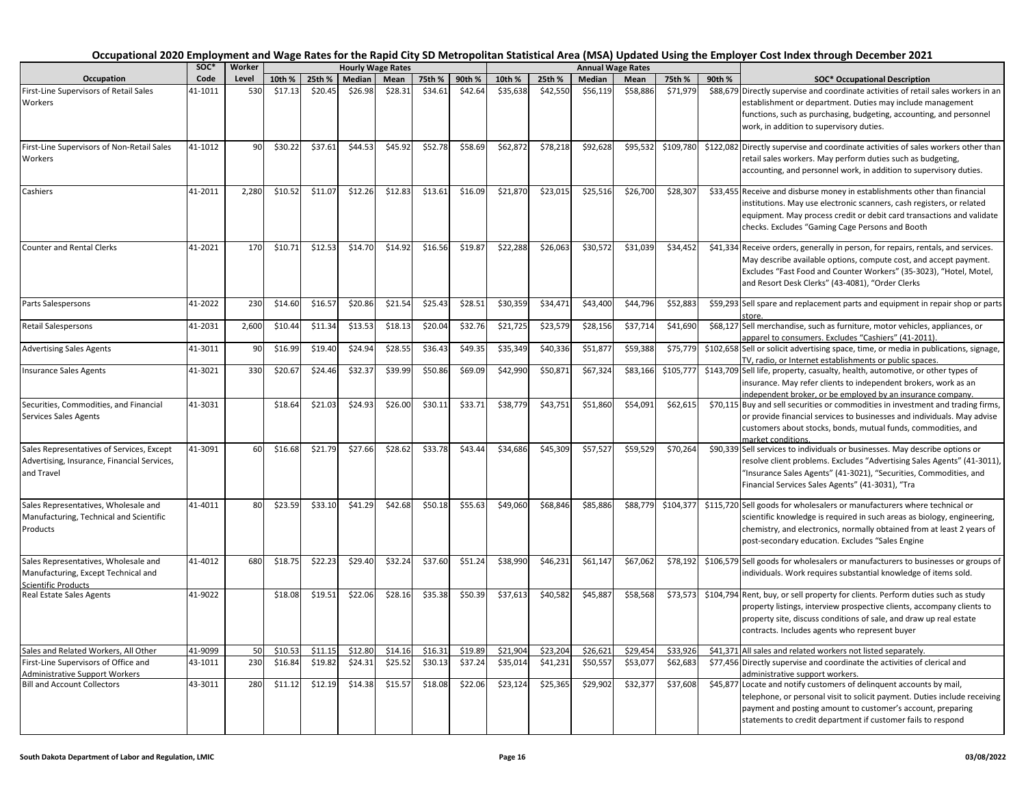|                                                                                                           | SOC <sup>*</sup> | Worker |         |         |         | <b>Hourly Wage Rates</b> |         |         |          |          |          | <b>Annual Wage Rates</b> |           |        |                                                                                                                                                                                                                                                                                   |
|-----------------------------------------------------------------------------------------------------------|------------------|--------|---------|---------|---------|--------------------------|---------|---------|----------|----------|----------|--------------------------|-----------|--------|-----------------------------------------------------------------------------------------------------------------------------------------------------------------------------------------------------------------------------------------------------------------------------------|
| Occupation                                                                                                | Code             | Level  | 10th %  | 25th %  | Median  | Mean                     | 75th %  | 90th %  | 10th %   | 25th %   | Median   | Mean                     | 75th %    | 90th % | <b>SOC* Occupational Description</b>                                                                                                                                                                                                                                              |
| First-Line Supervisors of Retail Sales<br>Workers                                                         | 41-1011          | 530    | \$17.13 | \$20.45 | \$26.98 | \$28.31                  | \$34.61 | \$42.64 | \$35,638 | \$42,550 | \$56,119 | \$58,886                 | \$71,979  |        | \$88,679 Directly supervise and coordinate activities of retail sales workers in an<br>establishment or department. Duties may include management<br>functions, such as purchasing, budgeting, accounting, and personnel<br>work, in addition to supervisory duties.              |
| First-Line Supervisors of Non-Retail Sales<br>Workers                                                     | 41-1012          | 90     | \$30.22 | \$37.61 | \$44.53 | \$45.92                  | \$52.78 | \$58.69 | \$62,872 | \$78,218 | \$92,628 | \$95,532                 | \$109,780 |        | \$122,082 Directly supervise and coordinate activities of sales workers other than<br>retail sales workers. May perform duties such as budgeting,<br>accounting, and personnel work, in addition to supervisory duties.                                                           |
| Cashiers                                                                                                  | 41-2011          | 2,280  | \$10.52 | \$11.07 | \$12.26 | \$12.83                  | \$13.61 | \$16.09 | \$21,870 | \$23,015 | \$25,516 | \$26,700                 | \$28,307  |        | \$33,455 Receive and disburse money in establishments other than financial<br>institutions. May use electronic scanners, cash registers, or related<br>equipment. May process credit or debit card transactions and validate<br>checks. Excludes "Gaming Cage Persons and Booth   |
| <b>Counter and Rental Clerks</b>                                                                          | 41-2021          | 170    | \$10.71 | \$12.53 | \$14.70 | \$14.92                  | \$16.56 | \$19.87 | \$22,288 | \$26,063 | \$30,572 | \$31,039                 | \$34,452  |        | \$41,334 Receive orders, generally in person, for repairs, rentals, and services.<br>May describe available options, compute cost, and accept payment.<br>Excludes "Fast Food and Counter Workers" (35-3023), "Hotel, Motel,<br>and Resort Desk Clerks" (43-4081), "Order Clerks  |
| Parts Salespersons                                                                                        | 41-2022          | 230    | \$14.60 | \$16.5  | \$20.86 | \$21.54                  | \$25.43 | \$28.51 | \$30,359 | \$34,471 | \$43,400 | \$44,796                 | \$52,883  |        | \$59,293 Sell spare and replacement parts and equipment in repair shop or parts                                                                                                                                                                                                   |
| Retail Salespersons                                                                                       | 41-2031          | 2,600  | \$10.44 | \$11.34 | \$13.53 | \$18.13                  | \$20.04 | \$32.76 | \$21,725 | \$23,579 | \$28,156 | \$37,714                 | \$41,690  |        | \$68,127 Sell merchandise, such as furniture, motor vehicles, appliances, or<br>apparel to consumers. Excludes "Cashiers" (41-2011).                                                                                                                                              |
| <b>Advertising Sales Agents</b>                                                                           | 41-3011          | 90     | \$16.99 | \$19.40 | \$24.94 | \$28.55                  | \$36.43 | \$49.35 | \$35,349 | \$40,336 | \$51,87  | \$59,388                 | \$75,779  |        | \$102,658 Sell or solicit advertising space, time, or media in publications, signage,<br>TV, radio, or Internet establishments or public spaces.                                                                                                                                  |
| <b>Insurance Sales Agents</b>                                                                             | 41-3021          | 330    | \$20.67 | \$24.46 | \$32.37 | \$39.99                  | \$50.86 | \$69.09 | \$42,990 | \$50,871 | \$67,324 | \$83,166                 | \$105,77  |        | \$143,709 Sell life, property, casualty, health, automotive, or other types of<br>insurance. May refer clients to independent brokers, work as an<br>ndependent broker, or be employed by an insurance company.                                                                   |
| Securities, Commodities, and Financial<br>Services Sales Agents                                           | 41-3031          |        | \$18.64 | \$21.03 | \$24.93 | \$26.00                  | \$30.11 | \$33.71 | \$38,779 | \$43,751 | \$51,860 | \$54,091                 | \$62,615  |        | \$70,115 Buy and sell securities or commodities in investment and trading firms,<br>or provide financial services to businesses and individuals. May advise<br>customers about stocks, bonds, mutual funds, commodities, and<br>narket conditions                                 |
| Sales Representatives of Services, Except<br>Advertising, Insurance, Financial Services,<br>and Travel    | 41-3091          | 60     | \$16.68 | \$21.79 | \$27.66 | \$28.62                  | \$33.78 | \$43.44 | \$34,686 | \$45,309 | \$57,527 | \$59,529                 | \$70,264  |        | \$90,339 Sell services to individuals or businesses. May describe options or<br>resolve client problems. Excludes "Advertising Sales Agents" (41-3011),<br>"Insurance Sales Agents" (41-3021), "Securities, Commodities, and<br>Financial Services Sales Agents" (41-3031), "Tra  |
| Sales Representatives, Wholesale and<br>Manufacturing, Technical and Scientific<br>Products               | 41-4011          | 80     | \$23.59 | \$33.10 | \$41.29 | \$42.68                  | \$50.18 | \$55.63 | \$49,060 | \$68,846 | \$85,886 | \$88,779                 | \$104,377 |        | \$115,720 Sell goods for wholesalers or manufacturers where technical or<br>scientific knowledge is required in such areas as biology, engineering,<br>chemistry, and electronics, normally obtained from at least 2 years of<br>post-secondary education. Excludes "Sales Engine |
| Sales Representatives, Wholesale and<br>Manufacturing, Except Technical and<br><b>Scientific Products</b> | 41-4012          | 680    | \$18.75 | \$22.23 | \$29.40 | \$32.24                  | \$37.60 | \$51.24 | \$38,990 | \$46,231 | \$61,147 | \$67,062                 | \$78,192  |        | \$106,579 Sell goods for wholesalers or manufacturers to businesses or groups of<br>individuals. Work requires substantial knowledge of items sold.                                                                                                                               |
| Real Estate Sales Agents                                                                                  | 41-9022          |        | \$18.08 | \$19.51 | \$22.06 | \$28.16                  | \$35.38 | \$50.39 | \$37,613 | \$40,582 | \$45,887 | \$58,568                 | \$73,573  |        | \$104,794 Rent, buy, or sell property for clients. Perform duties such as study<br>property listings, interview prospective clients, accompany clients to<br>property site, discuss conditions of sale, and draw up real estate<br>contracts. Includes agents who represent buyer |
| Sales and Related Workers, All Other                                                                      | 41-9099          | 50     | \$10.53 | \$11.15 | \$12.80 | \$14.16                  | \$16.31 | \$19.89 | \$21,904 | \$23,204 | \$26,62  | \$29,454                 | \$33,926  |        | \$41,371 All sales and related workers not listed separately.                                                                                                                                                                                                                     |
| First-Line Supervisors of Office and<br><b>Administrative Support Workers</b>                             | 43-1011          | 230    | \$16.84 | \$19.82 | \$24.31 | \$25.52                  | \$30.13 | \$37.24 | \$35,014 | \$41,231 | \$50,55  | \$53,07                  | \$62,683  |        | \$77,456 Directly supervise and coordinate the activities of clerical and<br>administrative support workers.                                                                                                                                                                      |
| <b>Bill and Account Collectors</b>                                                                        | 43-3011          | 280    | \$11.12 | \$12.19 | \$14.38 | \$15.57                  | \$18.08 | \$22.06 | \$23,124 | \$25,365 | \$29,902 | \$32,377                 | \$37,608  |        | \$45,877 Locate and notify customers of delinquent accounts by mail,<br>telephone, or personal visit to solicit payment. Duties include receiving<br>payment and posting amount to customer's account, preparing<br>statements to credit department if customer fails to respond  |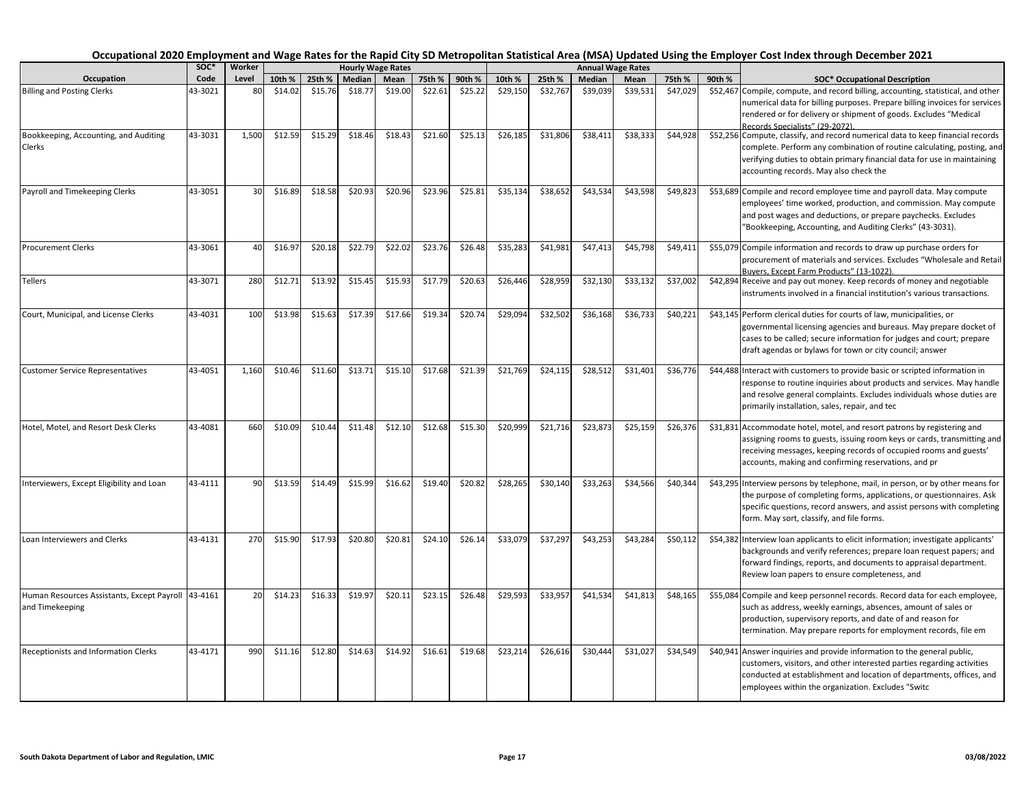|                                                                       | soc*    | Worker |         |         |         | <b>Hourly Wage Rates</b> |         |         |          |          |          | <b>Annual Wage Rates</b> |          |        |                                                                                                                                                                                                                                                                                  |
|-----------------------------------------------------------------------|---------|--------|---------|---------|---------|--------------------------|---------|---------|----------|----------|----------|--------------------------|----------|--------|----------------------------------------------------------------------------------------------------------------------------------------------------------------------------------------------------------------------------------------------------------------------------------|
| Occupation                                                            | Code    | Level  | 10th %  | 25th %  | Median  | Mean                     | 75th %  | 90th %  | 10th %   | 25th %   | Median   | Mean                     | 75th %   | 90th % | <b>SOC* Occupational Description</b>                                                                                                                                                                                                                                             |
| <b>Billing and Posting Clerks</b>                                     | 43-3021 | 80     | \$14.02 | \$15.76 | \$18.77 | \$19.00                  | \$22.61 | \$25.22 | \$29,150 | \$32,767 | \$39,039 | \$39,531                 | \$47,029 |        | \$52,467 Compile, compute, and record billing, accounting, statistical, and other<br>numerical data for billing purposes. Prepare billing invoices for services<br>rendered or for delivery or shipment of goods. Excludes "Medical<br>Records Specialists" (29-2072)            |
| Bookkeeping, Accounting, and Auditing<br>Clerks                       | 43-3031 | 1,500  | \$12.59 | \$15.29 | \$18.46 | \$18.43                  | \$21.60 | \$25.13 | \$26,185 | \$31,806 | \$38,41  | \$38,333                 | \$44,928 |        | \$52,256 Compute, classify, and record numerical data to keep financial records<br>complete. Perform any combination of routine calculating, posting, and<br>verifying duties to obtain primary financial data for use in maintaining<br>accounting records. May also check the  |
| Payroll and Timekeeping Clerks                                        | 43-3051 | 30     | \$16.89 | \$18.58 | \$20.93 | \$20.96                  | \$23.96 | \$25.81 | \$35,134 | \$38,652 | \$43,534 | \$43,598                 | \$49,823 |        | \$53,689 Compile and record employee time and payroll data. May compute<br>employees' time worked, production, and commission. May compute<br>and post wages and deductions, or prepare paychecks. Excludes<br>"Bookkeeping, Accounting, and Auditing Clerks" (43-3031).         |
| <b>Procurement Clerks</b>                                             | 43-3061 | 40     | \$16.97 | \$20.18 | \$22.79 | \$22.02                  | \$23.76 | \$26.48 | \$35,283 | \$41,981 | \$47,413 | \$45,798                 | \$49,411 |        | \$55,079 Compile information and records to draw up purchase orders for<br>procurement of materials and services. Excludes "Wholesale and Retail<br>Buyers, Except Farm Products" (13-1022)                                                                                      |
| <b>Tellers</b>                                                        | 43-3071 | 280    | \$12.71 | \$13.92 | \$15.45 | \$15.93                  | \$17.79 | \$20.63 | \$26,446 | \$28,959 | \$32,130 | \$33,132                 | \$37,002 |        | \$42,894 Receive and pay out money. Keep records of money and negotiable<br>instruments involved in a financial institution's various transactions.                                                                                                                              |
| Court, Municipal, and License Clerks                                  | 43-4031 | 100    | \$13.98 | \$15.63 | \$17.39 | \$17.66                  | \$19.34 | \$20.74 | \$29,094 | \$32,502 | \$36,168 | \$36,733                 | \$40,221 |        | \$43,145 Perform clerical duties for courts of law, municipalities, or<br>governmental licensing agencies and bureaus. May prepare docket of<br>cases to be called; secure information for judges and court; prepare<br>draft agendas or bylaws for town or city council; answer |
| <b>Customer Service Representatives</b>                               | 43-4051 | 1,160  | \$10.46 | \$11.60 | \$13.71 | \$15.10                  | \$17.68 | \$21.39 | \$21,769 | \$24,115 | \$28,512 | \$31,401                 | \$36,776 |        | \$44,488 Interact with customers to provide basic or scripted information in<br>response to routine inquiries about products and services. May handle<br>and resolve general complaints. Excludes individuals whose duties are<br>primarily installation, sales, repair, and tec |
| Hotel, Motel, and Resort Desk Clerks                                  | 43-4081 | 660    | \$10.09 | \$10.44 | \$11.48 | \$12.10                  | \$12.68 | \$15.30 | \$20,999 | \$21,716 | \$23,873 | \$25,159                 | \$26,376 |        | \$31,831 Accommodate hotel, motel, and resort patrons by registering and<br>assigning rooms to guests, issuing room keys or cards, transmitting and<br>receiving messages, keeping records of occupied rooms and guests'<br>accounts, making and confirming reservations, and pr |
| Interviewers, Except Eligibility and Loan                             | 43-4111 | 90     | \$13.59 | \$14.49 | \$15.99 | \$16.62                  | \$19.40 | \$20.82 | \$28,265 | \$30,140 | \$33,263 | \$34,566                 | \$40,344 |        | \$43,295 Interview persons by telephone, mail, in person, or by other means for<br>the purpose of completing forms, applications, or questionnaires. Ask<br>specific questions, record answers, and assist persons with completing<br>form. May sort, classify, and file forms.  |
| Loan Interviewers and Clerks                                          | 43-4131 | 270    | \$15.90 | \$17.93 | \$20.80 | \$20.81                  | \$24.10 | \$26.14 | \$33,079 | \$37,297 | \$43,253 | \$43,284                 | \$50,112 |        | \$54,382 Interview loan applicants to elicit information; investigate applicants'<br>backgrounds and verify references; prepare loan request papers; and<br>forward findings, reports, and documents to appraisal department.<br>Review loan papers to ensure completeness, and  |
| Human Resources Assistants, Except Payroll 43-4161<br>and Timekeeping |         | 20     | \$14.23 | \$16.33 | \$19.97 | \$20.11                  | \$23.15 | \$26.48 | \$29,593 | \$33,957 | \$41,534 | \$41,813                 | \$48,165 |        | \$55,084 Compile and keep personnel records. Record data for each employee,<br>such as address, weekly earnings, absences, amount of sales or<br>production, supervisory reports, and date of and reason for<br>termination. May prepare reports for employment records, file em |
| Receptionists and Information Clerks                                  | 43-4171 | 990    | \$11.16 | \$12.80 | \$14.63 | \$14.92                  | \$16.61 | \$19.68 | \$23,214 | \$26,616 | \$30,444 | \$31,027                 | \$34,549 |        | \$40,941 Answer inquiries and provide information to the general public,<br>customers, visitors, and other interested parties regarding activities<br>conducted at establishment and location of departments, offices, and<br>employees within the organization. Excludes "Switc |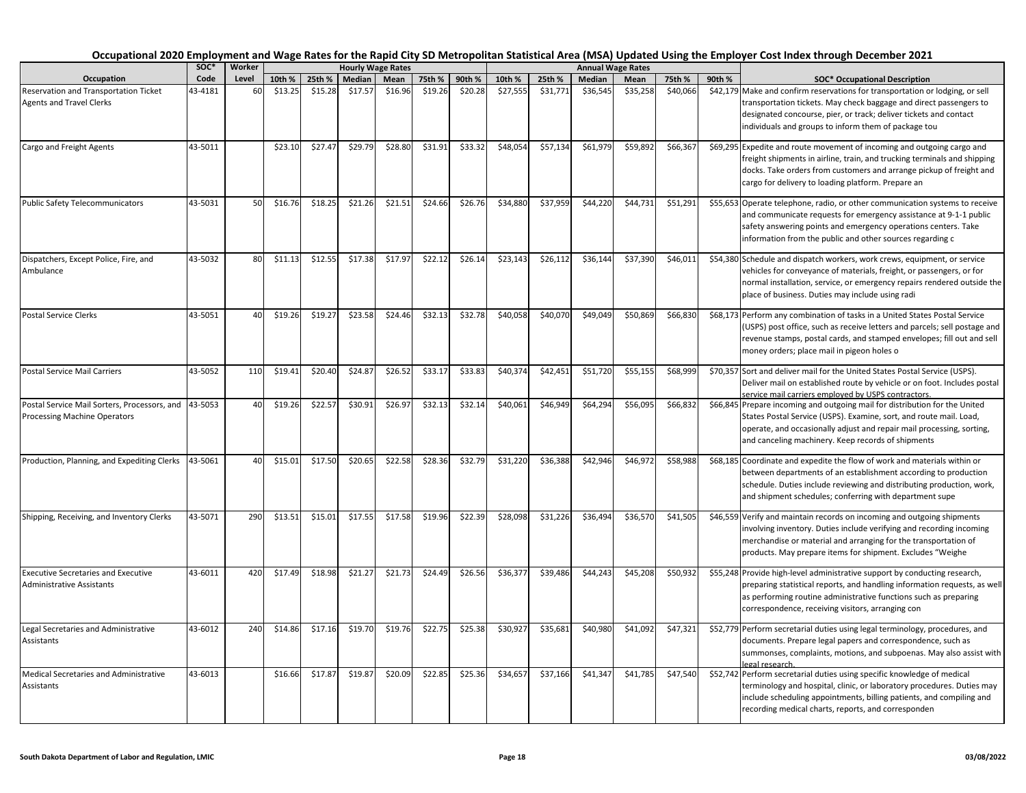|                                                                                     | SOC*    | Worker    |         |         |         | <b>Hourly Wage Rates</b> |         |         |          |          |          | <b>Annual Wage Rates</b> |          |        |                                                                                                                                                                                                                                                                                  |
|-------------------------------------------------------------------------------------|---------|-----------|---------|---------|---------|--------------------------|---------|---------|----------|----------|----------|--------------------------|----------|--------|----------------------------------------------------------------------------------------------------------------------------------------------------------------------------------------------------------------------------------------------------------------------------------|
| Occupation                                                                          | Code    | Level     | 10th %  | 25th %  | Median  | Mean                     | 75th %  | 90th %  | 10th %   | 25th %   | Median   | Mean                     | 75th %   | 90th % | <b>SOC* Occupational Description</b>                                                                                                                                                                                                                                             |
| Reservation and Transportation Ticket<br><b>Agents and Travel Clerks</b>            | 43-4181 | <b>60</b> | \$13.25 | \$15.28 | \$17.57 | \$16.96                  | \$19.26 | \$20.28 | \$27,555 | \$31,771 | \$36,545 | \$35,258                 | \$40,066 |        | \$42,179 Make and confirm reservations for transportation or lodging, or sell<br>transportation tickets. May check baggage and direct passengers to<br>designated concourse, pier, or track; deliver tickets and contact<br>individuals and groups to inform them of package tou |
| Cargo and Freight Agents                                                            | 43-5011 |           | \$23.10 | \$27.47 | \$29.79 | \$28.80                  | \$31.91 | \$33.32 | \$48,054 | \$57,134 | \$61,979 | \$59,892                 | \$66,367 |        | \$69,295 Expedite and route movement of incoming and outgoing cargo and<br>freight shipments in airline, train, and trucking terminals and shipping<br>docks. Take orders from customers and arrange pickup of freight and<br>cargo for delivery to loading platform. Prepare an |
| <b>Public Safety Telecommunicators</b>                                              | 43-5031 | 50        | \$16.76 | \$18.25 | \$21.26 | \$21.51                  | \$24.66 | \$26.76 | \$34,880 | \$37,959 | \$44,220 | \$44,731                 | \$51,291 |        | \$55,653 Operate telephone, radio, or other communication systems to receive<br>and communicate requests for emergency assistance at 9-1-1 public<br>safety answering points and emergency operations centers. Take<br>information from the public and other sources regarding c |
| Dispatchers, Except Police, Fire, and<br>Ambulance                                  | 43-5032 | 80        | \$11.13 | \$12.55 | \$17.38 | \$17.97                  | \$22.12 | \$26.14 | \$23,143 | \$26,112 | \$36,144 | \$37,390                 | \$46,011 |        | \$54,380 Schedule and dispatch workers, work crews, equipment, or service<br>vehicles for conveyance of materials, freight, or passengers, or for<br>normal installation, service, or emergency repairs rendered outside the<br>place of business. Duties may include using radi |
| <b>Postal Service Clerks</b>                                                        | 43-5051 | 40        | \$19.26 | \$19.27 | \$23.58 | \$24.46                  | \$32.13 | \$32.78 | \$40,058 | \$40,070 | \$49,049 | \$50,869                 | \$66,830 |        | \$68,173 Perform any combination of tasks in a United States Postal Service<br>(USPS) post office, such as receive letters and parcels; sell postage and<br>revenue stamps, postal cards, and stamped envelopes; fill out and sell<br>money orders; place mail in pigeon holes o |
| <b>Postal Service Mail Carriers</b>                                                 | 43-5052 | 110       | \$19.41 | \$20.40 | \$24.87 | \$26.52                  | \$33.17 | \$33.83 | \$40,374 | \$42,451 | \$51,720 | \$55,155                 | \$68,999 |        | \$70,357 Sort and deliver mail for the United States Postal Service (USPS).<br>Deliver mail on established route by vehicle or on foot. Includes postal<br>service mail carriers employed by USPS contractors.                                                                   |
| Postal Service Mail Sorters, Processors, and<br><b>Processing Machine Operators</b> | 43-5053 | 40        | \$19.26 | \$22.57 | \$30.91 | \$26.97                  | \$32.13 | \$32.14 | \$40,061 | \$46,949 | \$64,294 | \$56,095                 | \$66,832 |        | \$66,845 Prepare incoming and outgoing mail for distribution for the United<br>States Postal Service (USPS). Examine, sort, and route mail. Load,<br>operate, and occasionally adjust and repair mail processing, sorting,<br>and canceling machinery. Keep records of shipments |
| Production, Planning, and Expediting Clerks                                         | 43-5061 | 40        | \$15.01 | \$17.50 | \$20.65 | \$22.58                  | \$28.36 | \$32.79 | \$31,220 | \$36,388 | \$42,946 | \$46,972                 | \$58,988 |        | \$68,185 Coordinate and expedite the flow of work and materials within or<br>between departments of an establishment according to production<br>schedule. Duties include reviewing and distributing production, work,<br>and shipment schedules; conferring with department supe |
| Shipping, Receiving, and Inventory Clerks                                           | 43-5071 | 290       | \$13.51 | \$15.01 | \$17.55 | \$17.58                  | \$19.96 | \$22.39 | \$28,098 | \$31,226 | \$36,494 | \$36,570                 | \$41,505 |        | \$46,559 Verify and maintain records on incoming and outgoing shipments<br>involving inventory. Duties include verifying and recording incoming<br>merchandise or material and arranging for the transportation of<br>products. May prepare items for shipment. Excludes "Weighe |
| <b>Executive Secretaries and Executive</b><br>Administrative Assistants             | 43-6011 | 420       | \$17.49 | \$18.98 | \$21.27 | \$21.73                  | \$24.49 | \$26.56 | \$36,377 | \$39,486 | \$44,243 | \$45,208                 | \$50,932 |        | \$55,248 Provide high-level administrative support by conducting research,<br>preparing statistical reports, and handling information requests, as well<br>as performing routine administrative functions such as preparing<br>correspondence, receiving visitors, arranging con |
| Legal Secretaries and Administrative<br>Assistants                                  | 43-6012 | 240       | \$14.86 | \$17.16 | \$19.70 | \$19.76                  | \$22.75 | \$25.38 | \$30,927 | \$35,681 | \$40,980 | \$41,092                 | \$47,321 |        | \$52,779 Perform secretarial duties using legal terminology, procedures, and<br>documents. Prepare legal papers and correspondence, such as<br>summonses, complaints, motions, and subpoenas. May also assist with<br>egal research                                              |
| Medical Secretaries and Administrative<br>Assistants                                | 43-6013 |           | \$16.66 | \$17.87 | \$19.87 | \$20.09                  | \$22.85 | \$25.36 | \$34,657 | \$37,166 | \$41,347 | \$41,785                 | \$47,540 |        | \$52,742 Perform secretarial duties using specific knowledge of medical<br>terminology and hospital, clinic, or laboratory procedures. Duties may<br>include scheduling appointments, billing patients, and compiling and<br>recording medical charts, reports, and corresponden |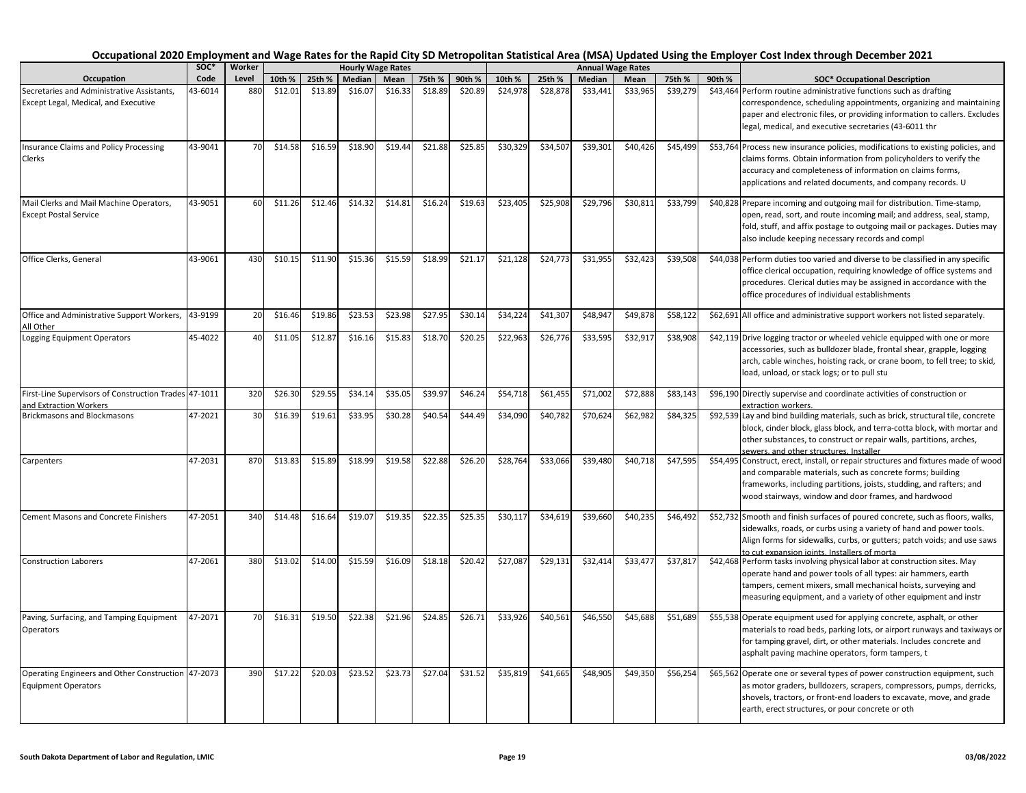|                                                                                    | soc*    | Worker |         |         |               | <b>Hourly Wage Rates</b> |         |         |          |          |          | <b>Annual Wage Rates</b> |          |                                                |                                                                                                                                                                                                                                                                                                         |
|------------------------------------------------------------------------------------|---------|--------|---------|---------|---------------|--------------------------|---------|---------|----------|----------|----------|--------------------------|----------|------------------------------------------------|---------------------------------------------------------------------------------------------------------------------------------------------------------------------------------------------------------------------------------------------------------------------------------------------------------|
| Occupation                                                                         | Code    | Level  | 10th %  | 25th %  | <b>Median</b> | Mean                     | 75th %  | 90th %  | 10th %   | 25th %   | Median   | Mean                     | 75th %   | 90th %<br><b>SOC* Occupational Description</b> |                                                                                                                                                                                                                                                                                                         |
| Secretaries and Administrative Assistants,<br>Except Legal, Medical, and Executive | 43-6014 | 880    | \$12.01 | \$13.89 | \$16.07       | \$16.33                  | \$18.89 | \$20.89 | \$24,978 | \$28,878 | \$33,441 | \$33,965                 | \$39,279 |                                                | \$43,464 Perform routine administrative functions such as drafting<br>correspondence, scheduling appointments, organizing and maintaining<br>paper and electronic files, or providing information to callers. Excludes<br>legal, medical, and executive secretaries (43-6011 thr                        |
| Insurance Claims and Policy Processing<br>Clerks                                   | 43-9041 | 70     | \$14.58 | \$16.59 | \$18.90       | \$19.44                  | \$21.88 | \$25.85 | \$30,329 | \$34,507 | \$39,301 | \$40,426                 | \$45,499 |                                                | \$53,764 Process new insurance policies, modifications to existing policies, and<br>claims forms. Obtain information from policyholders to verify the<br>accuracy and completeness of information on claims forms,<br>applications and related documents, and company records. U                        |
| Mail Clerks and Mail Machine Operators,<br><b>Except Postal Service</b>            | 43-9051 | 60     | \$11.26 | \$12.46 | \$14.32       | \$14.81                  | \$16.24 | \$19.63 | \$23,405 | \$25,908 | \$29,796 | \$30,811                 | \$33,799 |                                                | \$40,828 Prepare incoming and outgoing mail for distribution. Time-stamp,<br>open, read, sort, and route incoming mail; and address, seal, stamp,<br>fold, stuff, and affix postage to outgoing mail or packages. Duties may<br>also include keeping necessary records and compl                        |
| Office Clerks, General                                                             | 43-9061 | 430    | \$10.15 | \$11.90 | \$15.36       | \$15.59                  | \$18.99 | \$21.17 | \$21,128 | \$24,773 | \$31,955 | \$32,423                 | \$39,508 |                                                | \$44,038 Perform duties too varied and diverse to be classified in any specific<br>office clerical occupation, requiring knowledge of office systems and<br>procedures. Clerical duties may be assigned in accordance with the<br>office procedures of individual establishments                        |
| Office and Administrative Support Workers,<br>All Other                            | 43-9199 | 20     | \$16.46 | \$19.86 | \$23.53       | \$23.98                  | \$27.95 | \$30.14 | \$34,224 | \$41,307 | \$48,947 | \$49,878                 | \$58,122 |                                                | \$62,691 All office and administrative support workers not listed separately.                                                                                                                                                                                                                           |
| <b>Logging Equipment Operators</b>                                                 | 45-4022 | 40     | \$11.05 | \$12.87 | \$16.16       | \$15.83                  | \$18.70 | \$20.25 | \$22,963 | \$26,776 | \$33,595 | \$32,917                 | \$38,908 |                                                | \$42,119 Drive logging tractor or wheeled vehicle equipped with one or more<br>accessories, such as bulldozer blade, frontal shear, grapple, logging<br>arch, cable winches, hoisting rack, or crane boom, to fell tree; to skid,<br>load, unload, or stack logs; or to pull stu                        |
| First-Line Supervisors of Construction Trades 47-1011                              |         | 320    | \$26.30 | \$29.55 | \$34.14       | \$35.05                  | \$39.97 | \$46.24 | \$54,718 | \$61,455 | \$71,002 | \$72,888                 | \$83,143 |                                                | \$96,190 Directly supervise and coordinate activities of construction or                                                                                                                                                                                                                                |
| and Extraction Workers<br><b>Brickmasons and Blockmasons</b>                       | 47-2021 | 30     | \$16.39 | \$19.61 | \$33.95       | \$30.28                  | \$40.54 | \$44.49 | \$34,090 | \$40,782 | \$70,624 | \$62,982                 | \$84,325 |                                                | extraction workers.<br>\$92,539 Lay and bind building materials, such as brick, structural tile, concrete<br>block, cinder block, glass block, and terra-cotta block, with mortar and<br>other substances, to construct or repair walls, partitions, arches,<br>sewers, and other structures, Installer |
| Carpenters                                                                         | 47-2031 | 870    | \$13.83 | \$15.89 | \$18.99       | \$19.58                  | \$22.88 | \$26.20 | \$28,764 | \$33,066 | \$39,480 | \$40,718                 | \$47,595 |                                                | \$54,495 Construct, erect, install, or repair structures and fixtures made of wood<br>and comparable materials, such as concrete forms; building<br>frameworks, including partitions, joists, studding, and rafters; and<br>wood stairways, window and door frames, and hardwood                        |
| <b>Cement Masons and Concrete Finishers</b>                                        | 47-2051 | 340    | \$14.48 | \$16.64 | \$19.07       | \$19.35                  | \$22.35 | \$25.35 | \$30,117 | \$34,619 | \$39,660 | \$40,235                 | \$46,492 |                                                | \$52,732 Smooth and finish surfaces of poured concrete, such as floors, walks,<br>sidewalks, roads, or curbs using a variety of hand and power tools.<br>Align forms for sidewalks, curbs, or gutters; patch voids; and use saws<br>to cut expansion ioints. Installers of morta                        |
| <b>Construction Laborers</b>                                                       | 47-2061 | 380    | \$13.02 | \$14.00 | \$15.59       | \$16.09                  | \$18.18 | \$20.42 | \$27,087 | \$29,131 | \$32,414 | \$33,477                 | \$37,817 |                                                | \$42,468 Perform tasks involving physical labor at construction sites. May<br>operate hand and power tools of all types: air hammers, earth<br>tampers, cement mixers, small mechanical hoists, surveying and<br>measuring equipment, and a variety of other equipment and instr                        |
| Paving, Surfacing, and Tamping Equipment<br><b>Operators</b>                       | 47-2071 | 70     | \$16.31 | \$19.50 | \$22.38       | \$21.96                  | \$24.85 | \$26.71 | \$33,926 | \$40,561 | \$46,550 | \$45,688                 | \$51,689 |                                                | \$55,538 Operate equipment used for applying concrete, asphalt, or other<br>materials to road beds, parking lots, or airport runways and taxiways or<br>for tamping gravel, dirt, or other materials. Includes concrete and<br>asphalt paving machine operators, form tampers, t                        |
| Operating Engineers and Other Construction 47-2073<br><b>Equipment Operators</b>   |         | 390    | \$17.22 | \$20.03 | \$23.52       | \$23.73                  | \$27.04 | \$31.52 | \$35,819 | \$41,665 | \$48,905 | \$49,350                 | \$56,254 |                                                | \$65,562 Operate one or several types of power construction equipment, such<br>as motor graders, bulldozers, scrapers, compressors, pumps, derricks,<br>shovels, tractors, or front-end loaders to excavate, move, and grade<br>earth, erect structures, or pour concrete or oth                        |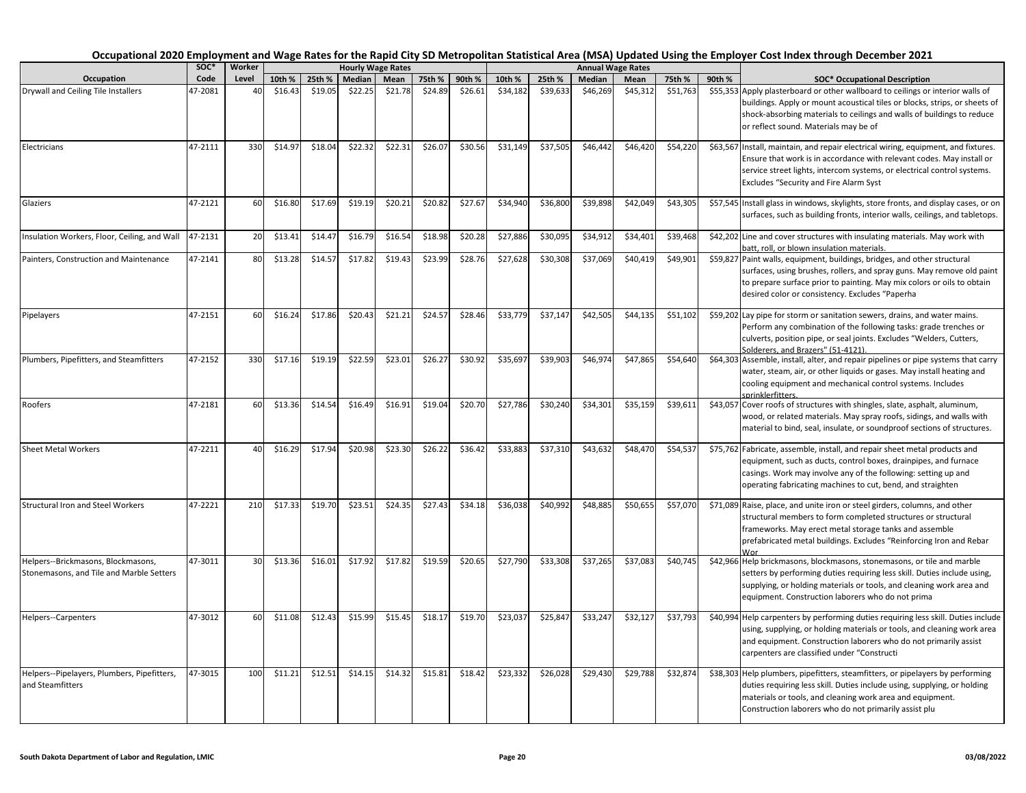|                                                                                | SOC*    | Worker |         |         |         | <b>Hourly Wage Rates</b> |         |         |          |          |          | <b>Annual Wage Rates</b> |          |        |                                                                                                                                                                                                                                                                                  |
|--------------------------------------------------------------------------------|---------|--------|---------|---------|---------|--------------------------|---------|---------|----------|----------|----------|--------------------------|----------|--------|----------------------------------------------------------------------------------------------------------------------------------------------------------------------------------------------------------------------------------------------------------------------------------|
| Occupation                                                                     | Code    | Level  | 10th %  | 25th %  | Median  | Mean                     | 75th %  | 90th %  | 10th %   | 25th %   | Median   | Mean                     | 75th %   | 90th % | <b>SOC* Occupational Description</b>                                                                                                                                                                                                                                             |
| Drywall and Ceiling Tile Installers                                            | 47-2081 | 40     | \$16.43 | \$19.05 | \$22.25 | \$21.78                  | \$24.89 | \$26.61 | \$34,182 | \$39,633 | \$46,269 | \$45,312                 | \$51,763 |        | \$55,353 Apply plasterboard or other wallboard to ceilings or interior walls of<br>buildings. Apply or mount acoustical tiles or blocks, strips, or sheets of<br>shock-absorbing materials to ceilings and walls of buildings to reduce<br>or reflect sound. Materials may be of |
| Electricians                                                                   | 47-2111 | 330    | \$14.97 | \$18.04 | \$22.32 | \$22.31                  | \$26.07 | \$30.56 | \$31,149 | \$37,505 | \$46,442 | \$46,420                 | \$54,220 |        | \$63,567 Install, maintain, and repair electrical wiring, equipment, and fixtures.<br>Ensure that work is in accordance with relevant codes. May install or<br>service street lights, intercom systems, or electrical control systems.<br>Excludes "Security and Fire Alarm Syst |
| Glaziers                                                                       | 47-2121 | 60     | \$16.80 | \$17.69 | \$19.19 | \$20.21                  | \$20.82 | \$27.67 | \$34,940 | \$36,800 | \$39,898 | \$42,049                 | \$43,305 |        | \$57,545 Install glass in windows, skylights, store fronts, and display cases, or on<br>surfaces, such as building fronts, interior walls, ceilings, and tabletops.                                                                                                              |
| Insulation Workers, Floor, Ceiling, and Wall                                   | 47-2131 | 20     | \$13.41 | \$14.47 | \$16.79 | \$16.54                  | \$18.98 | \$20.28 | \$27,886 | \$30,095 | \$34,912 | \$34,401                 | \$39,468 |        | \$42,202 Line and cover structures with insulating materials. May work with<br>batt, roll, or blown insulation materials.                                                                                                                                                        |
| Painters, Construction and Maintenance                                         | 47-2141 | 80     | \$13.28 | \$14.57 | \$17.82 | \$19.43                  | \$23.99 | \$28.76 | \$27,628 | \$30,308 | \$37,069 | \$40,419                 | \$49,901 |        | \$59,827 Paint walls, equipment, buildings, bridges, and other structural<br>surfaces, using brushes, rollers, and spray guns. May remove old paint<br>to prepare surface prior to painting. May mix colors or oils to obtain<br>desired color or consistency. Excludes "Paperha |
| Pipelayers                                                                     | 47-2151 | 60     | \$16.24 | \$17.86 | \$20.43 | \$21.21                  | \$24.57 | \$28.46 | \$33,779 | \$37,147 | \$42,505 | \$44,135                 | \$51,102 |        | \$59,202 Lay pipe for storm or sanitation sewers, drains, and water mains.<br>Perform any combination of the following tasks: grade trenches or<br>culverts, position pipe, or seal joints. Excludes "Welders, Cutters,<br>Solderers, and Brazers" (51-4121).                    |
| Plumbers, Pipefitters, and Steamfitters                                        | 47-2152 | 330    | \$17.16 | \$19.19 | \$22.59 | \$23.01                  | \$26.27 | \$30.92 | \$35,697 | \$39,903 | \$46,974 | \$47,865                 | \$54,640 |        | \$64,303 Assemble, install, alter, and repair pipelines or pipe systems that carry<br>water, steam, air, or other liquids or gases. May install heating and<br>cooling equipment and mechanical control systems. Includes<br>sprinklerfitters.                                   |
| Roofers                                                                        | 47-2181 | 60     | \$13.36 | \$14.54 | \$16.49 | \$16.91                  | \$19.04 | \$20.70 | \$27,786 | \$30,240 | \$34,301 | \$35,159                 | \$39,611 |        | \$43,057 Cover roofs of structures with shingles, slate, asphalt, aluminum,<br>wood, or related materials. May spray roofs, sidings, and walls with<br>material to bind, seal, insulate, or soundproof sections of structures.                                                   |
| <b>Sheet Metal Workers</b>                                                     | 47-2211 | 40     | \$16.29 | \$17.94 | \$20.98 | \$23.30                  | \$26.22 | \$36.42 | \$33,883 | \$37,310 | \$43,632 | \$48,470                 | \$54,537 |        | \$75,762 Fabricate, assemble, install, and repair sheet metal products and<br>equipment, such as ducts, control boxes, drainpipes, and furnace<br>casings. Work may involve any of the following: setting up and<br>operating fabricating machines to cut, bend, and straighten  |
| <b>Structural Iron and Steel Workers</b>                                       | 47-2221 | 210    | \$17.33 | \$19.70 | \$23.51 | \$24.35                  | \$27.43 | \$34.18 | \$36,038 | \$40,992 | \$48,885 | \$50,65                  | \$57,070 |        | \$71,089 Raise, place, and unite iron or steel girders, columns, and other<br>structural members to form completed structures or structural<br>frameworks. May erect metal storage tanks and assemble<br>prefabricated metal buildings. Excludes "Reinforcing Iron and Rebar     |
| Helpers--Brickmasons, Blockmasons,<br>Stonemasons, and Tile and Marble Setters | 47-3011 | 30     | \$13.36 | \$16.01 | \$17.92 | \$17.82                  | \$19.59 | \$20.65 | \$27,790 | \$33,308 | \$37,265 | \$37,083                 | \$40,745 |        | \$42,966 Help brickmasons, blockmasons, stonemasons, or tile and marble<br>setters by performing duties requiring less skill. Duties include using,<br>supplying, or holding materials or tools, and cleaning work area and<br>equipment. Construction laborers who do not prima |
| Helpers--Carpenters                                                            | 47-3012 | 60     | \$11.08 | \$12.43 | \$15.99 | \$15.45                  | \$18.17 | \$19.70 | \$23,037 | \$25,847 | \$33,247 | \$32,127                 | \$37,793 |        | \$40,994 Help carpenters by performing duties requiring less skill. Duties include<br>using, supplying, or holding materials or tools, and cleaning work area<br>and equipment. Construction laborers who do not primarily assist<br>carpenters are classified under "Constructi |
| Helpers--Pipelayers, Plumbers, Pipefitters,<br>and Steamfitters                | 47-3015 | 100    | \$11.21 | \$12.51 | \$14.15 | \$14.32                  | \$15.81 | \$18.42 | \$23,332 | \$26,028 | \$29,430 | \$29,788                 | \$32,874 |        | \$38,303 Help plumbers, pipefitters, steamfitters, or pipelayers by performing<br>duties requiring less skill. Duties include using, supplying, or holding<br>materials or tools, and cleaning work area and equipment.<br>Construction laborers who do not primarily assist plu |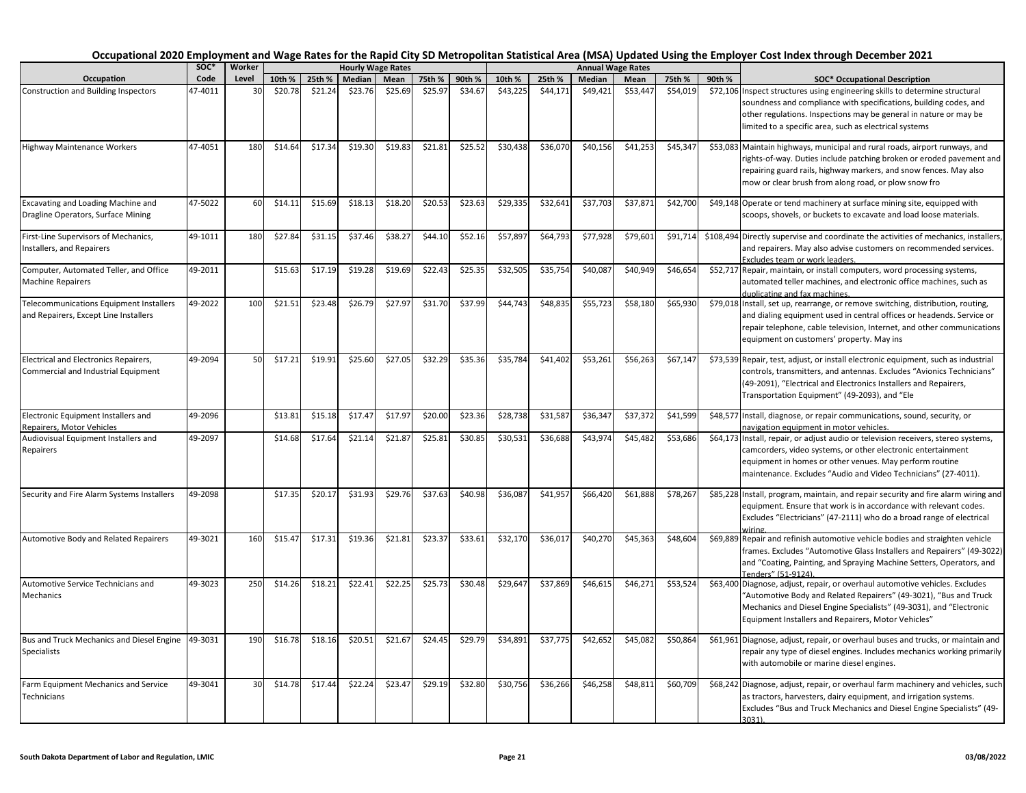|                                                                                         | soc*    | Worker |         |         |               | <b>Hourly Wage Rates</b> |         |         |          |          |               | <b>Annual Wage Rates</b> |          |        |                                                                                                                                                                                                                                                                                   |
|-----------------------------------------------------------------------------------------|---------|--------|---------|---------|---------------|--------------------------|---------|---------|----------|----------|---------------|--------------------------|----------|--------|-----------------------------------------------------------------------------------------------------------------------------------------------------------------------------------------------------------------------------------------------------------------------------------|
| Occupation                                                                              | Code    | Level  | 10th %  | 25th %  | <b>Median</b> | Mean                     | 75th %  | 90th %  | 10th %   | 25th %   | <b>Median</b> | Mean                     | 75th %   | 90th % | <b>SOC* Occupational Description</b>                                                                                                                                                                                                                                              |
| <b>Construction and Building Inspectors</b>                                             | 17-4011 | 30     | \$20.78 | \$21.24 | \$23.76       | \$25.69                  | \$25.97 | \$34.67 | \$43,225 | \$44,171 | \$49,421      | \$53,447                 | \$54,019 |        | \$72,106 Inspect structures using engineering skills to determine structural<br>soundness and compliance with specifications, building codes, and<br>other regulations. Inspections may be general in nature or may be<br>limited to a specific area, such as electrical systems  |
| <b>Highway Maintenance Workers</b>                                                      | 47-4051 | 180    | \$14.64 | \$17.34 | \$19.30       | \$19.83                  | \$21.81 | \$25.52 | \$30,438 | \$36,070 | \$40,156      | \$41,253                 | \$45,347 |        | \$53,083 Maintain highways, municipal and rural roads, airport runways, and<br>rights-of-way. Duties include patching broken or eroded pavement and<br>repairing guard rails, highway markers, and snow fences. May also<br>mow or clear brush from along road, or plow snow fro  |
| Excavating and Loading Machine and<br>Dragline Operators, Surface Mining                | 47-5022 | 60     | \$14.11 | \$15.69 | \$18.13       | \$18.20                  | \$20.53 | \$23.63 | \$29,335 | \$32,641 | \$37,703      | \$37,871                 | \$42,700 |        | \$49,148 Operate or tend machinery at surface mining site, equipped with<br>scoops, shovels, or buckets to excavate and load loose materials.                                                                                                                                     |
| First-Line Supervisors of Mechanics,<br>nstallers, and Repairers                        | 49-1011 | 180    | \$27.84 | \$31.15 | \$37.46       | \$38.27                  | \$44.10 | \$52.16 | \$57,897 | \$64,793 | \$77,928      | \$79,601                 | \$91,714 |        | \$108,494 Directly supervise and coordinate the activities of mechanics, installers,<br>and repairers. May also advise customers on recommended services.<br>Excludes team or work leaders.                                                                                       |
| Computer, Automated Teller, and Office<br><b>Machine Repairers</b>                      | 49-2011 |        | \$15.63 | \$17.19 | \$19.28       | \$19.69                  | \$22.43 | \$25.35 | \$32,505 | \$35,754 | \$40,087      | \$40,949                 | \$46,654 |        | \$52,717 Repair, maintain, or install computers, word processing systems,<br>automated teller machines, and electronic office machines, such as<br>duplicating and fax machines.                                                                                                  |
| <b>Telecommunications Equipment Installers</b><br>and Repairers, Except Line Installers | 49-2022 | 100    | \$21.51 | \$23.48 | \$26.79       | \$27.97                  | \$31.70 | \$37.99 | \$44,743 | \$48,835 | \$55,723      | \$58,180                 | \$65,930 |        | \$79,018 Install, set up, rearrange, or remove switching, distribution, routing,<br>and dialing equipment used in central offices or headends. Service or<br>repair telephone, cable television, Internet, and other communications<br>equipment on customers' property. May ins  |
| Electrical and Electronics Repairers,<br>Commercial and Industrial Equipment            | 49-2094 | 50     | \$17.21 | \$19.91 | \$25.60       | \$27.05                  | \$32.29 | \$35.36 | \$35,784 | \$41,402 | \$53,261      | \$56,263                 | \$67,147 |        | \$73,539 Repair, test, adjust, or install electronic equipment, such as industrial<br>controls, transmitters, and antennas. Excludes "Avionics Technicians"<br>(49-2091), "Electrical and Electronics Installers and Repairers,<br>Transportation Equipment" (49-2093), and "Ele  |
| Electronic Equipment Installers and<br>Repairers, Motor Vehicles                        | 49-2096 |        | \$13.81 | \$15.18 | \$17.47       | \$17.97                  | \$20.00 | \$23.36 | \$28,738 | \$31,587 | \$36,347      | \$37,37                  | \$41,599 |        | \$48,577 Install, diagnose, or repair communications, sound, security, or<br>navigation equipment in motor vehicles.                                                                                                                                                              |
| Audiovisual Equipment Installers and<br>Repairers                                       | 49-2097 |        | \$14.68 | \$17.64 | \$21.14       | \$21.87                  | \$25.81 | \$30.85 | \$30,531 | \$36,688 | \$43,974      | \$45,48                  | \$53,686 |        | \$64,173   Install, repair, or adjust audio or television receivers, stereo systems,<br>camcorders, video systems, or other electronic entertainment<br>equipment in homes or other venues. May perform routine<br>maintenance. Excludes "Audio and Video Technicians" (27-4011). |
| Security and Fire Alarm Systems Installers                                              | 49-2098 |        | \$17.35 | \$20.17 | \$31.93       | \$29.76                  | \$37.63 | \$40.98 | \$36,087 | \$41,957 | \$66,420      | \$61,888                 | \$78,267 |        | \$85,228 Install, program, maintain, and repair security and fire alarm wiring and<br>equipment. Ensure that work is in accordance with relevant codes.<br>Excludes "Electricians" (47-2111) who do a broad range of electrical<br>wiring                                         |
| Automotive Body and Related Repairers                                                   | 49-3021 | 160    | \$15.47 | \$17.31 | \$19.36       | \$21.81                  | \$23.37 | \$33.61 | \$32,170 | \$36,017 | \$40,270      | \$45,363                 | \$48,604 |        | \$69,889 Repair and refinish automotive vehicle bodies and straighten vehicle<br>frames. Excludes "Automotive Glass Installers and Repairers" (49-3022)<br>and "Coating, Painting, and Spraying Machine Setters, Operators, and<br>Tenders" (51-9124)                             |
| Automotive Service Technicians and<br>Mechanics                                         | 49-3023 | 250    | \$14.26 | \$18.21 | \$22.41       | \$22.25                  | \$25.73 | \$30.48 | \$29,647 | \$37,869 | \$46,615      | \$46,27                  | \$53,524 |        | \$63,400 Diagnose, adjust, repair, or overhaul automotive vehicles. Excludes<br>"Automotive Body and Related Repairers" (49-3021), "Bus and Truck<br>Mechanics and Diesel Engine Specialists" (49-3031), and "Electronic<br>Equipment Installers and Repairers, Motor Vehicles"   |
| Bus and Truck Mechanics and Diesel Engine<br><b>Specialists</b>                         | 49-3031 | 190    | \$16.78 | \$18.16 | \$20.51       | \$21.67                  | \$24.45 | \$29.79 | \$34,891 | \$37,775 | \$42,652      | \$45,082                 | \$50,864 |        | \$61,961 Diagnose, adjust, repair, or overhaul buses and trucks, or maintain and<br>repair any type of diesel engines. Includes mechanics working primarily<br>with automobile or marine diesel engines.                                                                          |
| Farm Equipment Mechanics and Service<br>Technicians                                     | 49-3041 | 30     | \$14.78 | \$17.44 | \$22.24       | \$23.47                  | \$29.19 | \$32.80 | \$30,756 | \$36,266 | \$46,258      | \$48,81                  | \$60,709 |        | \$68,242 Diagnose, adjust, repair, or overhaul farm machinery and vehicles, such<br>as tractors, harvesters, dairy equipment, and irrigation systems.<br>Excludes "Bus and Truck Mechanics and Diesel Engine Specialists" (49-<br>3031)                                           |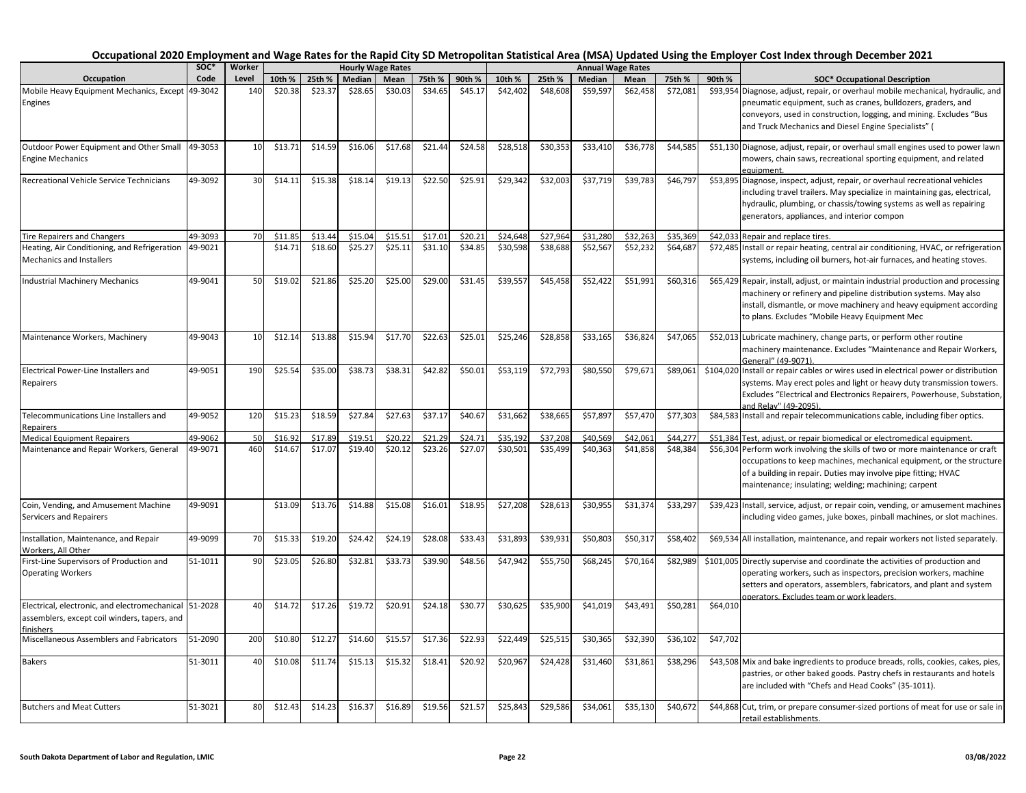| Occupation                                                                                                 | soc*    | Worker |         |         |         | <b>Hourly Wage Rates</b> |         |         |          |          |          | <b>Annual Wage Rates</b> |          |          |                                                                                                                                                                                                                                                                                  |
|------------------------------------------------------------------------------------------------------------|---------|--------|---------|---------|---------|--------------------------|---------|---------|----------|----------|----------|--------------------------|----------|----------|----------------------------------------------------------------------------------------------------------------------------------------------------------------------------------------------------------------------------------------------------------------------------------|
|                                                                                                            | Code    | Level  | 10th %  | 25th %  | Median  | Mean                     | 75th %  | 90th %  | 10th %   | 25th %   | Median   | Mean                     | 75th %   | 90th %   | <b>SOC* Occupational Description</b>                                                                                                                                                                                                                                             |
| Mobile Heavy Equipment Mechanics, Except<br>Engines                                                        | 49-3042 | 140    | \$20.38 | \$23.37 | \$28.65 | \$30.03                  | \$34.65 | \$45.17 | \$42,402 | \$48,608 | \$59,597 | \$62,458                 | \$72,081 |          | \$93,954 Diagnose, adjust, repair, or overhaul mobile mechanical, hydraulic, and<br>pneumatic equipment, such as cranes, bulldozers, graders, and<br>conveyors, used in construction, logging, and mining. Excludes "Bus<br>and Truck Mechanics and Diesel Engine Specialists" ( |
| Outdoor Power Equipment and Other Small<br><b>Engine Mechanics</b>                                         | 49-3053 | 10     | \$13.71 | \$14.59 | \$16.06 | \$17.68                  | \$21.44 | \$24.58 | \$28,518 | \$30,353 | \$33,410 | \$36,778                 | \$44,585 |          | \$51,130 Diagnose, adjust, repair, or overhaul small engines used to power lawn<br>mowers, chain saws, recreational sporting equipment, and related<br>eauipment.                                                                                                                |
| Recreational Vehicle Service Technicians                                                                   | 49-3092 | 30     | \$14.11 | \$15.38 | \$18.14 | \$19.13                  | \$22.50 | \$25.91 | \$29,342 | \$32,003 | \$37,719 | \$39,783                 | \$46,797 |          | \$53,895 Diagnose, inspect, adjust, repair, or overhaul recreational vehicles<br>including travel trailers. May specialize in maintaining gas, electrical,<br>hydraulic, plumbing, or chassis/towing systems as well as repairing<br>generators, appliances, and interior compon |
| <b>Tire Repairers and Changers</b>                                                                         | 49-3093 | 70     | \$11.85 | \$13.44 | \$15.04 | \$15.51                  | \$17.01 | \$20.21 | \$24,648 | \$27,964 | \$31,280 | \$32,263                 | \$35,369 |          | \$42,033 Repair and replace tires.                                                                                                                                                                                                                                               |
| Heating, Air Conditioning, and Refrigeration<br>Mechanics and Installers                                   | 49-9021 |        | \$14.71 | \$18.60 | \$25.27 | \$25.11                  | \$31.10 | \$34.85 | \$30,598 | \$38,688 | \$52,567 | \$52,232                 | \$64,687 |          | \$72,485 Install or repair heating, central air conditioning, HVAC, or refrigeration<br>systems, including oil burners, hot-air furnaces, and heating stoves.                                                                                                                    |
| <b>Industrial Machinery Mechanics</b>                                                                      | 49-9041 | 50     | \$19.02 | \$21.86 | \$25.20 | \$25.00                  | \$29.00 | \$31.45 | \$39,557 | \$45,458 | \$52,422 | \$51,991                 | \$60,316 |          | \$65,429 Repair, install, adjust, or maintain industrial production and processing<br>machinery or refinery and pipeline distribution systems. May also<br>install, dismantle, or move machinery and heavy equipment according<br>to plans. Excludes "Mobile Heavy Equipment Mec |
| Maintenance Workers, Machinery                                                                             | 49-9043 | 10     | \$12.14 | \$13.88 | \$15.94 | \$17.70                  | \$22.63 | \$25.01 | \$25,246 | \$28,858 | \$33,165 | \$36,824                 | \$47,065 |          | \$52,013 Lubricate machinery, change parts, or perform other routine<br>machinery maintenance. Excludes "Maintenance and Repair Workers,<br>General" (49-9071)                                                                                                                   |
| Electrical Power-Line Installers and<br>Repairers                                                          | 49-9051 | 190    | \$25.54 | \$35.00 | \$38.73 | \$38.31                  | \$42.82 | \$50.01 | \$53,119 | \$72,793 | \$80,550 | \$79,67                  | \$89,061 |          | \$104,020 Install or repair cables or wires used in electrical power or distribution<br>systems. May erect poles and light or heavy duty transmission towers.<br>Excludes "Electrical and Electronics Repairers, Powerhouse, Substation,<br>and Relay" (49-2095).                |
| Telecommunications Line Installers and<br>Repairers                                                        | 49-9052 | 120    | \$15.23 | \$18.59 | \$27.84 | \$27.63                  | \$37.17 | \$40.67 | \$31,662 | \$38,665 | \$57,897 | \$57,470                 | \$77,303 |          | \$84,583 Install and repair telecommunications cable, including fiber optics.                                                                                                                                                                                                    |
| <b>Medical Equipment Repairers</b>                                                                         | 49-9062 | 50     | \$16.92 | \$17.89 | \$19.51 | \$20.22                  | \$21.29 | \$24.71 | \$35,192 | \$37,208 | \$40,569 | \$42,06:                 | \$44,277 |          | \$51,384 Test, adjust, or repair biomedical or electromedical equipment.                                                                                                                                                                                                         |
| Maintenance and Repair Workers, General                                                                    | 49-9071 | 460    | \$14.67 | \$17.07 | \$19.40 | \$20.12                  | \$23.26 | \$27.07 | \$30,501 | \$35,499 | \$40,363 | \$41,858                 | \$48,384 |          | \$56,304 Perform work involving the skills of two or more maintenance or craft<br>occupations to keep machines, mechanical equipment, or the structure<br>of a building in repair. Duties may involve pipe fitting; HVAC<br>maintenance; insulating; welding; machining; carpent |
| Coin, Vending, and Amusement Machine<br>Servicers and Repairers                                            | 49-9091 |        | \$13.09 | \$13.76 | \$14.88 | \$15.08                  | \$16.01 | \$18.95 | \$27,208 | \$28,613 | \$30,955 | \$31,374                 | \$33,297 |          | \$39,423 Install, service, adjust, or repair coin, vending, or amusement machines<br>including video games, juke boxes, pinball machines, or slot machines.                                                                                                                      |
| Installation, Maintenance, and Repair<br>Workers. All Other                                                | 49-9099 | 70     | \$15.33 | \$19.20 | \$24.42 | \$24.19                  | \$28.08 | \$33.43 | \$31,893 | \$39,931 | \$50,803 | \$50,31                  | \$58,402 |          | \$69,534 All installation, maintenance, and repair workers not listed separately.                                                                                                                                                                                                |
| First-Line Supervisors of Production and<br><b>Operating Workers</b>                                       | 51-1011 | 90     | \$23.05 | \$26.80 | \$32.81 | \$33.73                  | \$39.90 | \$48.56 | \$47,942 | \$55,750 | \$68,245 | \$70,164                 | \$82,989 |          | \$101,005 Directly supervise and coordinate the activities of production and<br>operating workers, such as inspectors, precision workers, machine<br>setters and operators, assemblers, fabricators, and plant and system<br>pperators. Excludes team or work leaders.           |
| Electrical, electronic, and electromechanical<br>assemblers, except coil winders, tapers, and<br>finishers | 51-2028 | 40     | \$14.72 | \$17.26 | \$19.72 | \$20.91                  | \$24.18 | \$30.77 | 530,625  | \$35,900 | \$41,019 | \$43,491                 | \$50,281 | \$64,010 |                                                                                                                                                                                                                                                                                  |
| Miscellaneous Assemblers and Fabricators                                                                   | 51-2090 | 200    | \$10.80 | \$12.27 | \$14.60 | \$15.57                  | \$17.36 | \$22.93 | \$22,449 | \$25,515 | \$30,365 | \$32,390                 | \$36,102 | \$47,702 |                                                                                                                                                                                                                                                                                  |
| Bakers                                                                                                     | 51-3011 | 40     | \$10.08 | \$11.74 | \$15.13 | \$15.32                  | \$18.41 | \$20.92 | \$20,967 | \$24,428 | \$31,460 | \$31,861                 | \$38,296 |          | \$43,508 Mix and bake ingredients to produce breads, rolls, cookies, cakes, pies,<br>pastries, or other baked goods. Pastry chefs in restaurants and hotels<br>are included with "Chefs and Head Cooks" (35-1011).                                                               |
| <b>Butchers and Meat Cutters</b>                                                                           | 51-3021 | 80     | \$12.43 | \$14.23 | \$16.37 | \$16.89                  | \$19.56 | \$21.57 | \$25,843 | \$29,586 | \$34,061 | \$35,130                 | \$40,672 |          | \$44,868 Cut, trim, or prepare consumer-sized portions of meat for use or sale in<br>retail establishments.                                                                                                                                                                      |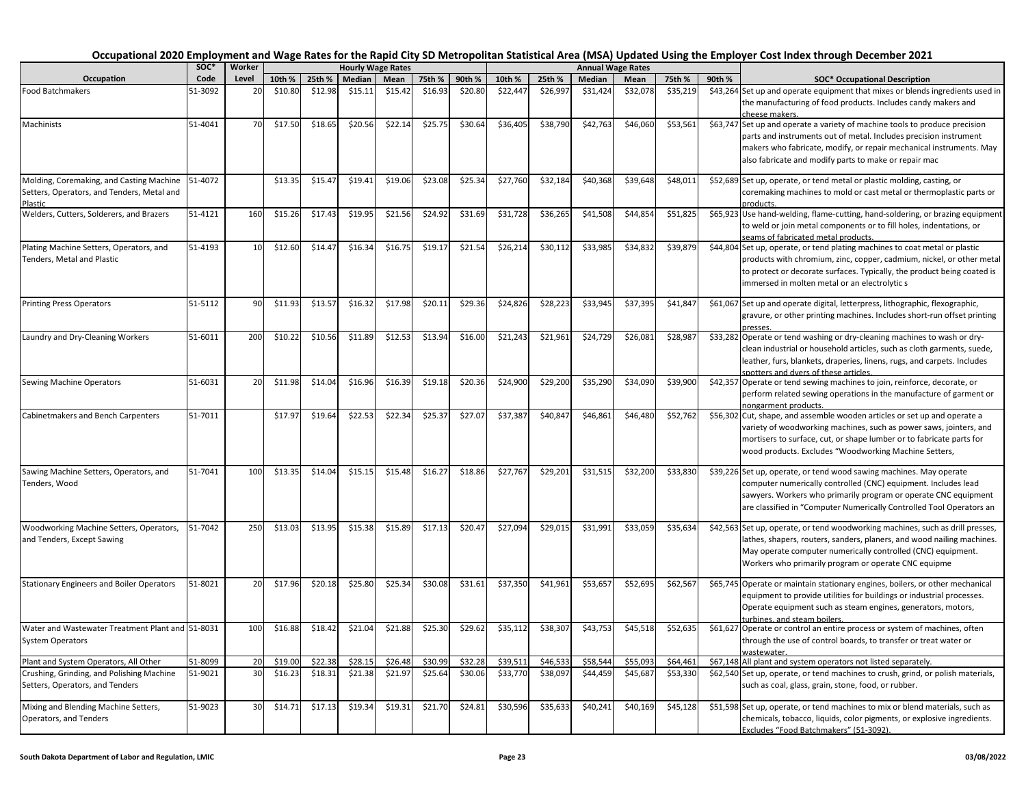| Occupation                                                                                        | soc*    | Worker |         |         |         | <b>Hourly Wage Rates</b> |         |         |          |          |          | <b>Annual Wage Rates</b> |          |        |                                                                                                                                                                                                                                                                                  |
|---------------------------------------------------------------------------------------------------|---------|--------|---------|---------|---------|--------------------------|---------|---------|----------|----------|----------|--------------------------|----------|--------|----------------------------------------------------------------------------------------------------------------------------------------------------------------------------------------------------------------------------------------------------------------------------------|
|                                                                                                   | Code    | Level  | 10th %  | 25th %  | Median  | Mean                     | 75th %  | 90th %  | 10th %   | 25th %   | Median   | Mean                     | 75th %   | 90th % | <b>SOC* Occupational Description</b>                                                                                                                                                                                                                                             |
| <b>Food Batchmakers</b>                                                                           | 51-3092 | 2C     | \$10.80 | \$12.98 | \$15.11 | \$15.42                  | \$16.93 | \$20.80 | \$22,447 | \$26,997 | \$31,424 | \$32,07                  | \$35,219 |        | \$43,264 Set up and operate equipment that mixes or blends ingredients used in<br>the manufacturing of food products. Includes candy makers and<br>cheese makers.                                                                                                                |
| Machinists                                                                                        | 51-4041 | 70     | \$17.50 | \$18.65 | \$20.56 | \$22.14                  | \$25.75 | \$30.64 | \$36,405 | \$38,790 | \$42,763 | \$46,060                 | \$53,561 |        | \$63,747 Set up and operate a variety of machine tools to produce precision<br>parts and instruments out of metal. Includes precision instrument<br>makers who fabricate, modify, or repair mechanical instruments. May<br>also fabricate and modify parts to make or repair mac |
| Molding, Coremaking, and Casting Machine<br>Setters, Operators, and Tenders, Metal and<br>Plastic | 51-4072 |        | \$13.35 | \$15.4  | \$19.41 | \$19.06                  | \$23.08 | \$25.34 | \$27,760 | \$32,184 | \$40,368 | \$39,648                 | \$48,011 |        | \$52,689 Set up, operate, or tend metal or plastic molding, casting, or<br>coremaking machines to mold or cast metal or thermoplastic parts or<br>products.                                                                                                                      |
| Welders, Cutters, Solderers, and Brazers                                                          | 51-4121 | 160    | \$15.26 | \$17.43 | \$19.95 | \$21.56                  | \$24.92 | \$31.69 | \$31,728 | \$36,265 | \$41,508 | \$44,85                  | \$51,825 |        | \$65,923 Use hand-welding, flame-cutting, hand-soldering, or brazing equipment<br>to weld or join metal components or to fill holes, indentations, or<br>seams of fabricated metal products.                                                                                     |
| Plating Machine Setters, Operators, and<br>Tenders, Metal and Plastic                             | 51-4193 | 10     | \$12.60 | \$14.4  | \$16.34 | \$16.75                  | \$19.1  | \$21.54 | \$26,214 | \$30,112 | \$33,985 | \$34,83                  | \$39,879 |        | \$44,804 Set up, operate, or tend plating machines to coat metal or plastic<br>products with chromium, zinc, copper, cadmium, nickel, or other metal<br>to protect or decorate surfaces. Typically, the product being coated is<br>immersed in molten metal or an electrolytic s |
| <b>Printing Press Operators</b>                                                                   | 51-5112 | 90     | \$11.93 | \$13.5  | \$16.32 | \$17.98                  | \$20.11 | \$29.36 | \$24,826 | \$28,223 | \$33,945 | \$37,39                  | \$41,847 |        | \$61,067 Set up and operate digital, letterpress, lithographic, flexographic,<br>gravure, or other printing machines. Includes short-run offset printing                                                                                                                         |
| Laundry and Dry-Cleaning Workers                                                                  | 51-6011 | 200    | \$10.22 | \$10.5  | \$11.89 | \$12.53                  | \$13.94 | \$16.00 | \$21,243 | \$21,961 | \$24,729 | \$26,08                  | \$28,987 |        | \$33,282 Operate or tend washing or dry-cleaning machines to wash or dry-<br>clean industrial or household articles, such as cloth garments, suede,<br>leather, furs, blankets, draperies, linens, rugs, and carpets. Includes<br>spotters and dvers of these articles           |
| Sewing Machine Operators                                                                          | 51-6031 | 20     | \$11.98 | \$14.04 | \$16.96 | \$16.39                  | \$19.18 | \$20.36 | \$24,900 | \$29,200 | \$35,290 | \$34,090                 | \$39,900 |        | \$42,357 Operate or tend sewing machines to join, reinforce, decorate, or<br>perform related sewing operations in the manufacture of garment or<br>nongarment products.                                                                                                          |
| Cabinetmakers and Bench Carpenters                                                                | 51-7011 |        | \$17.97 | \$19.64 | \$22.53 | \$22.34                  | \$25.37 | \$27.07 | \$37,387 | \$40,847 | \$46,861 | \$46,480                 | \$52,762 |        | \$56,302 Cut, shape, and assemble wooden articles or set up and operate a<br>variety of woodworking machines, such as power saws, jointers, and<br>mortisers to surface, cut, or shape lumber or to fabricate parts for<br>wood products. Excludes "Woodworking Machine Setters, |
| Sawing Machine Setters, Operators, and<br>Tenders, Wood                                           | 51-7041 | 100    | \$13.35 | \$14.04 | \$15.15 | \$15.48                  | \$16.27 | \$18.86 | \$27,767 | \$29,201 | \$31,515 | \$32,200                 | \$33,830 |        | \$39,226 Set up, operate, or tend wood sawing machines. May operate<br>computer numerically controlled (CNC) equipment. Includes lead<br>sawyers. Workers who primarily program or operate CNC equipment<br>are classified in "Computer Numerically Controlled Tool Operators an |
| Woodworking Machine Setters, Operators,<br>and Tenders, Except Sawing                             | 51-7042 | 250    | \$13.03 | \$13.95 | \$15.38 | \$15.89                  | \$17.13 | \$20.47 | \$27,094 | \$29,015 | \$31,991 | \$33,059                 | \$35,634 |        | \$42,563 Set up, operate, or tend woodworking machines, such as drill presses,<br>lathes, shapers, routers, sanders, planers, and wood nailing machines.<br>May operate computer numerically controlled (CNC) equipment.<br>Workers who primarily program or operate CNC equipme |
| <b>Stationary Engineers and Boiler Operators</b>                                                  | 51-8021 | 20     | \$17.96 | \$20.18 | \$25.80 | \$25.34                  | \$30.08 | \$31.61 | \$37,350 | \$41,961 | \$53,657 | \$52,69                  | \$62,567 |        | \$65,745 Operate or maintain stationary engines, boilers, or other mechanical<br>equipment to provide utilities for buildings or industrial processes.<br>Operate equipment such as steam engines, generators, motors,<br>urbines, and steam boilers                             |
| Water and Wastewater Treatment Plant and 51-8031<br><b>System Operators</b>                       |         | 100    | \$16.88 | \$18.42 | \$21.04 | \$21.88                  | \$25.30 | \$29.62 | \$35,112 | \$38,307 | \$43,753 | \$45,518                 | \$52,635 |        | \$61,627 Operate or control an entire process or system of machines, often<br>through the use of control boards, to transfer or treat water or<br>wastewater.                                                                                                                    |
| Plant and System Operators, All Other                                                             | 51-8099 | 20     | \$19.00 | \$22.38 | \$28.15 | \$26.48                  | \$30.99 | \$32.28 | \$39.511 | \$46,533 | \$58,544 | \$55,09                  | \$64,461 |        | \$67,148 All plant and system operators not listed separately.                                                                                                                                                                                                                   |
| Crushing, Grinding, and Polishing Machine<br>Setters, Operators, and Tenders                      | 51-9021 | 30     | \$16.23 | \$18.31 | \$21.38 | \$21.97                  | \$25.64 | \$30.06 | \$33,770 | \$38,097 | \$44,459 | \$45,687                 | \$53,330 |        | \$62,540 Set up, operate, or tend machines to crush, grind, or polish materials,<br>such as coal, glass, grain, stone, food, or rubber.                                                                                                                                          |
| Mixing and Blending Machine Setters,<br>Operators, and Tenders                                    | 51-9023 | 30     | \$14.71 | \$17.13 | \$19.34 | \$19.31                  | \$21.70 | \$24.81 | \$30,596 | \$35,633 | \$40,241 | \$40,169                 | \$45,128 |        | \$51,598 Set up, operate, or tend machines to mix or blend materials, such as<br>chemicals, tobacco, liquids, color pigments, or explosive ingredients.<br>Excludes "Food Batchmakers" (51-3092).                                                                                |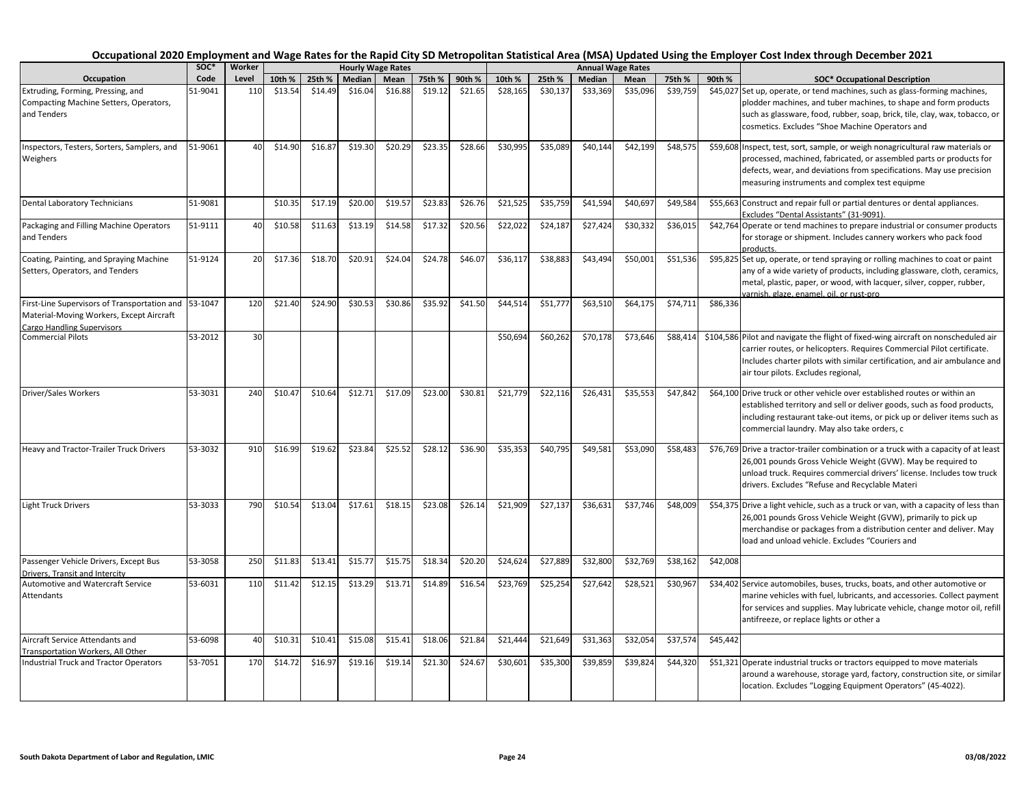| soc*<br>Code<br>Occupation                                                                                             |         | Worker |         |         | <b>Hourly Wage Rates</b> |         |         |         |          |          |          | <b>Annual Wage Rates</b> |          |          |                                                                                                                                                                                                                                                                                  |
|------------------------------------------------------------------------------------------------------------------------|---------|--------|---------|---------|--------------------------|---------|---------|---------|----------|----------|----------|--------------------------|----------|----------|----------------------------------------------------------------------------------------------------------------------------------------------------------------------------------------------------------------------------------------------------------------------------------|
|                                                                                                                        |         | Level  | 10th %  | 25th %  | Median                   | Mean    | 75th %  | 90th %  | 10th %   | 25th %   | Median   | Mean                     | 75th %   | 90th %   | <b>SOC* Occupational Description</b>                                                                                                                                                                                                                                             |
| Extruding, Forming, Pressing, and<br>Compacting Machine Setters, Operators,<br>and Tenders                             | 51-9041 | 110    | \$13.54 | \$14.49 | \$16.04                  | \$16.88 | \$19.12 | \$21.65 | \$28,165 | \$30,137 | \$33,369 | \$35,096                 | \$39,759 |          | \$45,027 Set up, operate, or tend machines, such as glass-forming machines,<br>plodder machines, and tuber machines, to shape and form products<br>such as glassware, food, rubber, soap, brick, tile, clay, wax, tobacco, or<br>cosmetics. Excludes "Shoe Machine Operators and |
| Inspectors, Testers, Sorters, Samplers, and<br>Weighers                                                                | 51-9061 | 40     | \$14.90 | \$16.87 | \$19.30                  | \$20.29 | \$23.35 | \$28.66 | \$30,995 | \$35,089 | \$40,144 | \$42,199                 | \$48,575 |          | \$59,608 Inspect, test, sort, sample, or weigh nonagricultural raw materials or<br>processed, machined, fabricated, or assembled parts or products for<br>defects, wear, and deviations from specifications. May use precision<br>measuring instruments and complex test equipme |
| Dental Laboratory Technicians                                                                                          | 51-9081 |        | \$10.35 | \$17.19 | \$20.00                  | \$19.57 | \$23.83 | \$26.76 | \$21,525 | \$35,759 | \$41,594 | \$40,69                  | \$49,584 |          | \$55,663 Construct and repair full or partial dentures or dental appliances.<br>Excludes "Dental Assistants" (31-9091).                                                                                                                                                          |
| Packaging and Filling Machine Operators<br>and Tenders                                                                 | 51-9111 | 40     | \$10.58 | \$11.63 | \$13.19                  | \$14.58 | \$17.32 | \$20.56 | \$22,022 | \$24,187 | \$27,424 | \$30,332                 | \$36,015 |          | \$42,764 Operate or tend machines to prepare industrial or consumer products<br>for storage or shipment. Includes cannery workers who pack food<br>products.                                                                                                                     |
| Coating, Painting, and Spraying Machine<br>Setters, Operators, and Tenders                                             | 51-9124 | 20     | \$17.36 | \$18.70 | \$20.91                  | \$24.04 | \$24.78 | \$46.07 | \$36,117 | \$38,883 | \$43,494 | \$50,001                 | \$51,536 |          | \$95,825 Set up, operate, or tend spraying or rolling machines to coat or paint<br>any of a wide variety of products, including glassware, cloth, ceramics,<br>metal, plastic, paper, or wood, with lacquer, silver, copper, rubber,<br>varnish, glaze, enamel, oil, or rust-pro |
| First-Line Supervisors of Transportation and<br>Material-Moving Workers, Except Aircraft<br>Cargo Handling Supervisors | 53-1047 | 120    | \$21.40 | \$24.90 | \$30.53                  | \$30.86 | \$35.92 | \$41.50 | \$44,514 | \$51,777 | \$63,510 | \$64,175                 | \$74,711 | \$86,336 |                                                                                                                                                                                                                                                                                  |
| <b>Commercial Pilots</b>                                                                                               | 53-2012 | 30     |         |         |                          |         |         |         | \$50,694 | \$60,262 | \$70,178 | \$73,646                 | \$88,414 |          | \$104,586 Pilot and navigate the flight of fixed-wing aircraft on nonscheduled air<br>carrier routes, or helicopters. Requires Commercial Pilot certificate.<br>Includes charter pilots with similar certification, and air ambulance and<br>air tour pilots. Excludes regional, |
| Driver/Sales Workers                                                                                                   | 53-3031 | 240    | \$10.4  | \$10.64 | \$12.71                  | \$17.09 | \$23.00 | \$30.81 | \$21,779 | \$22,116 | \$26,431 | \$35,553                 | \$47,842 |          | \$64,100 Drive truck or other vehicle over established routes or within an<br>established territory and sell or deliver goods, such as food products,<br>including restaurant take-out items, or pick up or deliver items such as<br>commercial laundry. May also take orders, c |
| Heavy and Tractor-Trailer Truck Drivers                                                                                | 53-3032 | 910    | \$16.99 | \$19.62 | \$23.84                  | \$25.52 | \$28.12 | \$36.90 | \$35,353 | \$40,795 | \$49,581 | \$53,090                 | \$58,483 |          | \$76,769 Drive a tractor-trailer combination or a truck with a capacity of at least<br>26,001 pounds Gross Vehicle Weight (GVW). May be required to<br>unload truck. Requires commercial drivers' license. Includes tow truck<br>drivers. Excludes "Refuse and Recyclable Materi |
| <b>Light Truck Drivers</b>                                                                                             | 53-3033 | 790    | \$10.54 | \$13.04 | \$17.61                  | \$18.15 | \$23.08 | \$26.14 | \$21,909 | \$27,137 | \$36,63  | \$37,746                 | \$48,009 |          | \$54,375 Drive a light vehicle, such as a truck or van, with a capacity of less than<br>26,001 pounds Gross Vehicle Weight (GVW), primarily to pick up<br>merchandise or packages from a distribution center and deliver. May<br>load and unload vehicle. Excludes "Couriers and |
| Passenger Vehicle Drivers, Except Bus<br>Drivers, Transit and Intercity                                                | 53-3058 | 250    | \$11.83 | \$13.41 | \$15.77                  | \$15.75 | \$18.34 | \$20.20 | \$24,624 | \$27,889 | \$32,800 | \$32,769                 | \$38,162 | \$42,008 |                                                                                                                                                                                                                                                                                  |
| <b>Automotive and Watercraft Service</b><br>Attendants                                                                 | 53-6031 | 110    | \$11.42 | \$12.15 | \$13.29                  | \$13.71 | \$14.89 | \$16.54 | \$23,769 | \$25,254 | \$27,642 | \$28,521                 | \$30,967 |          | \$34,402 Service automobiles, buses, trucks, boats, and other automotive or<br>marine vehicles with fuel, lubricants, and accessories. Collect payment<br>for services and supplies. May lubricate vehicle, change motor oil, refill<br>antifreeze, or replace lights or other a |
| Aircraft Service Attendants and                                                                                        | 53-6098 | 40     | \$10.31 | \$10.41 | \$15.08                  | \$15.41 | \$18.06 | \$21.84 | \$21,444 | \$21,649 | \$31,363 | \$32,054                 | \$37,574 | \$45,442 |                                                                                                                                                                                                                                                                                  |
| Transportation Workers, All Other<br><b>Industrial Truck and Tractor Operators</b>                                     | 53-7051 | 170    | \$14.72 | \$16.97 | \$19.16                  | \$19.14 | \$21.30 | \$24.67 | \$30,601 | \$35,300 | \$39,859 | \$39,824                 | \$44,320 |          | \$51,321 Operate industrial trucks or tractors equipped to move materials<br>around a warehouse, storage yard, factory, construction site, or similar<br>location. Excludes "Logging Equipment Operators" (45-4022).                                                             |